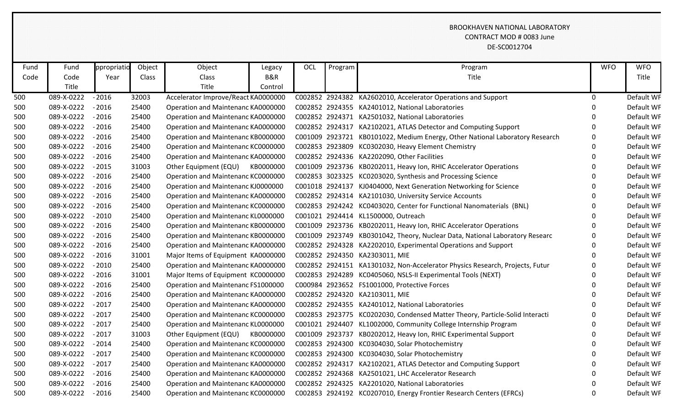## BROOKHAVEN NATIONAL LABORATORY CONTRACT MOD # 0083 June DE-SC0012704

| Fund | Fund       | ppropriatio | Object | Object                              | Legacy    | OCL | Program | Program                                                                      | <b>WFO</b>   | <b>WFO</b> |
|------|------------|-------------|--------|-------------------------------------|-----------|-----|---------|------------------------------------------------------------------------------|--------------|------------|
| Code | Code       | Year        | Class  | Class                               | B&R       |     |         | Title                                                                        |              | Title      |
|      | Title      |             |        | Title                               | Control   |     |         |                                                                              |              |            |
| 500  | 089-X-0222 | $-2016$     | 32003  | Accelerator Improve/React KA0000000 |           |     |         | C002852 2924382 KA2602010, Accelerator Operations and Support                | $\mathbf 0$  | Default WF |
| 500  | 089-X-0222 | $-2016$     | 25400  | Operation and Maintenanc KA0000000  |           |     |         | C002852 2924355 KA2401012, National Laboratories                             | $\Omega$     | Default WF |
| 500  | 089-X-0222 | $-2016$     | 25400  | Operation and Maintenanc KA0000000  |           |     |         | C002852 2924371 KA2501032, National Laboratories                             | $\Omega$     | Default WF |
| 500  | 089-X-0222 | $-2016$     | 25400  | Operation and Maintenanc KA0000000  |           |     |         | C002852 2924317 KA2102021, ATLAS Detector and Computing Support              | $\Omega$     | Default WF |
| 500  | 089-X-0222 | $-2016$     | 25400  | Operation and Maintenanc KB0000000  |           |     |         | C001009 2923721 KB0101022, Medium Energy, Other National Laboratory Research | $\Omega$     | Default WF |
| 500  | 089-X-0222 | $-2016$     | 25400  | Operation and Maintenanc KC0000000  |           |     |         | C002853 2923809 KC0302030, Heavy Element Chemistry                           | $\Omega$     | Default WF |
| 500  | 089-X-0222 | $-2016$     | 25400  | Operation and Maintenanc KA0000000  |           |     |         | C002852 2924336 KA2202090, Other Facilities                                  | $\mathbf{0}$ | Default WF |
| 500  | 089-X-0222 | $-2015$     | 31003  | Other Equipment (EQU)               | KB0000000 |     |         | C001009 2923736 KB0202011, Heavy Ion, RHIC Accelerator Operations            | $\Omega$     | Default WF |
| 500  | 089-X-0222 | $-2016$     | 25400  | Operation and Maintenanc KC0000000  |           |     |         | C002853 3023325 KC0203020, Synthesis and Processing Science                  | $\Omega$     | Default WF |
| 500  | 089-X-0222 | $-2016$     | 25400  | Operation and Maintenanc KJ0000000  |           |     |         | C001018 2924137 KJ0404000, Next Generation Networking for Science            | $\Omega$     | Default WF |
| 500  | 089-X-0222 | $-2016$     | 25400  | Operation and Maintenanc KA0000000  |           |     |         | C002852 2924314 KA2101030, University Service Accounts                       | $\Omega$     | Default WF |
| 500  | 089-X-0222 | $-2016$     | 25400  | Operation and Maintenanc KC0000000  |           |     |         | C002853 2924242 KC0403020, Center for Functional Nanomaterials (BNL)         | $\Omega$     | Default WF |
| 500  | 089-X-0222 | $-2010$     | 25400  | Operation and Maintenanc KL0000000  |           |     |         | C001021 2924414 KL1500000, Outreach                                          | $\Omega$     | Default WF |
| 500  | 089-X-0222 | $-2016$     | 25400  | Operation and Maintenanc KB0000000  |           |     |         | C001009 2923736 KB0202011, Heavy Ion, RHIC Accelerator Operations            | $\Omega$     | Default WF |
| 500  | 089-X-0222 | $-2016$     | 25400  | Operation and Maintenanc KB0000000  |           |     |         | C001009 2923749 KB0301042, Theory, Nuclear Data, National Laboratory Researc | $\Omega$     | Default WF |
| 500  | 089-X-0222 | $-2016$     | 25400  | Operation and Maintenanc KA0000000  |           |     |         | C002852 2924328 KA2202010, Experimental Operations and Support               | $\Omega$     | Default WF |
| 500  | 089-X-0222 | $-2016$     | 31001  | Major Items of Equipment KA0000000  |           |     |         | C002852 2924350 KA2303011, MIE                                               | $\Omega$     | Default WF |
| 500  | 089-X-0222 | $-2010$     | 25400  | Operation and Maintenanc KA0000000  |           |     |         | C002852 2924151 KA1301032, Non-Accelerator Physics Research, Projects, Futur | $\Omega$     | Default WF |
| 500  | 089-X-0222 | $-2016$     | 31001  | Major Items of Equipment KC0000000  |           |     |         | C002853 2924289 KC0405060, NSLS-II Experimental Tools (NEXT)                 | $\Omega$     | Default WF |
| 500  | 089-X-0222 | $-2016$     | 25400  | Operation and Maintenanc FS1000000  |           |     |         | C000984 2923652 FS1001000, Protective Forces                                 | $\Omega$     | Default WF |
| 500  | 089-X-0222 | $-2016$     | 25400  | Operation and Maintenanc KA0000000  |           |     |         | C002852 2924320 KA2103011, MIE                                               | $\Omega$     | Default WF |
| 500  | 089-X-0222 | $-2017$     | 25400  | Operation and Maintenanc KA0000000  |           |     |         | C002852 2924355 KA2401012, National Laboratories                             | $\Omega$     | Default WF |
| 500  | 089-X-0222 | $-2017$     | 25400  | Operation and Maintenanc KC0000000  |           |     |         | C002853 2923775 KC0202030, Condensed Matter Theory, Particle-Solid Interacti | 0            | Default WF |
| 500  | 089-X-0222 | $-2017$     | 25400  | Operation and Maintenanc KL0000000  |           |     |         | C001021 2924407 KL1002000, Community College Internship Program              | $\Omega$     | Default WF |
| 500  | 089-X-0222 | $-2017$     | 31003  | Other Equipment (EQU)               | KB0000000 |     |         | C001009 2923737 KB0202012, Heavy Ion, RHIC Experimental Support              | $\Omega$     | Default WF |
| 500  | 089-X-0222 | $-2014$     | 25400  | Operation and Maintenanc KC0000000  |           |     |         | C002853 2924300 KC0304030, Solar Photochemistry                              | $\Omega$     | Default WF |
| 500  | 089-X-0222 | $-2017$     | 25400  | Operation and Maintenanc KC0000000  |           |     |         | C002853 2924300 KC0304030, Solar Photochemistry                              |              | Default WF |
| 500  | 089-X-0222 | $-2017$     | 25400  | Operation and Maintenanc KA0000000  |           |     |         | C002852 2924317 KA2102021, ATLAS Detector and Computing Support              | 0            | Default WF |
| 500  | 089-X-0222 | $-2016$     | 25400  | Operation and Maintenanc KA0000000  |           |     |         | C002852 2924368 KA2501021, LHC Accelerator Research                          | ∩            | Default WF |
| 500  | 089-X-0222 | $-2016$     | 25400  | Operation and Maintenanc KA0000000  |           |     |         | C002852 2924325 KA2201020, National Laboratories                             |              | Default WF |
| 500  | 089-X-0222 | $-2016$     | 25400  | Operation and Maintenanc KC0000000  |           |     |         | C002853 2924192 KC0207010, Energy Frontier Research Centers (EFRCs)          | $\Omega$     | Default WF |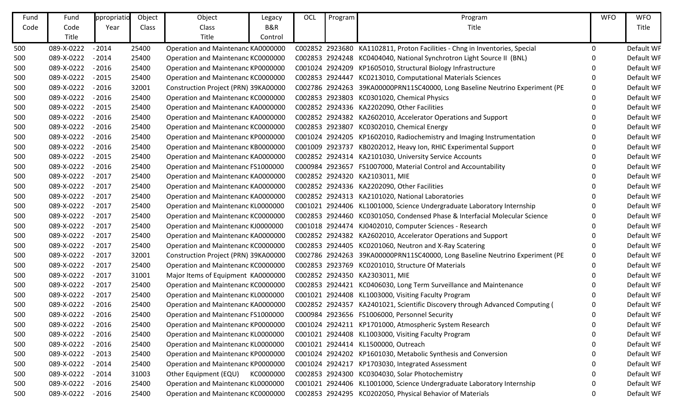| Fund | Fund       | ppropriatio | Object | Object                               | Legacy    | OCL | Program | Program                                                                      | <b>WFO</b> | <b>WFO</b> |
|------|------------|-------------|--------|--------------------------------------|-----------|-----|---------|------------------------------------------------------------------------------|------------|------------|
| Code | Code       | Year        | Class  | Class                                | B&R       |     |         | Title                                                                        |            | Title      |
|      | Title      |             |        | Title                                | Control   |     |         |                                                                              |            |            |
| 500  | 089-X-0222 | $-2014$     | 25400  | Operation and Maintenanc KA0000000   |           |     |         | C002852 2923680 KA1102811, Proton Facilities - Chng in Inventories, Special  | 0          | Default WF |
| 500  | 089-X-0222 | $-2014$     | 25400  | Operation and Maintenanc KC0000000   |           |     |         | C002853 2924248 KC0404040, National Synchrotron Light Source II (BNL)        | 0          | Default WF |
| 500  | 089-X-0222 | $-2016$     | 25400  | Operation and Maintenanc KP0000000   |           |     |         | C001024 2924209 KP1605010, Structural Biology Infrastructure                 | 0          | Default WF |
| 500  | 089-X-0222 | $-2015$     | 25400  | Operation and Maintenanc KC0000000   |           |     |         | C002853 2924447 KC0213010, Computational Materials Sciences                  | 0          | Default WF |
| 500  | 089-X-0222 | $-2016$     | 32001  | Construction Project (PRN) 39KA00000 |           |     |         | C002786 2924263 39KA00000PRN11SC40000, Long Baseline Neutrino Experiment (PE | 0          | Default WF |
| 500  | 089-X-0222 | $-2016$     | 25400  | Operation and Maintenanc KC0000000   |           |     |         | C002853 2923803 KC0301020, Chemical Physics                                  | 0          | Default WF |
| 500  | 089-X-0222 | $-2015$     | 25400  | Operation and Maintenanc KA0000000   |           |     |         | C002852 2924336 KA2202090, Other Facilities                                  | O          | Default WF |
| 500  | 089-X-0222 | $-2016$     | 25400  | Operation and Maintenanc KA0000000   |           |     |         | C002852 2924382 KA2602010, Accelerator Operations and Support                |            | Default WF |
| 500  | 089-X-0222 | $-2016$     | 25400  | Operation and Maintenanc KC0000000   |           |     |         | C002853 2923807 KC0302010, Chemical Energy                                   | O          | Default WF |
| 500  | 089-X-0222 | $-2016$     | 25400  | Operation and Maintenanc KP0000000   |           |     |         | C001024 2924205 KP1602010, Radiochemistry and Imaging Instrumentation        |            | Default WF |
| 500  | 089-X-0222 | $-2016$     | 25400  | Operation and Maintenanc KB0000000   |           |     |         | C001009 2923737 KB0202012, Heavy Ion, RHIC Experimental Support              | 0          | Default WF |
| 500  | 089-X-0222 | $-2015$     | 25400  | Operation and Maintenanc KA0000000   |           |     |         | C002852 2924314 KA2101030, University Service Accounts                       | 0          | Default WF |
| 500  | 089-X-0222 | $-2016$     | 25400  | Operation and Maintenanc FS1000000   |           |     |         | C000984 2923657 FS1007000, Material Control and Accountability               |            | Default WF |
| 500  | 089-X-0222 | $-2017$     | 25400  | Operation and Maintenanc KA0000000   |           |     |         | C002852 2924320 KA2103011, MIE                                               | O          | Default WF |
| 500  | 089-X-0222 | $-2017$     | 25400  | Operation and Maintenanc KA0000000   |           |     |         | C002852 2924336 KA2202090, Other Facilities                                  |            | Default WF |
| 500  | 089-X-0222 | $-2017$     | 25400  | Operation and Maintenanc KA0000000   |           |     |         | C002852 2924313 KA2101020, National Laboratories                             |            | Default WF |
| 500  | 089-X-0222 | $-2017$     | 25400  | Operation and Maintenanc KL0000000   |           |     |         | C001021 2924406 KL1001000, Science Undergraduate Laboratory Internship       |            | Default WF |
| 500  | 089-X-0222 | $-2017$     | 25400  | Operation and Maintenanc KC0000000   |           |     |         | C002853 2924460 KC0301050, Condensed Phase & Interfacial Molecular Science   | 0          | Default WF |
| 500  | 089-X-0222 | $-2017$     | 25400  | Operation and Maintenanc KJ0000000   |           |     |         | C001018 2924474 KJ0402010, Computer Sciences - Research                      | O          | Default WF |
| 500  | 089-X-0222 | $-2017$     | 25400  | Operation and Maintenanc KA0000000   |           |     |         | C002852 2924382 KA2602010, Accelerator Operations and Support                | 0          | Default WF |
| 500  | 089-X-0222 | $-2017$     | 25400  | Operation and Maintenanc KC0000000   |           |     |         | C002853 2924405 KC0201060, Neutron and X-Ray Scatering                       | 0          | Default WF |
| 500  | 089-X-0222 | $-2017$     | 32001  | Construction Project (PRN) 39KA00000 |           |     |         | C002786 2924263 39KA00000PRN11SC40000, Long Baseline Neutrino Experiment (PE | 0          | Default WF |
| 500  | 089-X-0222 | $-2017$     | 25400  | Operation and Maintenanc KC0000000   |           |     |         | C002853 2923769 KC0201010, Structure Of Materials                            | 0          | Default WF |
| 500  | 089-X-0222 | $-2017$     | 31001  | Major Items of Equipment KA0000000   |           |     |         | C002852 2924350 KA2303011, MIE                                               | O          | Default WF |
| 500  | 089-X-0222 | $-2017$     | 25400  | Operation and Maintenanc KC0000000   |           |     |         | C002853 2924421 KC0406030, Long Term Surveillance and Maintenance            |            | Default WF |
| 500  | 089-X-0222 | $-2017$     | 25400  | Operation and Maintenanc KL0000000   |           |     |         | C001021 2924408 KL1003000, Visiting Faculty Program                          |            | Default WF |
| 500  | 089-X-0222 | $-2016$     | 25400  | Operation and Maintenanc KA0000000   |           |     |         | C002852 2924357 KA2401021, Scientific Discovery through Advanced Computing ( |            | Default WF |
| 500  | 089-X-0222 | $-2016$     | 25400  | Operation and Maintenanc FS1000000   |           |     |         | C000984 2923656 FS1006000, Personnel Security                                | O          | Default WF |
| 500  | 089-X-0222 | $-2016$     | 25400  | Operation and Maintenanc KP0000000   |           |     |         | C001024 2924211 KP1701000, Atmospheric System Research                       | 0          | Default WF |
| 500  | 089-X-0222 | $-2016$     | 25400  | Operation and Maintenanc KL0000000   |           |     |         | C001021 2924408 KL1003000, Visiting Faculty Program                          | 0          | Default WF |
| 500  | 089-X-0222 | $-2016$     | 25400  | Operation and Maintenanc KL0000000   |           |     |         | C001021 2924414 KL1500000, Outreach                                          |            | Default WF |
| 500  | 089-X-0222 | $-2013$     | 25400  | Operation and Maintenanc KP0000000   |           |     |         | C001024 2924202 KP1601030, Metabolic Synthesis and Conversion                |            | Default WF |
| 500  | 089-X-0222 | $-2014$     | 25400  | Operation and Maintenanc KP0000000   |           |     |         | C001024 2924217 KP1703030, Integrated Assessment                             |            | Default WF |
| 500  | 089-X-0222 | $-2014$     | 31003  | Other Equipment (EQU)                | KC0000000 |     |         | C002853 2924300 KC0304030, Solar Photochemistry                              |            | Default WF |
| 500  | 089-X-0222 | $-2016$     | 25400  | Operation and Maintenanc KL0000000   |           |     |         | C001021 2924406 KL1001000, Science Undergraduate Laboratory Internship       | 0          | Default WF |
| 500  | 089-X-0222 | $-2016$     | 25400  | Operation and Maintenanc KC0000000   |           |     |         | C002853 2924295 KC0202050, Physical Behavior of Materials                    | 0          | Default WF |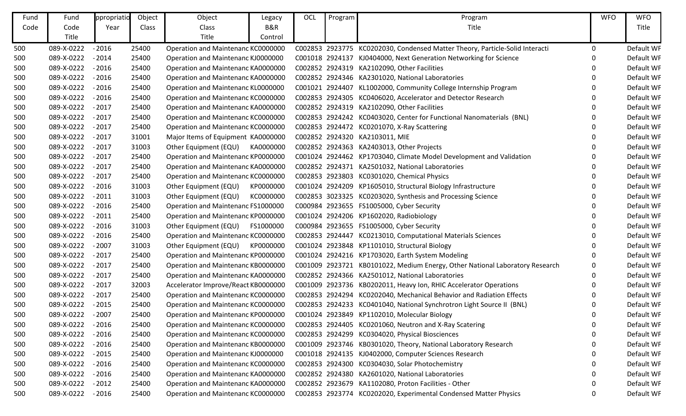| Fund | Fund       | ppropriatio | Object | Object                              | Legacy    | OCL | Program | Program                                                                      | <b>WFO</b> | <b>WFO</b> |
|------|------------|-------------|--------|-------------------------------------|-----------|-----|---------|------------------------------------------------------------------------------|------------|------------|
| Code | Code       | Year        | Class  | Class                               | B&R       |     |         | Title                                                                        |            | Title      |
|      | Title      |             |        | Title                               | Control   |     |         |                                                                              |            |            |
| 500  | 089-X-0222 | $-2016$     | 25400  | Operation and Maintenanc KC0000000  |           |     |         | C002853 2923775 KC0202030, Condensed Matter Theory, Particle-Solid Interacti | 0          | Default WF |
| 500  | 089-X-0222 | $-2014$     | 25400  | Operation and Maintenanc KJ0000000  |           |     |         | C001018 2924137 KJ0404000, Next Generation Networking for Science            | O          | Default WF |
| 500  | 089-X-0222 | $-2016$     | 25400  | Operation and Maintenanc KA0000000  |           |     |         | C002852 2924319 KA2102090, Other Facilities                                  |            | Default WF |
| 500  | 089-X-0222 | $-2016$     | 25400  | Operation and Maintenanc KA0000000  |           |     |         | C002852 2924346 KA2301020, National Laboratories                             | 0          | Default WF |
| 500  | 089-X-0222 | $-2016$     | 25400  | Operation and Maintenanc KL0000000  |           |     |         | C001021 2924407 KL1002000, Community College Internship Program              | O          | Default WF |
| 500  | 089-X-0222 | $-2016$     | 25400  | Operation and Maintenanc KC0000000  |           |     |         | C002853 2924305 KC0406020, Accelerator and Detector Research                 | 0          | Default WF |
| 500  | 089-X-0222 | $-2017$     | 25400  | Operation and Maintenanc KA0000000  |           |     |         | C002852 2924319 KA2102090, Other Facilities                                  |            | Default WF |
| 500  | 089-X-0222 | $-2017$     | 25400  | Operation and Maintenanc KC0000000  |           |     |         | C002853 2924242 KC0403020, Center for Functional Nanomaterials (BNL)         | 0          | Default WF |
| 500  | 089-X-0222 | $-2017$     | 25400  | Operation and Maintenanc KC0000000  |           |     |         | C002853 2924472 KC0201070, X-Ray Scattering                                  | O          | Default WF |
| 500  | 089-X-0222 | $-2017$     | 31001  | Major Items of Equipment KA0000000  |           |     |         | C002852 2924320 KA2103011, MIE                                               | 0          | Default WF |
| 500  | 089-X-0222 | $-2017$     | 31003  | Other Equipment (EQU)               | KA0000000 |     |         | C002852 2924363 KA2403013, Other Projects                                    | 0          | Default WF |
| 500  | 089-X-0222 | $-2017$     | 25400  | Operation and Maintenanc KP0000000  |           |     |         | C001024 2924462 KP1703040, Climate Model Development and Validation          | 0          | Default WF |
| 500  | 089-X-0222 | $-2017$     | 25400  | Operation and Maintenanc KA0000000  |           |     |         | C002852 2924371 KA2501032, National Laboratories                             | 0          | Default WF |
| 500  | 089-X-0222 | $-2017$     | 25400  | Operation and Maintenanc KC0000000  |           |     |         | C002853 2923803 KC0301020, Chemical Physics                                  | O          | Default WF |
| 500  | 089-X-0222 | $-2016$     | 31003  | Other Equipment (EQU)               | KP0000000 |     |         | C001024 2924209 KP1605010, Structural Biology Infrastructure                 |            | Default WF |
| 500  | 089-X-0222 | $-2011$     | 31003  | Other Equipment (EQU)               | KC0000000 |     |         | C002853 3023325 KC0203020, Synthesis and Processing Science                  | 0          | Default WF |
| 500  | 089-X-0222 | $-2016$     | 25400  | Operation and Maintenanc FS1000000  |           |     |         | C000984 2923655 FS1005000, Cyber Security                                    | 0          | Default WF |
| 500  | 089-X-0222 | $-2011$     | 25400  | Operation and Maintenanc KP0000000  |           |     |         | C001024 2924206 KP1602020, Radiobiology                                      | 0          | Default WF |
| 500  | 089-X-0222 | $-2016$     | 31003  | Other Equipment (EQU)               | FS1000000 |     |         | C000984 2923655 FS1005000, Cyber Security                                    | O          | Default WF |
| 500  | 089-X-0222 | $-2016$     | 25400  | Operation and Maintenanc KC0000000  |           |     |         | C002853 2924447 KC0213010, Computational Materials Sciences                  | 0          | Default WF |
| 500  | 089-X-0222 | $-2007$     | 31003  | Other Equipment (EQU)               | KP0000000 |     |         | C001024 2923848 KP1101010, Structural Biology                                | O          | Default WF |
| 500  | 089-X-0222 | $-2017$     | 25400  | Operation and Maintenanc KP0000000  |           |     |         | C001024 2924216 KP1703020, Earth System Modeling                             | 0          | Default WF |
| 500  | 089-X-0222 | $-2017$     | 25400  | Operation and Maintenanc KB0000000  |           |     |         | C001009 2923721 KB0101022, Medium Energy, Other National Laboratory Research | 0          | Default WF |
| 500  | 089-X-0222 | $-2017$     | 25400  | Operation and Maintenanc KA0000000  |           |     |         | C002852 2924366 KA2501012, National Laboratories                             | O          | Default WF |
| 500  | 089-X-0222 | $-2017$     | 32003  | Accelerator Improve/React KB0000000 |           |     |         | C001009 2923736 KB0202011, Heavy Ion, RHIC Accelerator Operations            | 0          | Default WF |
| 500  | 089-X-0222 | $-2017$     | 25400  | Operation and Maintenanc KC0000000  |           |     |         | C002853 2924294 KC0202040, Mechanical Behavior and Radiation Effects         | 0          | Default WF |
| 500  | 089-X-0222 | $-2015$     | 25400  | Operation and Maintenanc KC0000000  |           |     |         | C002853 2924233 KC0401040, National Synchrotron Light Source II (BNL)        |            | Default WF |
| 500  | 089-X-0222 | $-2007$     | 25400  | Operation and Maintenanc KP0000000  |           |     |         | C001024 2923849 KP1102010, Molecular Biology                                 | O          | Default WF |
| 500  | 089-X-0222 | $-2016$     | 25400  | Operation and Maintenanc KC0000000  |           |     |         | C002853 2924405 KC0201060, Neutron and X-Ray Scatering                       | 0          | Default WF |
| 500  | 089-X-0222 | $-2016$     | 25400  | Operation and Maintenanc KC0000000  |           |     |         | C002853 2924299 KC0304020, Physical Biosciences                              | $\Omega$   | Default WF |
| 500  | 089-X-0222 | $-2016$     | 25400  | Operation and Maintenanc KB0000000  |           |     |         | C001009 2923746 KB0301020, Theory, National Laboratory Research              |            | Default WF |
| 500  | 089-X-0222 | $-2015$     | 25400  | Operation and Maintenanc KJ0000000  |           |     |         | C001018 2924135 KJ0402000, Computer Sciences Research                        |            | Default WF |
| 500  | 089-X-0222 | $-2016$     | 25400  | Operation and Maintenanc KC0000000  |           |     |         | C002853 2924300 KC0304030, Solar Photochemistry                              |            | Default WF |
| 500  | 089-X-0222 | $-2016$     | 25400  | Operation and Maintenanc KA0000000  |           |     |         | C002852 2924380 KA2601020, National Laboratories                             |            | Default WF |
| 500  | 089-X-0222 | $-2012$     | 25400  | Operation and Maintenanc KA0000000  |           |     |         | C002852 2923679 KA1102080, Proton Facilities - Other                         | 0          | Default WF |
| 500  | 089-X-0222 | $-2016$     | 25400  | Operation and Maintenanc KC0000000  |           |     |         | C002853 2923774 KC0202020, Experimental Condensed Matter Physics             | 0          | Default WF |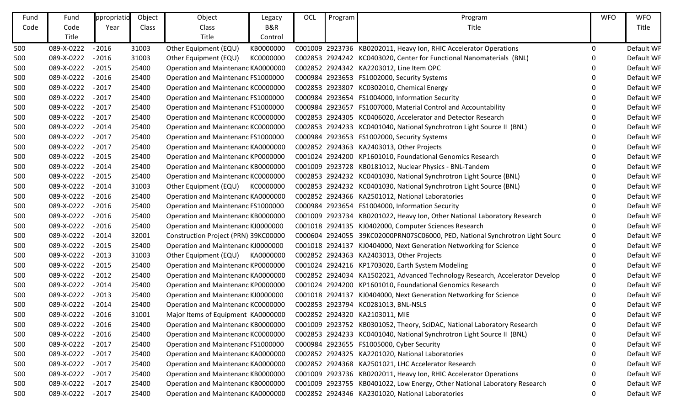| Fund | Fund       | ppropriatio | Object | Object                               | Legacy    | OCL | Program | Program                                                                      | <b>WFO</b> | <b>WFO</b> |
|------|------------|-------------|--------|--------------------------------------|-----------|-----|---------|------------------------------------------------------------------------------|------------|------------|
| Code | Code       | Year        | Class  | Class                                | B&R       |     |         | Title                                                                        |            | Title      |
|      | Title      |             |        | Title                                | Control   |     |         |                                                                              |            |            |
| 500  | 089-X-0222 | $-2016$     | 31003  | Other Equipment (EQU)                | KB0000000 |     |         | C001009 2923736 KB0202011, Heavy Ion, RHIC Accelerator Operations            | 0          | Default WF |
| 500  | 089-X-0222 | $-2016$     | 31003  | Other Equipment (EQU)                | KC0000000 |     |         | C002853 2924242 KC0403020, Center for Functional Nanomaterials (BNL)         | O          | Default WF |
| 500  | 089-X-0222 | $-2015$     | 25400  | Operation and Maintenanc KA0000000   |           |     |         | C002852 2924342 KA2203012, Line Item OPC                                     |            | Default WF |
| 500  | 089-X-0222 | $-2016$     | 25400  | Operation and Maintenanc FS1000000   |           |     |         | C000984 2923653 FS1002000, Security Systems                                  | 0          | Default WF |
| 500  | 089-X-0222 | $-2017$     | 25400  | Operation and Maintenanc KC0000000   |           |     |         | C002853 2923807 KC0302010, Chemical Energy                                   | O          | Default WF |
| 500  | 089-X-0222 | $-2017$     | 25400  | Operation and Maintenanc FS1000000   |           |     |         | C000984 2923654 FS1004000, Information Security                              |            | Default WF |
| 500  | 089-X-0222 | $-2017$     | 25400  | Operation and Maintenanc FS1000000   |           |     |         | C000984 2923657 FS1007000, Material Control and Accountability               |            | Default WF |
| 500  | 089-X-0222 | $-2017$     | 25400  | Operation and Maintenanc KC0000000   |           |     |         | C002853 2924305 KC0406020, Accelerator and Detector Research                 | 0          | Default WF |
| 500  | 089-X-0222 | $-2014$     | 25400  | Operation and Maintenanc KC0000000   |           |     |         | C002853 2924233 KC0401040, National Synchrotron Light Source II (BNL)        | O          | Default WF |
| 500  | 089-X-0222 | $-2017$     | 25400  | Operation and Maintenanc FS1000000   |           |     |         | C000984 2923653 FS1002000, Security Systems                                  | O          | Default WF |
| 500  | 089-X-0222 | $-2017$     | 25400  | Operation and Maintenanc KA0000000   |           |     |         | C002852 2924363 KA2403013, Other Projects                                    | 0          | Default WF |
| 500  | 089-X-0222 | $-2015$     | 25400  | Operation and Maintenanc KP0000000   |           |     |         | C001024 2924200 KP1601010, Foundational Genomics Research                    | 0          | Default WF |
| 500  | 089-X-0222 | $-2014$     | 25400  | Operation and Maintenanc KB0000000   |           |     |         | C001009 2923728 KB0181012, Nuclear Physics - BNL-Tandem                      |            | Default WF |
| 500  | 089-X-0222 | $-2015$     | 25400  | Operation and Maintenanc KC0000000   |           |     |         | C002853 2924232 KC0401030, National Synchrotron Light Source (BNL)           | 0          | Default WF |
| 500  | 089-X-0222 | $-2014$     | 31003  | Other Equipment (EQU)                | KC0000000 |     |         | C002853 2924232 KC0401030, National Synchrotron Light Source (BNL)           |            | Default WF |
| 500  | 089-X-0222 | $-2016$     | 25400  | Operation and Maintenanc KA0000000   |           |     |         | C002852 2924366 KA2501012, National Laboratories                             | 0          | Default WF |
| 500  | 089-X-0222 | $-2016$     | 25400  | Operation and Maintenanc FS1000000   |           |     |         | C000984 2923654 FS1004000, Information Security                              |            | Default WF |
| 500  | 089-X-0222 | $-2016$     | 25400  | Operation and Maintenanc KB0000000   |           |     |         | C001009 2923734 KB0201022, Heavy Ion, Other National Laboratory Research     | 0          | Default WF |
| 500  | 089-X-0222 | $-2016$     | 25400  | Operation and Maintenanc KJ0000000   |           |     |         | C001018 2924135 KJ0402000, Computer Sciences Research                        | O          | Default WF |
| 500  | 089-X-0222 | $-2014$     | 32001  | Construction Project (PRN) 39KC00000 |           |     |         | C000604 2924055 39KC02000PRN07SC06000, PED, National Synchrotron Light Sourc | 0          | Default WF |
| 500  | 089-X-0222 | $-2015$     | 25400  | Operation and Maintenanc KJ0000000   |           |     |         | C001018 2924137 KJ0404000, Next Generation Networking for Science            | 0          | Default WF |
| 500  | 089-X-0222 | $-2013$     | 31003  | Other Equipment (EQU)                | KA0000000 |     |         | C002852 2924363 KA2403013, Other Projects                                    | 0          | Default WF |
| 500  | 089-X-0222 | $-2015$     | 25400  | Operation and Maintenanc KP0000000   |           |     |         | C001024 2924216 KP1703020, Earth System Modeling                             | 0          | Default WF |
| 500  | 089-X-0222 | $-2012$     | 25400  | Operation and Maintenanc KA0000000   |           |     |         | C002852 2924034 KA1502021, Advanced Technology Research, Accelerator Develop | 0          | Default WF |
| 500  | 089-X-0222 | $-2014$     | 25400  | Operation and Maintenanc KP0000000   |           |     |         | C001024 2924200 KP1601010, Foundational Genomics Research                    | 0          | Default WF |
| 500  | 089-X-0222 | $-2013$     | 25400  | Operation and Maintenanc KJ0000000   |           |     |         | C001018 2924137 KJ0404000, Next Generation Networking for Science            |            | Default WF |
| 500  | 089-X-0222 | $-2014$     | 25400  | Operation and Maintenanc KC0000000   |           |     |         | C002853 2923794 KC0281013, BNL-NSLS                                          |            | Default WF |
| 500  | 089-X-0222 | $-2016$     | 31001  | Major Items of Equipment KA0000000   |           |     |         | C002852 2924320 KA2103011, MIE                                               | ∩          | Default WF |
| 500  | 089-X-0222 | $-2016$     | 25400  | Operation and Maintenanc KB0000000   |           |     |         | C001009 2923752 KB0301052, Theory, SciDAC, National Laboratory Research      | 0          | Default WF |
| 500  | 089-X-0222 | $-2016$     | 25400  | Operation and Maintenanc KC0000000   |           |     |         | C002853 2924233 KC0401040, National Synchrotron Light Source II (BNL)        | 0          | Default WF |
| 500  | 089-X-0222 | $-2017$     | 25400  | Operation and Maintenanc FS1000000   |           |     |         | C000984 2923655 FS1005000, Cyber Security                                    |            | Default WF |
| 500  | 089-X-0222 | $-2017$     | 25400  | Operation and Maintenanc KA0000000   |           |     |         | C002852 2924325 KA2201020, National Laboratories                             |            | Default WF |
| 500  | 089-X-0222 | $-2017$     | 25400  | Operation and Maintenanc KA0000000   |           |     |         | C002852 2924368 KA2501021, LHC Accelerator Research                          |            | Default WF |
| 500  | 089-X-0222 | $-2017$     | 25400  | Operation and Maintenanc KB0000000   |           |     |         | C001009 2923736 KB0202011, Heavy Ion, RHIC Accelerator Operations            |            | Default WF |
| 500  | 089-X-0222 | $-2017$     | 25400  | Operation and Maintenanc KB0000000   |           |     |         | C001009 2923755 KB0401022, Low Energy, Other National Laboratory Research    | 0          | Default WF |
| 500  | 089-X-0222 | $-2017$     | 25400  | Operation and Maintenanc KA0000000   |           |     |         | C002852 2924346 KA2301020, National Laboratories                             | 0          | Default WF |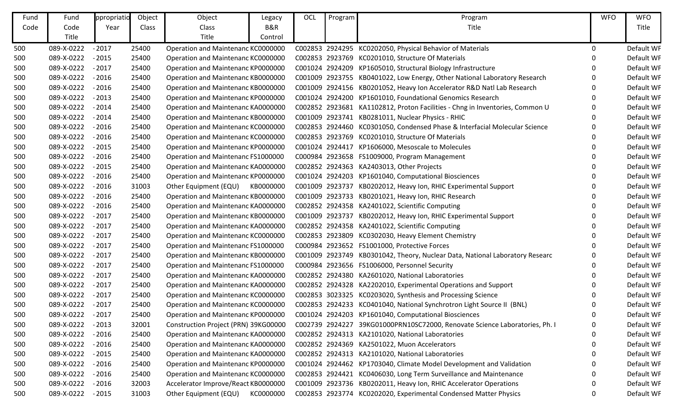| Fund | Fund       | ppropriatio | Object | Object                               | Legacy    | OCL | Program | Program                                                                      | <b>WFO</b> | <b>WFO</b> |
|------|------------|-------------|--------|--------------------------------------|-----------|-----|---------|------------------------------------------------------------------------------|------------|------------|
| Code | Code       | Year        | Class  | Class                                | B&R       |     |         | Title                                                                        |            | Title      |
|      | Title      |             |        | Title                                | Control   |     |         |                                                                              |            |            |
| 500  | 089-X-0222 | $-2017$     | 25400  | Operation and Maintenanc KC0000000   |           |     |         | C002853 2924295 KC0202050, Physical Behavior of Materials                    | 0          | Default WF |
| 500  | 089-X-0222 | $-2015$     | 25400  | Operation and Maintenanc KC0000000   |           |     |         | C002853 2923769 KC0201010, Structure Of Materials                            | O          | Default WF |
| 500  | 089-X-0222 | $-2017$     | 25400  | Operation and Maintenanc KP0000000   |           |     |         | C001024 2924209 KP1605010, Structural Biology Infrastructure                 |            | Default WF |
| 500  | 089-X-0222 | $-2016$     | 25400  | Operation and Maintenanc KB0000000   |           |     |         | C001009 2923755 KB0401022, Low Energy, Other National Laboratory Research    | $\Omega$   | Default WF |
| 500  | 089-X-0222 | $-2016$     | 25400  | Operation and Maintenanc KB0000000   |           |     |         | C001009 2924156 KB0201052, Heavy Ion Accelerator R&D Natl Lab Research       | 0          | Default WF |
| 500  | 089-X-0222 | $-2013$     | 25400  | Operation and Maintenanc KP0000000   |           |     |         | C001024 2924200 KP1601010, Foundational Genomics Research                    | 0          | Default WF |
| 500  | 089-X-0222 | $-2014$     | 25400  | Operation and Maintenanc KA0000000   |           |     |         | C002852 2923681 KA1102812, Proton Facilities - Chng in Inventories, Common U | 0          | Default WF |
| 500  | 089-X-0222 | $-2014$     | 25400  | Operation and Maintenanc KB0000000   |           |     |         | C001009 2923741 KB0281011, Nuclear Physics - RHIC                            | 0          | Default WF |
| 500  | 089-X-0222 | $-2016$     | 25400  | Operation and Maintenanc KC0000000   |           |     |         | C002853 2924460 KC0301050, Condensed Phase & Interfacial Molecular Science   | O          | Default WF |
| 500  | 089-X-0222 | $-2016$     | 25400  | Operation and Maintenanc KC0000000   |           |     |         | C002853 2923769 KC0201010, Structure Of Materials                            | O          | Default WF |
| 500  | 089-X-0222 | $-2015$     | 25400  | Operation and Maintenanc KP0000000   |           |     |         | C001024 2924417 KP1606000, Mesoscale to Molecules                            | 0          | Default WF |
| 500  | 089-X-0222 | $-2016$     | 25400  | Operation and Maintenanc FS1000000   |           |     |         | C000984 2923658 FS1009000, Program Management                                | 0          | Default WF |
| 500  | 089-X-0222 | $-2015$     | 25400  | Operation and Maintenanc KA0000000   |           |     |         | C002852 2924363 KA2403013, Other Projects                                    | 0          | Default WF |
| 500  | 089-X-0222 | $-2016$     | 25400  | Operation and Maintenanc KP0000000   |           |     |         | C001024 2924203 KP1601040, Computational Biosciences                         | 0          | Default WF |
| 500  | 089-X-0222 | $-2016$     | 31003  | Other Equipment (EQU)                | KB0000000 |     |         | C001009 2923737 KB0202012, Heavy Ion, RHIC Experimental Support              | 0          | Default WF |
| 500  | 089-X-0222 | $-2016$     | 25400  | Operation and Maintenanc KB0000000   |           |     |         | C001009 2923733 KB0201021, Heavy Ion, RHIC Research                          | 0          | Default WF |
| 500  | 089-X-0222 | $-2016$     | 25400  | Operation and Maintenanc KA0000000   |           |     |         | C002852 2924358 KA2401022, Scientific Computing                              | 0          | Default WF |
| 500  | 089-X-0222 | $-2017$     | 25400  | Operation and Maintenanc KB0000000   |           |     |         | C001009 2923737 KB0202012, Heavy Ion, RHIC Experimental Support              | 0          | Default WF |
| 500  | 089-X-0222 | $-2017$     | 25400  | Operation and Maintenanc KA0000000   |           |     |         | C002852 2924358 KA2401022, Scientific Computing                              | O          | Default WF |
| 500  | 089-X-0222 | $-2017$     | 25400  | Operation and Maintenanc KC0000000   |           |     |         | C002853 2923809 KC0302030, Heavy Element Chemistry                           | 0          | Default WF |
| 500  | 089-X-0222 | $-2017$     | 25400  | Operation and Maintenanc FS1000000   |           |     |         | C000984 2923652 FS1001000, Protective Forces                                 | O          | Default WF |
| 500  | 089-X-0222 | $-2017$     | 25400  | Operation and Maintenanc KB0000000   |           |     |         | C001009 2923749 KB0301042, Theory, Nuclear Data, National Laboratory Researc |            | Default WF |
| 500  | 089-X-0222 | $-2017$     | 25400  | Operation and Maintenanc FS1000000   |           |     |         | C000984 2923656 FS1006000, Personnel Security                                | 0          | Default WF |
| 500  | 089-X-0222 | $-2017$     | 25400  | Operation and Maintenanc KA0000000   |           |     |         | C002852 2924380 KA2601020, National Laboratories                             | O          | Default WF |
| 500  | 089-X-0222 | $-2017$     | 25400  | Operation and Maintenanc KA0000000   |           |     |         | C002852 2924328 KA2202010, Experimental Operations and Support               | 0          | Default WF |
| 500  | 089-X-0222 | $-2017$     | 25400  | Operation and Maintenanc KC0000000   |           |     |         | C002853 3023325 KC0203020, Synthesis and Processing Science                  | 0          | Default WF |
| 500  | 089-X-0222 | $-2017$     | 25400  | Operation and Maintenanc KC0000000   |           |     |         | C002853 2924233 KC0401040, National Synchrotron Light Source II (BNL)        |            | Default WF |
| 500  | 089-X-0222 | $-2017$     | 25400  | Operation and Maintenanc KP0000000   |           |     |         | C001024 2924203 KP1601040, Computational Biosciences                         | ∩          | Default WF |
| 500  | 089-X-0222 | $-2013$     | 32001  | Construction Project (PRN) 39KG00000 |           |     |         | C002739 2924227 39KG01000PRN10SC72000, Renovate Science Laboratories, Ph. I  | 0          | Default WF |
| 500  | 089-X-0222 | $-2016$     | 25400  | Operation and Maintenanc KA0000000   |           |     |         | C002852 2924313 KA2101020, National Laboratories                             | 0          | Default WF |
| 500  | 089-X-0222 | $-2016$     | 25400  | Operation and Maintenanc KA0000000   |           |     |         | C002852 2924369 KA2501022, Muon Accelerators                                 | 0          | Default WF |
| 500  | 089-X-0222 | $-2015$     | 25400  | Operation and Maintenanc KA0000000   |           |     |         | C002852 2924313 KA2101020, National Laboratories                             |            | Default WF |
| 500  | 089-X-0222 | $-2016$     | 25400  | Operation and Maintenanc KP0000000   |           |     |         | C001024 2924462 KP1703040, Climate Model Development and Validation          |            | Default WF |
| 500  | 089-X-0222 | $-2016$     | 25400  | Operation and Maintenanc KC0000000   |           |     |         | C002853 2924421 KC0406030, Long Term Surveillance and Maintenance            |            | Default WF |
| 500  | 089-X-0222 | $-2016$     | 32003  | Accelerator Improve/React KB0000000  |           |     |         | C001009 2923736 KB0202011, Heavy Ion, RHIC Accelerator Operations            | 0          | Default WF |
| 500  | 089-X-0222 | $-2015$     | 31003  | Other Equipment (EQU)                | KC0000000 |     |         | C002853 2923774 KC0202020, Experimental Condensed Matter Physics             | 0          | Default WF |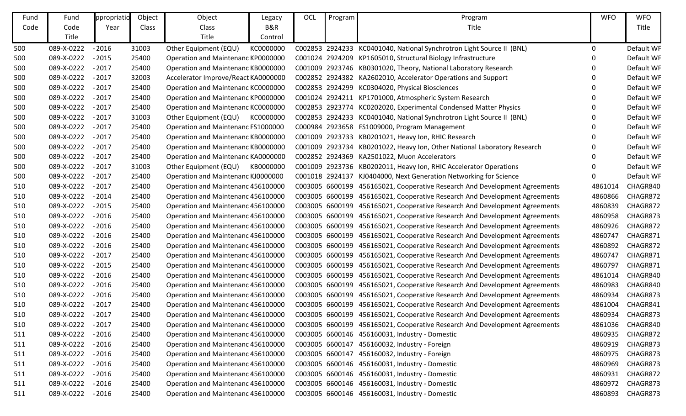| Fund | Fund       | ppropriatio | Object | Object                              | Legacy    | OCL | Program | Program                                                                    | <b>WFO</b>  | <b>WFO</b> |
|------|------------|-------------|--------|-------------------------------------|-----------|-----|---------|----------------------------------------------------------------------------|-------------|------------|
| Code | Code       | Year        | Class  | Class                               | B&R       |     |         | Title                                                                      |             | Title      |
|      | Title      |             |        | Title                               | Control   |     |         |                                                                            |             |            |
| 500  | 089-X-0222 | $-2016$     | 31003  | Other Equipment (EQU)               | KC0000000 |     |         | C002853 2924233 KC0401040, National Synchrotron Light Source II (BNL)      | $\mathbf 0$ | Default WF |
| 500  | 089-X-0222 | $-2015$     | 25400  | Operation and Maintenanc KP0000000  |           |     |         | C001024 2924209 KP1605010, Structural Biology Infrastructure               | $\Omega$    | Default WF |
| 500  | 089-X-0222 | $-2017$     | 25400  | Operation and Maintenanc KB0000000  |           |     |         | C001009 2923746 KB0301020, Theory, National Laboratory Research            |             | Default WF |
| 500  | 089-X-0222 | $-2017$     | 32003  | Accelerator Improve/React KA0000000 |           |     |         | C002852 2924382 KA2602010, Accelerator Operations and Support              | 0           | Default WF |
| 500  | 089-X-0222 | $-2017$     | 25400  | Operation and Maintenanc KC0000000  |           |     |         | C002853 2924299 KC0304020, Physical Biosciences                            |             | Default WF |
| 500  | 089-X-0222 | $-2017$     | 25400  | Operation and Maintenanc KP0000000  |           |     |         | C001024 2924211 KP1701000, Atmospheric System Research                     |             | Default WF |
| 500  | 089-X-0222 | $-2017$     | 25400  | Operation and Maintenanc KC0000000  |           |     |         | C002853 2923774 KC0202020, Experimental Condensed Matter Physics           |             | Default WF |
| 500  | 089-X-0222 | $-2017$     | 31003  | Other Equipment (EQU)               | KC0000000 |     |         | C002853 2924233 KC0401040, National Synchrotron Light Source II (BNL)      |             | Default WF |
| 500  | 089-X-0222 | $-2017$     | 25400  | Operation and Maintenanc FS1000000  |           |     |         | C000984 2923658 FS1009000, Program Management                              | $\Omega$    | Default WF |
| 500  | 089-X-0222 | $-2017$     | 25400  | Operation and Maintenanc KB0000000  |           |     |         | C001009 2923733 KB0201021, Heavy Ion, RHIC Research                        |             | Default WF |
| 500  | 089-X-0222 | $-2017$     | 25400  | Operation and Maintenanc KB0000000  |           |     |         | C001009 2923734 KB0201022, Heavy Ion, Other National Laboratory Research   | 0           | Default WF |
| 500  | 089-X-0222 | $-2017$     | 25400  | Operation and Maintenanc KA0000000  |           |     |         | C002852 2924369 KA2501022, Muon Accelerators                               |             | Default WF |
| 500  | 089-X-0222 | $-2017$     | 31003  | Other Equipment (EQU)               | KB0000000 |     |         | C001009 2923736 KB0202011, Heavy Ion, RHIC Accelerator Operations          |             | Default WF |
| 500  | 089-X-0222 | $-2017$     | 25400  | Operation and Maintenanc KJ0000000  |           |     |         | C001018 2924137 KJ0404000, Next Generation Networking for Science          | 0           | Default WF |
| 510  | 089-X-0222 | $-2017$     | 25400  | Operation and Maintenanc 456100000  |           |     |         | C003005 6600199 456165021, Cooperative Research And Development Agreements | 4861014     | CHAGR840   |
| 510  | 089-X-0222 | $-2014$     | 25400  | Operation and Maintenanc 456100000  |           |     |         | C003005 6600199 456165021, Cooperative Research And Development Agreements | 4860866     | CHAGR872   |
| 510  | 089-X-0222 | $-2015$     | 25400  | Operation and Maintenanc 456100000  |           |     |         | C003005 6600199 456165021, Cooperative Research And Development Agreements | 4860839     | CHAGR872   |
| 510  | 089-X-0222 | $-2016$     | 25400  | Operation and Maintenanc 456100000  |           |     |         | C003005 6600199 456165021, Cooperative Research And Development Agreements | 4860958     | CHAGR873   |
| 510  | 089-X-0222 | $-2016$     | 25400  | Operation and Maintenanc 456100000  |           |     |         | C003005 6600199 456165021, Cooperative Research And Development Agreements | 4860926     | CHAGR872   |
| 510  | 089-X-0222 | $-2016$     | 25400  | Operation and Maintenanc 456100000  |           |     |         | C003005 6600199 456165021, Cooperative Research And Development Agreements | 4860747     | CHAGR871   |
| 510  | 089-X-0222 | $-2016$     | 25400  | Operation and Maintenanc 456100000  |           |     |         | C003005 6600199 456165021, Cooperative Research And Development Agreements | 4860892     | CHAGR872   |
| 510  | 089-X-0222 | $-2017$     | 25400  | Operation and Maintenanc 456100000  |           |     |         | C003005 6600199 456165021, Cooperative Research And Development Agreements | 4860747     | CHAGR871   |
| 510  | 089-X-0222 | $-2015$     | 25400  | Operation and Maintenanc 456100000  |           |     |         | C003005 6600199 456165021, Cooperative Research And Development Agreements | 4860797     | CHAGR871   |
| 510  | 089-X-0222 | $-2016$     | 25400  | Operation and Maintenanc 456100000  |           |     |         | C003005 6600199 456165021, Cooperative Research And Development Agreements | 4861014     | CHAGR840   |
| 510  | 089-X-0222 | $-2016$     | 25400  | Operation and Maintenanc 456100000  |           |     |         | C003005 6600199 456165021, Cooperative Research And Development Agreements | 4860983     | CHAGR840   |
| 510  | 089-X-0222 | $-2016$     | 25400  | Operation and Maintenanc 456100000  |           |     |         | C003005 6600199 456165021, Cooperative Research And Development Agreements | 4860934     | CHAGR873   |
| 510  | 089-X-0222 | $-2017$     | 25400  | Operation and Maintenanc 456100000  |           |     |         | C003005 6600199 456165021, Cooperative Research And Development Agreements | 4861004     | CHAGR841   |
| 510  | 089-X-0222 | $-2017$     | 25400  | Operation and Maintenanc 456100000  |           |     |         | C003005 6600199 456165021, Cooperative Research And Development Agreements | 4860934     | CHAGR873   |
| 510  | 089-X-0222 | $-2017$     | 25400  | Operation and Maintenanc 456100000  |           |     |         | C003005 6600199 456165021, Cooperative Research And Development Agreements | 4861036     | CHAGR840   |
| 511  | 089-X-0222 | $-2016$     | 25400  | Operation and Maintenanc 456100000  |           |     |         | C003005 6600146 456160031, Industry - Domestic                             | 4860935     | CHAGR872   |
| 511  | 089-X-0222 | $-2016$     | 25400  | Operation and Maintenanc 456100000  |           |     |         | C003005 6600147 456160032, Industry - Foreign                              | 4860919     | CHAGR873   |
| 511  | 089-X-0222 | $-2016$     | 25400  | Operation and Maintenanc 456100000  |           |     |         | C003005 6600147 456160032, Industry - Foreign                              | 4860975     | CHAGR873   |
| 511  | 089-X-0222 | $-2016$     | 25400  | Operation and Maintenanc 456100000  |           |     |         | C003005 6600146 456160031, Industry - Domestic                             | 4860969     | CHAGR873   |
| 511  | 089-X-0222 | $-2016$     | 25400  | Operation and Maintenanc 456100000  |           |     |         | C003005 6600146 456160031, Industry - Domestic                             | 4860931     | CHAGR872   |
| 511  | 089-X-0222 | $-2016$     | 25400  | Operation and Maintenanc 456100000  |           |     |         | C003005 6600146 456160031, Industry - Domestic                             | 4860972     | CHAGR873   |
| 511  | 089-X-0222 | $-2016$     | 25400  | Operation and Maintenanc 456100000  |           |     |         | C003005 6600146 456160031, Industry - Domestic                             | 4860893     | CHAGR873   |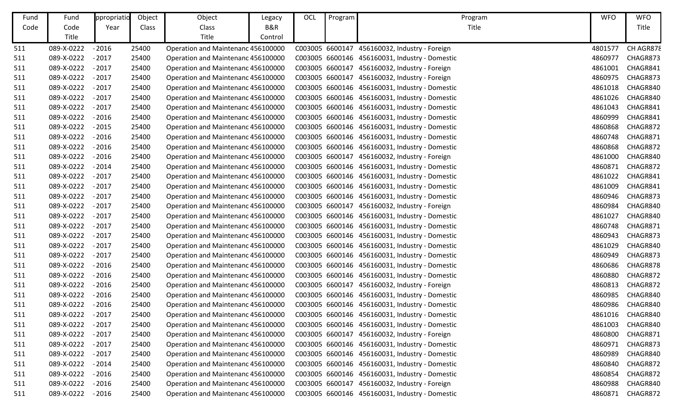| Fund | Fund       | ppropriatio | Object | Object                             | Legacy  | OCL | Program | Program                                        | <b>WFO</b> | <b>WFO</b> |
|------|------------|-------------|--------|------------------------------------|---------|-----|---------|------------------------------------------------|------------|------------|
| Code | Code       | Year        | Class  | Class                              | B&R     |     |         | Title                                          |            | Title      |
|      | Title      |             |        | Title                              | Control |     |         |                                                |            |            |
| 511  | 089-X-0222 | $-2016$     | 25400  | Operation and Maintenanc 456100000 |         |     |         | C003005 6600147 456160032, Industry - Foreign  | 4801577    | CH AGR878  |
| 511  | 089-X-0222 | $-2017$     | 25400  | Operation and Maintenanc 456100000 |         |     |         | C003005 6600146 456160031, Industry - Domestic | 4860977    | CHAGR873   |
| 511  | 089-X-0222 | $-2017$     | 25400  | Operation and Maintenanc 456100000 |         |     |         | C003005 6600147 456160032, Industry - Foreign  | 4861001    | CHAGR841   |
| 511  | 089-X-0222 | $-2017$     | 25400  | Operation and Maintenanc 456100000 |         |     |         | C003005 6600147 456160032, Industry - Foreign  | 4860975    | CHAGR873   |
| 511  | 089-X-0222 | $-2017$     | 25400  | Operation and Maintenanc 456100000 |         |     |         | C003005 6600146 456160031, Industry - Domestic | 4861018    | CHAGR840   |
| 511  | 089-X-0222 | $-2017$     | 25400  | Operation and Maintenanc 456100000 |         |     |         | C003005 6600146 456160031, Industry - Domestic | 4861026    | CHAGR840   |
| 511  | 089-X-0222 | $-2017$     | 25400  | Operation and Maintenanc 456100000 |         |     |         | C003005 6600146 456160031, Industry - Domestic | 4861043    | CHAGR841   |
| 511  | 089-X-0222 | $-2016$     | 25400  | Operation and Maintenanc 456100000 |         |     |         | C003005 6600146 456160031, Industry - Domestic | 4860999    | CHAGR841   |
| 511  | 089-X-0222 | $-2015$     | 25400  | Operation and Maintenanc 456100000 |         |     |         | C003005 6600146 456160031, Industry - Domestic | 4860868    | CHAGR872   |
| 511  | 089-X-0222 | $-2016$     | 25400  | Operation and Maintenanc 456100000 |         |     |         | C003005 6600146 456160031, Industry - Domestic | 4860748    | CHAGR871   |
| 511  | 089-X-0222 | $-2016$     | 25400  | Operation and Maintenanc 456100000 |         |     |         | C003005 6600146 456160031, Industry - Domestic | 4860868    | CHAGR872   |
| 511  | 089-X-0222 | $-2016$     | 25400  | Operation and Maintenanc 456100000 |         |     |         | C003005 6600147 456160032, Industry - Foreign  | 4861000    | CHAGR840   |
| 511  | 089-X-0222 | $-2014$     | 25400  | Operation and Maintenanc 456100000 |         |     |         | C003005 6600146 456160031, Industry - Domestic | 4860871    | CHAGR872   |
| 511  | 089-X-0222 | $-2017$     | 25400  | Operation and Maintenanc 456100000 |         |     |         | C003005 6600146 456160031, Industry - Domestic | 4861022    | CHAGR841   |
| 511  | 089-X-0222 | $-2017$     | 25400  | Operation and Maintenanc 456100000 |         |     |         | C003005 6600146 456160031, Industry - Domestic | 4861009    | CHAGR841   |
| 511  | 089-X-0222 | $-2017$     | 25400  | Operation and Maintenanc 456100000 |         |     |         | C003005 6600146 456160031, Industry - Domestic | 4860946    | CHAGR873   |
| 511  | 089-X-0222 | $-2017$     | 25400  | Operation and Maintenanc 456100000 |         |     |         | C003005 6600147 456160032, Industry - Foreign  | 4860984    | CHAGR840   |
| 511  | 089-X-0222 | $-2017$     | 25400  | Operation and Maintenanc 456100000 |         |     |         | C003005 6600146 456160031, Industry - Domestic | 4861027    | CHAGR840   |
| 511  | 089-X-0222 | $-2017$     | 25400  | Operation and Maintenanc 456100000 |         |     |         | C003005 6600146 456160031, Industry - Domestic | 4860748    | CHAGR871   |
| 511  | 089-X-0222 | $-2017$     | 25400  | Operation and Maintenanc 456100000 |         |     |         | C003005 6600146 456160031, Industry - Domestic | 4860943    | CHAGR873   |
| 511  | 089-X-0222 | $-2017$     | 25400  | Operation and Maintenanc 456100000 |         |     |         | C003005 6600146 456160031, Industry - Domestic | 4861029    | CHAGR840   |
| 511  | 089-X-0222 | $-2017$     | 25400  | Operation and Maintenanc 456100000 |         |     |         | C003005 6600146 456160031, Industry - Domestic | 4860949    | CHAGR873   |
| 511  | 089-X-0222 | $-2016$     | 25400  | Operation and Maintenanc 456100000 |         |     |         | C003005 6600146 456160031, Industry - Domestic | 4860686    | CHAGR878   |
| 511  | 089-X-0222 | $-2016$     | 25400  | Operation and Maintenanc 456100000 |         |     |         | C003005 6600146 456160031, Industry - Domestic | 4860880    | CHAGR872   |
| 511  | 089-X-0222 | $-2016$     | 25400  | Operation and Maintenanc 456100000 |         |     |         | C003005 6600147 456160032, Industry - Foreign  | 4860813    | CHAGR872   |
| 511  | 089-X-0222 | $-2016$     | 25400  | Operation and Maintenanc 456100000 |         |     |         | C003005 6600146 456160031, Industry - Domestic | 4860985    | CHAGR840   |
| 511  | 089-X-0222 | $-2016$     | 25400  | Operation and Maintenanc 456100000 |         |     |         | C003005 6600146 456160031, Industry - Domestic | 4860986    | CHAGR840   |
| 511  | 089-X-0222 | $-2017$     | 25400  | Operation and Maintenanc 456100000 |         |     |         | C003005 6600146 456160031, Industry - Domestic | 4861016    | CHAGR840   |
| 511  | 089-X-0222 | $-2017$     | 25400  | Operation and Maintenanc 456100000 |         |     |         | C003005 6600146 456160031, Industry - Domestic | 4861003    | CHAGR840   |
| 511  | 089-X-0222 | $-2017$     | 25400  | Operation and Maintenanc 456100000 |         |     |         | C003005 6600147 456160032, Industry - Foreign  | 4860800    | CHAGR871   |
| 511  | 089-X-0222 | $-2017$     | 25400  | Operation and Maintenanc 456100000 |         |     |         | C003005 6600146 456160031, Industry - Domestic | 4860971    | CHAGR873   |
| 511  | 089-X-0222 | $-2017$     | 25400  | Operation and Maintenanc 456100000 |         |     |         | C003005 6600146 456160031, Industry - Domestic | 4860989    | CHAGR840   |
| 511  | 089-X-0222 | $-2014$     | 25400  | Operation and Maintenanc 456100000 |         |     |         | C003005 6600146 456160031, Industry - Domestic | 4860840    | CHAGR872   |
| 511  | 089-X-0222 | $-2016$     | 25400  | Operation and Maintenanc 456100000 |         |     |         | C003005 6600146 456160031, Industry - Domestic | 4860854    | CHAGR872   |
| 511  | 089-X-0222 | $-2016$     | 25400  | Operation and Maintenanc 456100000 |         |     |         | C003005 6600147 456160032, Industry - Foreign  | 4860988    | CHAGR840   |
| 511  | 089-X-0222 | $-2016$     | 25400  | Operation and Maintenanc 456100000 |         |     |         | C003005 6600146 456160031, Industry - Domestic | 4860871    | CHAGR872   |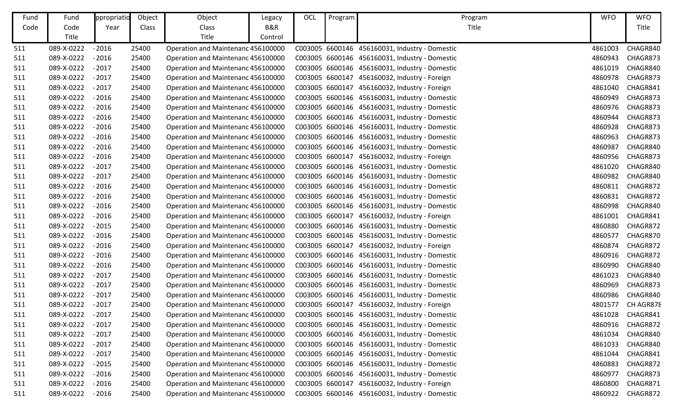| Fund | Fund       | ppropriatio | Object | Object                             | Legacy  | OCL | Program | Program                                        | <b>WFO</b> | <b>WFO</b> |
|------|------------|-------------|--------|------------------------------------|---------|-----|---------|------------------------------------------------|------------|------------|
| Code | Code       | Year        | Class  | Class                              | B&R     |     |         | Title                                          |            | Title      |
|      | Title      |             |        | Title                              | Control |     |         |                                                |            |            |
| 511  | 089-X-0222 | $-2016$     | 25400  | Operation and Maintenanc 456100000 |         |     |         | C003005 6600146 456160031, Industry - Domestic | 4861003    | CHAGR840   |
| 511  | 089-X-0222 | $-2016$     | 25400  | Operation and Maintenanc 456100000 |         |     |         | C003005 6600146 456160031, Industry - Domestic | 4860943    | CHAGR873   |
| 511  | 089-X-0222 | $-2017$     | 25400  | Operation and Maintenanc 456100000 |         |     |         | C003005 6600146 456160031, Industry - Domestic | 4861019    | CHAGR840   |
| 511  | 089-X-0222 | $-2017$     | 25400  | Operation and Maintenanc 456100000 |         |     |         | C003005 6600147 456160032, Industry - Foreign  | 4860978    | CHAGR873   |
| 511  | 089-X-0222 | $-2017$     | 25400  | Operation and Maintenanc 456100000 |         |     |         | C003005 6600147 456160032, Industry - Foreign  | 4861040    | CHAGR841   |
| 511  | 089-X-0222 | $-2016$     | 25400  | Operation and Maintenanc 456100000 |         |     |         | C003005 6600146 456160031, Industry - Domestic | 4860949    | CHAGR873   |
| 511  | 089-X-0222 | $-2016$     | 25400  | Operation and Maintenanc 456100000 |         |     |         | C003005 6600146 456160031, Industry - Domestic | 4860976    | CHAGR873   |
| 511  | 089-X-0222 | $-2016$     | 25400  | Operation and Maintenanc 456100000 |         |     |         | C003005 6600146 456160031, Industry - Domestic | 4860944    | CHAGR873   |
| 511  | 089-X-0222 | $-2016$     | 25400  | Operation and Maintenanc 456100000 |         |     |         | C003005 6600146 456160031, Industry - Domestic | 4860928    | CHAGR873   |
| 511  | 089-X-0222 | $-2016$     | 25400  | Operation and Maintenanc 456100000 |         |     |         | C003005 6600146 456160031, Industry - Domestic | 4860963    | CHAGR873   |
| 511  | 089-X-0222 | $-2016$     | 25400  | Operation and Maintenanc 456100000 |         |     |         | C003005 6600146 456160031, Industry - Domestic | 4860987    | CHAGR840   |
| 511  | 089-X-0222 | $-2016$     | 25400  | Operation and Maintenanc 456100000 |         |     |         | C003005 6600147 456160032, Industry - Foreign  | 4860956    | CHAGR873   |
| 511  | 089-X-0222 | $-2017$     | 25400  | Operation and Maintenanc 456100000 |         |     |         | C003005 6600146 456160031, Industry - Domestic | 4861020    | CHAGR840   |
| 511  | 089-X-0222 | $-2017$     | 25400  | Operation and Maintenanc 456100000 |         |     |         | C003005 6600146 456160031, Industry - Domestic | 4860982    | CHAGR840   |
| 511  | 089-X-0222 | $-2016$     | 25400  | Operation and Maintenanc 456100000 |         |     |         | C003005 6600146 456160031, Industry - Domestic | 4860811    | CHAGR872   |
| 511  | 089-X-0222 | $-2016$     | 25400  | Operation and Maintenanc 456100000 |         |     |         | C003005 6600146 456160031, Industry - Domestic | 4860831    | CHAGR872   |
| 511  | 089-X-0222 | $-2016$     | 25400  | Operation and Maintenanc 456100000 |         |     |         | C003005 6600146 456160031, Industry - Domestic | 4860998    | CHAGR840   |
| 511  | 089-X-0222 | $-2016$     | 25400  | Operation and Maintenanc 456100000 |         |     |         | C003005 6600147 456160032, Industry - Foreign  | 4861001    | CHAGR841   |
| 511  | 089-X-0222 | $-2015$     | 25400  | Operation and Maintenanc 456100000 |         |     |         | C003005 6600146 456160031, Industry - Domestic | 4860880    | CHAGR872   |
| 511  | 089-X-0222 | $-2016$     | 25400  | Operation and Maintenanc 456100000 |         |     |         | C003005 6600146 456160031, Industry - Domestic | 4860577    | CHAGR870   |
| 511  | 089-X-0222 | $-2016$     | 25400  | Operation and Maintenanc 456100000 |         |     |         | C003005 6600147 456160032, Industry - Foreign  | 4860874    | CHAGR872   |
| 511  | 089-X-0222 | $-2016$     | 25400  | Operation and Maintenanc 456100000 |         |     |         | C003005 6600146 456160031, Industry - Domestic | 4860916    | CHAGR872   |
| 511  | 089-X-0222 | $-2016$     | 25400  | Operation and Maintenanc 456100000 |         |     |         | C003005 6600146 456160031, Industry - Domestic | 4860990    | CHAGR840   |
| 511  | 089-X-0222 | $-2017$     | 25400  | Operation and Maintenanc 456100000 |         |     |         | C003005 6600146 456160031, Industry - Domestic | 4861023    | CHAGR840   |
| 511  | 089-X-0222 | $-2017$     | 25400  | Operation and Maintenanc 456100000 |         |     |         | C003005 6600146 456160031, Industry - Domestic | 4860969    | CHAGR873   |
| 511  | 089-X-0222 | $-2017$     | 25400  | Operation and Maintenanc 456100000 |         |     |         | C003005 6600146 456160031, Industry - Domestic | 4860986    | CHAGR840   |
| 511  | 089-X-0222 | $-2017$     | 25400  | Operation and Maintenanc 456100000 |         |     |         | C003005 6600147 456160032, Industry - Foreign  | 4801577    | CH AGR878  |
| 511  | 089-X-0222 | $-2017$     | 25400  | Operation and Maintenanc 456100000 |         |     |         | C003005 6600146 456160031, Industry - Domestic | 4861028    | CHAGR841   |
| 511  | 089-X-0222 | $-2017$     | 25400  | Operation and Maintenanc 456100000 |         |     |         | C003005 6600146 456160031, Industry - Domestic | 4860916    | CHAGR872   |
| 511  | 089-X-0222 | $-2017$     | 25400  | Operation and Maintenanc 456100000 |         |     |         | C003005 6600146 456160031, Industry - Domestic | 4861034    | CHAGR840   |
| 511  | 089-X-0222 | $-2017$     | 25400  | Operation and Maintenanc 456100000 |         |     |         | C003005 6600146 456160031, Industry - Domestic | 4861033    | CHAGR840   |
| 511  | 089-X-0222 | $-2017$     | 25400  | Operation and Maintenanc 456100000 |         |     |         | C003005 6600146 456160031, Industry - Domestic | 4861044    | CHAGR841   |
| 511  | 089-X-0222 | $-2015$     | 25400  | Operation and Maintenanc 456100000 |         |     |         | C003005 6600146 456160031, Industry - Domestic | 4860883    | CHAGR872   |
| 511  | 089-X-0222 | $-2016$     | 25400  | Operation and Maintenanc 456100000 |         |     |         | C003005 6600146 456160031, Industry - Domestic | 4860977    | CHAGR873   |
| 511  | 089-X-0222 | $-2016$     | 25400  | Operation and Maintenanc 456100000 |         |     |         | C003005 6600147 456160032, Industry - Foreign  | 4860800    | CHAGR871   |
| 511  | 089-X-0222 | $-2016$     | 25400  | Operation and Maintenanc 456100000 |         |     |         | C003005 6600146 456160031, Industry - Domestic | 4860922    | CHAGR872   |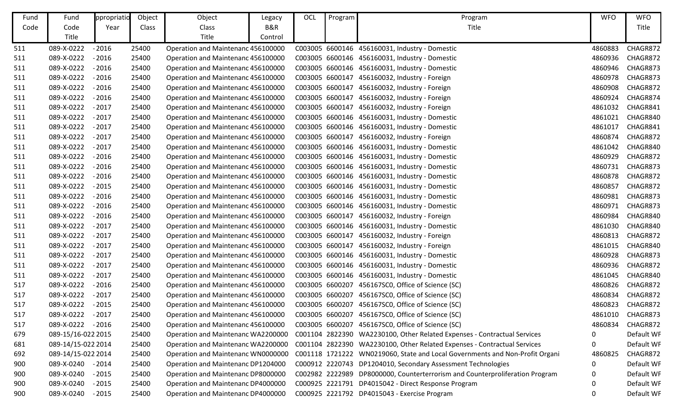| Fund | Fund               | ppropriatio | Object | Object                             | Legacy  | OCL | Program | Program                                                                      | <b>WFO</b> | <b>WFO</b> |
|------|--------------------|-------------|--------|------------------------------------|---------|-----|---------|------------------------------------------------------------------------------|------------|------------|
| Code | Code               | Year        | Class  | Class                              | B&R     |     |         | Title                                                                        |            | Title      |
|      | Title              |             |        | Title                              | Control |     |         |                                                                              |            |            |
| 511  | 089-X-0222         | $-2016$     | 25400  | Operation and Maintenanc 456100000 |         |     |         | C003005 6600146 456160031, Industry - Domestic                               | 4860883    | CHAGR872   |
| 511  | 089-X-0222         | $-2016$     | 25400  | Operation and Maintenanc 456100000 |         |     |         | C003005 6600146 456160031, Industry - Domestic                               | 4860936    | CHAGR872   |
| 511  | 089-X-0222         | $-2016$     | 25400  | Operation and Maintenanc 456100000 |         |     |         | C003005 6600146 456160031, Industry - Domestic                               | 4860946    | CHAGR873   |
| 511  | 089-X-0222         | $-2016$     | 25400  | Operation and Maintenanc 456100000 |         |     |         | C003005 6600147 456160032, Industry - Foreign                                | 4860978    | CHAGR873   |
| 511  | 089-X-0222         | $-2016$     | 25400  | Operation and Maintenanc 456100000 |         |     |         | C003005 6600147 456160032, Industry - Foreign                                | 4860908    | CHAGR872   |
| 511  | 089-X-0222         | $-2016$     | 25400  | Operation and Maintenanc 456100000 |         |     |         | C003005 6600147 456160032, Industry - Foreign                                | 4860924    | CHAGR874   |
| 511  | 089-X-0222         | $-2017$     | 25400  | Operation and Maintenanc 456100000 |         |     |         | C003005 6600147 456160032, Industry - Foreign                                | 4861032    | CHAGR841   |
| 511  | 089-X-0222         | $-2017$     | 25400  | Operation and Maintenanc 456100000 |         |     |         | C003005 6600146 456160031, Industry - Domestic                               | 4861021    | CHAGR840   |
| 511  | 089-X-0222         | $-2017$     | 25400  | Operation and Maintenanc 456100000 |         |     |         | C003005 6600146 456160031, Industry - Domestic                               | 4861017    | CHAGR841   |
| 511  | 089-X-0222         | $-2017$     | 25400  | Operation and Maintenanc 456100000 |         |     |         | C003005 6600147 456160032, Industry - Foreign                                | 4860874    | CHAGR872   |
| 511  | 089-X-0222         | $-2017$     | 25400  | Operation and Maintenanc 456100000 |         |     |         | C003005 6600146 456160031, Industry - Domestic                               | 4861042    | CHAGR840   |
| 511  | 089-X-0222         | $-2016$     | 25400  | Operation and Maintenanc 456100000 |         |     |         | C003005 6600146 456160031, Industry - Domestic                               | 4860929    | CHAGR872   |
| 511  | 089-X-0222         | $-2016$     | 25400  | Operation and Maintenanc 456100000 |         |     |         | C003005 6600146 456160031, Industry - Domestic                               | 4860731    | CHAGR873   |
| 511  | 089-X-0222         | $-2016$     | 25400  | Operation and Maintenanc 456100000 |         |     |         | C003005 6600146 456160031, Industry - Domestic                               | 4860878    | CHAGR872   |
| 511  | 089-X-0222         | $-2015$     | 25400  | Operation and Maintenanc 456100000 |         |     |         | C003005 6600146 456160031, Industry - Domestic                               | 4860857    | CHAGR872   |
| 511  | 089-X-0222         | $-2016$     | 25400  | Operation and Maintenanc 456100000 |         |     |         | C003005 6600146 456160031, Industry - Domestic                               | 4860981    | CHAGR873   |
| 511  | 089-X-0222         | $-2016$     | 25400  | Operation and Maintenanc 456100000 |         |     |         | C003005 6600146 456160031, Industry - Domestic                               | 4860971    | CHAGR873   |
| 511  | 089-X-0222         | $-2016$     | 25400  | Operation and Maintenanc 456100000 |         |     |         | C003005 6600147 456160032, Industry - Foreign                                | 4860984    | CHAGR840   |
| 511  | 089-X-0222         | $-2017$     | 25400  | Operation and Maintenanc 456100000 |         |     |         | C003005 6600146 456160031, Industry - Domestic                               | 4861030    | CHAGR840   |
| 511  | 089-X-0222         | $-2017$     | 25400  | Operation and Maintenanc 456100000 |         |     |         | C003005 6600147 456160032, Industry - Foreign                                | 4860813    | CHAGR872   |
| 511  | 089-X-0222         | $-2017$     | 25400  | Operation and Maintenanc 456100000 |         |     |         | C003005 6600147 456160032, Industry - Foreign                                | 4861015    | CHAGR840   |
| 511  | 089-X-0222         | $-2017$     | 25400  | Operation and Maintenanc 456100000 |         |     |         | C003005 6600146 456160031, Industry - Domestic                               | 4860928    | CHAGR873   |
| 511  | 089-X-0222         | $-2017$     | 25400  | Operation and Maintenanc 456100000 |         |     |         | C003005 6600146 456160031, Industry - Domestic                               | 4860936    | CHAGR872   |
| 511  | 089-X-0222         | $-2017$     | 25400  | Operation and Maintenanc 456100000 |         |     |         | C003005 6600146 456160031, Industry - Domestic                               | 4861045    | CHAGR840   |
| 517  | 089-X-0222         | $-2016$     | 25400  | Operation and Maintenanc 456100000 |         |     |         | C003005 6600207 456167SC0, Office of Science (SC)                            | 4860826    | CHAGR872   |
| 517  | 089-X-0222         | $-2017$     | 25400  | Operation and Maintenanc 456100000 |         |     |         | C003005 6600207 456167SC0, Office of Science (SC)                            | 4860834    | CHAGR872   |
| 517  | 089-X-0222         | $-2015$     | 25400  | Operation and Maintenanc 456100000 |         |     |         | C003005 6600207 456167SC0, Office of Science (SC)                            | 4860823    | CHAGR872   |
| 517  | 089-X-0222         | $-2017$     | 25400  | Operation and Maintenanc 456100000 |         |     |         | C003005 6600207 456167SC0, Office of Science (SC)                            | 4861010    | CHAGR873   |
| 517  | 089-X-0222 - 2016  |             | 25400  | Operation and Maintenanc 456100000 |         |     |         | C003005 6600207 456167SC0, Office of Science (SC)                            | 4860834    | CHAGR872   |
| 679  | 089-15/16-022 2015 |             | 25400  | Operation and Maintenanc WA2200000 |         |     |         | C001104 2822390 WA2230100, Other Related Expenses - Contractual Services     | 0          | Default WF |
| 681  | 089-14/15-022 2014 |             | 25400  | Operation and Maintenanc WA2200000 |         |     |         | C001104 2822390 WA2230100, Other Related Expenses - Contractual Services     | 0          | Default WF |
| 692  | 089-14/15-022 2014 |             | 25400  | Operation and Maintenanc WN0000000 |         |     |         | C001118 1721222 WN0219060, State and Local Governments and Non-Profit Organi | 4860825    | CHAGR872   |
| 900  | 089-X-0240 - 2014  |             | 25400  | Operation and Maintenanc DP1204000 |         |     |         | C000912 2220743 DP1204010, Secondary Assessment Technologies                 | 0          | Default WF |
| 900  | 089-X-0240         | $-2015$     | 25400  | Operation and Maintenanc DP8000000 |         |     |         | C002982 2222989 DP8000000, Counterterrorism and Counterproliferation Program | 0          | Default WF |
| 900  | 089-X-0240         | $-2015$     | 25400  | Operation and Maintenanc DP4000000 |         |     |         | C000925 2221791 DP4015042 - Direct Response Program                          | 0          | Default WF |
| 900  | 089-X-0240         | $-2015$     | 25400  | Operation and Maintenanc DP4000000 |         |     |         | C000925 2221792 DP4015043 - Exercise Program                                 | 0          | Default WF |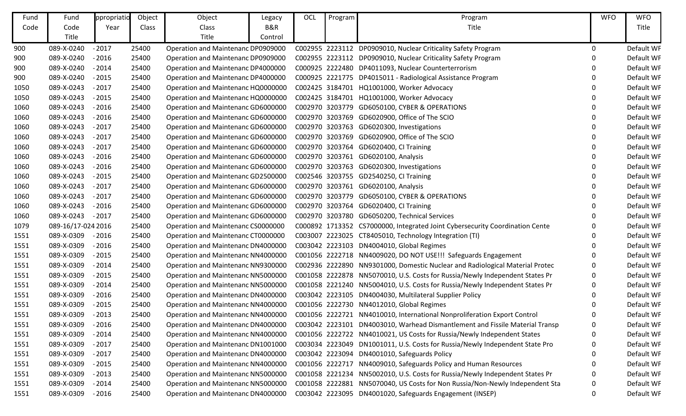| Fund | Fund               | ppropriatio | Object | Object                             | Legacy  | OCL | Program | Program                                                                      | <b>WFO</b> | <b>WFO</b> |
|------|--------------------|-------------|--------|------------------------------------|---------|-----|---------|------------------------------------------------------------------------------|------------|------------|
| Code | Code               | Year        | Class  | Class                              | B&R     |     |         | Title                                                                        |            | Title      |
|      | Title              |             |        | Title                              | Control |     |         |                                                                              |            |            |
| 900  | 089-X-0240         | $-2017$     | 25400  | Operation and Maintenanc DP0909000 |         |     |         | C002955 2223112 DP0909010, Nuclear Criticality Safety Program                | 0          | Default WF |
| 900  | 089-X-0240         | $-2016$     | 25400  | Operation and Maintenanc DP0909000 |         |     |         | C002955 2223112 DP0909010, Nuclear Criticality Safety Program                | 0          | Default WF |
| 900  | 089-X-0240         | $-2014$     | 25400  | Operation and Maintenanc DP4000000 |         |     |         | C000925 2222480 DP4011093, Nuclear Counterterrorism                          | 0          | Default WF |
| 900  | 089-X-0240         | $-2015$     | 25400  | Operation and Maintenanc DP4000000 |         |     |         | C000925 2221775 DP4015011 - Radiological Assistance Program                  | 0          | Default WF |
| 1050 | 089-X-0243         | $-2017$     | 25400  | Operation and Maintenanc HQ0000000 |         |     |         | C002425 3184701 HQ1001000, Worker Advocacy                                   | 0          | Default WF |
| 1050 | 089-X-0243         | $-2015$     | 25400  | Operation and Maintenanc HQ0000000 |         |     |         | C002425 3184701 HQ1001000, Worker Advocacy                                   | 0          | Default WF |
| 1060 | 089-X-0243         | $-2016$     | 25400  | Operation and Maintenanc GD6000000 |         |     |         | C002970 3203779 GD6050100, CYBER & OPERATIONS                                | O          | Default WF |
| 1060 | 089-X-0243         | $-2016$     | 25400  | Operation and Maintenanc GD6000000 |         |     |         | C002970 3203769 GD6020900, Office of The SCIO                                | O          | Default WF |
| 1060 | 089-X-0243         | $-2017$     | 25400  | Operation and Maintenanc GD6000000 |         |     |         | C002970 3203763 GD6020300, Investigations                                    | 0          | Default WF |
| 1060 | 089-X-0243         | $-2017$     | 25400  | Operation and Maintenanc GD6000000 |         |     |         | C002970 3203769 GD6020900, Office of The SCIO                                | O          | Default WF |
| 1060 | 089-X-0243         | $-2017$     | 25400  | Operation and Maintenanc GD6000000 |         |     |         | C002970 3203764 GD6020400, CI Training                                       | 0          | Default WF |
| 1060 | 089-X-0243         | $-2016$     | 25400  | Operation and Maintenanc GD6000000 |         |     |         | C002970 3203761 GD6020100, Analysis                                          | 0          | Default WF |
| 1060 | 089-X-0243         | $-2016$     | 25400  | Operation and Maintenanc GD6000000 |         |     |         | C002970 3203763 GD6020300, Investigations                                    | 0          | Default WF |
| 1060 | 089-X-0243         | $-2015$     | 25400  | Operation and Maintenanc GD2500000 |         |     |         | C002546 3203755 GD2540250, CI Training                                       | O          | Default WF |
| 1060 | 089-X-0243         | $-2017$     | 25400  | Operation and Maintenanc GD6000000 |         |     |         | C002970 3203761 GD6020100, Analysis                                          |            | Default WF |
| 1060 | 089-X-0243         | $-2017$     | 25400  | Operation and Maintenanc GD6000000 |         |     |         | C002970 3203779 GD6050100, CYBER & OPERATIONS                                | 0          | Default WF |
| 1060 | 089-X-0243         | $-2016$     | 25400  | Operation and Maintenanc GD6000000 |         |     |         | C002970 3203764 GD6020400, CI Training                                       | 0          | Default WF |
| 1060 | 089-X-0243         | $-2017$     | 25400  | Operation and Maintenanc GD6000000 |         |     |         | C002970 3203780 GD6050200, Technical Services                                |            | Default WF |
| 1079 | 089-16/17-024 2016 |             | 25400  | Operation and Maintenanc CS0000000 |         |     |         | C000892 1713352 CS7000000, Integrated Joint Cybersecurity Coordination Cente | $\Omega$   | Default WF |
| 1551 | 089-X-0309         | $-2016$     | 25400  | Operation and Maintenanc CT0000000 |         |     |         | C003007 2223025 CT8405010, Technology Integration (TI)                       | 0          | Default WF |
| 1551 | 089-X-0309         | $-2016$     | 25400  | Operation and Maintenanc DN4000000 |         |     |         | C003042 2223103 DN4004010, Global Regimes                                    | 0          | Default WF |
| 1551 | 089-X-0309         | $-2015$     | 25400  | Operation and Maintenanc NN4000000 |         |     |         | C001056 2222718 NN4009020, DO NOT USE!!! Safeguards Engagement               | 0          | Default WF |
| 1551 | 089-X-0309         | $-2014$     | 25400  | Operation and Maintenanc NN9300000 |         |     |         | C002936 2222890 NN9301000, Domestic Nuclear and Radiological Material Protec | 0          | Default WF |
| 1551 | 089-X-0309         | $-2015$     | 25400  | Operation and Maintenanc NN5000000 |         |     |         | C001058 2222878 NN5070010, U.S. Costs for Russia/Newly Independent States Pr | 0          | Default WF |
| 1551 | 089-X-0309         | $-2014$     | 25400  | Operation and Maintenanc NN5000000 |         |     |         | C001058 2221240 NN5004010, U.S. Costs for Russia/Newly Independent States Pr | 0          | Default WF |
| 1551 | 089-X-0309         | $-2016$     | 25400  | Operation and Maintenanc DN4000000 |         |     |         | C003042 2223105 DN4004030, Multilateral Supplier Policy                      | 0          | Default WF |
| 1551 | 089-X-0309         | $-2015$     | 25400  | Operation and Maintenanc NN4000000 |         |     |         | C001056 2222730 NN4012010, Global Regimes                                    |            | Default WF |
| 1551 | 089-X-0309         | $-2013$     | 25400  | Operation and Maintenanc NN4000000 |         |     |         | C001056 2222721 NN4010010, International Nonproliferation Export Control     | 0          | Default WF |
| 1551 | 089-X-0309         | $-2016$     | 25400  | Operation and Maintenanc DN4000000 |         |     |         | C003042 2223101 DN4003010, Warhead Dismantlement and Fissile Material Transp | 0          | Default WF |
| 1551 | 089-X-0309         | $-2014$     | 25400  | Operation and Maintenanc NN4000000 |         |     |         | C001056 2222722 NN4010021, US Costs for Russia/Newly Independent States      | 0          | Default WF |
| 1551 | 089-X-0309         | $-2017$     | 25400  | Operation and Maintenanc DN1001000 |         |     |         | C003034 2223049 DN1001011, U.S. Costs for Russia/Newly Independent State Pro |            | Default WF |
| 1551 | 089-X-0309         | $-2017$     | 25400  | Operation and Maintenanc DN4000000 |         |     |         | C003042 2223094 DN4001010, Safeguards Policy                                 | 0          | Default WF |
| 1551 | 089-X-0309         | $-2015$     | 25400  | Operation and Maintenanc NN4000000 |         |     |         | C001056 2222717 NN4009010, Safeguards Policy and Human Resources             | $\Omega$   | Default WF |
| 1551 | 089-X-0309         | $-2013$     | 25400  | Operation and Maintenanc NN5000000 |         |     |         | C001058 2221234 NN5002010, U.S. Costs for Russia/Newly Independent States Pr | 0          | Default WF |
| 1551 | 089-X-0309         | $-2014$     | 25400  | Operation and Maintenanc NN5000000 |         |     |         | C001058 2222881 NN5070040, US Costs for Non Russia/Non-Newly Independent Sta | 0          | Default WF |
| 1551 | 089-X-0309         | $-2016$     | 25400  | Operation and Maintenanc DN4000000 |         |     |         | C003042 2223095 DN4001020, Safeguards Engagement (INSEP)                     | 0          | Default WF |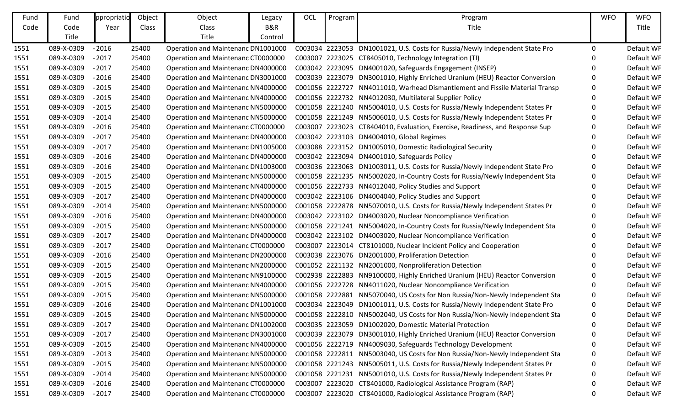| Fund | Fund       | ppropriatio | Object | Object                             | Legacy  | OCL | Program | Program                                                                      | <b>WFO</b> | <b>WFO</b> |
|------|------------|-------------|--------|------------------------------------|---------|-----|---------|------------------------------------------------------------------------------|------------|------------|
| Code | Code       | Year        | Class  | Class                              | B&R     |     |         | Title                                                                        |            | Title      |
|      | Title      |             |        | Title                              | Control |     |         |                                                                              |            |            |
| 1551 | 089-X-0309 | $-2016$     | 25400  | Operation and Maintenanc DN1001000 |         |     |         | C003034 2223053 DN1001021, U.S. Costs for Russia/Newly Independent State Pro | 0          | Default WF |
| 1551 | 089-X-0309 | $-2017$     | 25400  | Operation and Maintenanc CT0000000 |         |     |         | C003007 2223025 CT8405010, Technology Integration (TI)                       | O          | Default WF |
| 1551 | 089-X-0309 | $-2017$     | 25400  | Operation and Maintenanc DN4000000 |         |     |         | C003042 2223095 DN4001020, Safeguards Engagement (INSEP)                     |            | Default WF |
| 1551 | 089-X-0309 | $-2016$     | 25400  | Operation and Maintenanc DN3001000 |         |     |         | C003039 2223079 DN3001010, Highly Enriched Uranium (HEU) Reactor Conversion  | 0          | Default WF |
| 1551 | 089-X-0309 | $-2015$     | 25400  | Operation and Maintenanc NN4000000 |         |     |         | C001056 2222727 NN4011010, Warhead Dismantlement and Fissile Material Transp | 0          | Default WF |
| 1551 | 089-X-0309 | $-2015$     | 25400  | Operation and Maintenanc NN4000000 |         |     |         | C001056 2222732 NN4012030, Multilateral Supplier Policy                      | 0          | Default WF |
| 1551 | 089-X-0309 | $-2015$     | 25400  | Operation and Maintenanc NN5000000 |         |     |         | C001058 2221240 NN5004010, U.S. Costs for Russia/Newly Independent States Pr | 0          | Default WF |
| 1551 | 089-X-0309 | $-2014$     | 25400  | Operation and Maintenanc NN5000000 |         |     |         | C001058 2221249 NN5006010, U.S. Costs for Russia/Newly Independent States Pr | 0          | Default WF |
| 1551 | 089-X-0309 | $-2016$     | 25400  | Operation and Maintenanc CT0000000 |         |     |         | C003007 2223023 CT8404010, Evaluation, Exercise, Readiness, and Response Sup | 0          | Default WF |
| 1551 | 089-X-0309 | $-2017$     | 25400  | Operation and Maintenanc DN4000000 |         |     |         | C003042 2223103 DN4004010, Global Regimes                                    | O          | Default WF |
| 1551 | 089-X-0309 | $-2017$     | 25400  | Operation and Maintenanc DN1005000 |         |     |         | C003088 2223152 DN1005010, Domestic Radiological Security                    | 0          | Default WF |
| 1551 | 089-X-0309 | $-2016$     | 25400  | Operation and Maintenanc DN4000000 |         |     |         | C003042 2223094 DN4001010, Safeguards Policy                                 |            | Default WF |
| 1551 | 089-X-0309 | $-2016$     | 25400  | Operation and Maintenanc DN1003000 |         |     |         | C003036 2223063 DN1003011, U.S. Costs for Russia/Newly Independent State Pro |            | Default WF |
| 1551 | 089-X-0309 | $-2015$     | 25400  | Operation and Maintenanc NN5000000 |         |     |         | C001058 2221235 NN5002020, In-Country Costs for Russia/Newly Independent Sta | 0          | Default WF |
| 1551 | 089-X-0309 | $-2015$     | 25400  | Operation and Maintenanc NN4000000 |         |     |         | C001056 2222733 NN4012040, Policy Studies and Support                        | 0          | Default WF |
| 1551 | 089-X-0309 | $-2017$     | 25400  | Operation and Maintenanc DN4000000 |         |     |         | C003042 2223106 DN4004040, Policy Studies and Support                        | 0          | Default WF |
| 1551 | 089-X-0309 | $-2014$     | 25400  | Operation and Maintenanc NN5000000 |         |     |         | C001058 2222878 NN5070010, U.S. Costs for Russia/Newly Independent States Pr | O          | Default WF |
| 1551 | 089-X-0309 | $-2016$     | 25400  | Operation and Maintenanc DN4000000 |         |     |         | C003042 2223102 DN4003020, Nuclear Noncompliance Verification                | 0          | Default WF |
| 1551 | 089-X-0309 | $-2015$     | 25400  | Operation and Maintenanc NN5000000 |         |     |         | C001058 2221241 NN5004020, In-Country Costs for Russia/Newly Independent Sta | 0          | Default WF |
| 1551 | 089-X-0309 | $-2017$     | 25400  | Operation and Maintenanc DN4000000 |         |     |         | C003042 2223102 DN4003020, Nuclear Noncompliance Verification                | 0          | Default WF |
| 1551 | 089-X-0309 | $-2017$     | 25400  | Operation and Maintenanc CT0000000 |         |     |         | C003007 2223014 CT8101000, Nuclear Incident Policy and Cooperation           | O          | Default WF |
| 1551 | 089-X-0309 | $-2016$     | 25400  | Operation and Maintenanc DN2000000 |         |     |         | C003038 2223076 DN2001000, Proliferation Detection                           | O          | Default WF |
| 1551 | 089-X-0309 | $-2015$     | 25400  | Operation and Maintenanc NN2000000 |         |     |         | C001052 2221132 NN2001000, Nonproliferation Detection                        | 0          | Default WF |
| 1551 | 089-X-0309 | $-2015$     | 25400  | Operation and Maintenanc NN9100000 |         |     |         | C002938 2222883 NN9100000, Highly Enriched Uranium (HEU) Reactor Conversion  | 0          | Default WF |
| 1551 | 089-X-0309 | $-2015$     | 25400  | Operation and Maintenanc NN4000000 |         |     |         | C001056 2222728 NN4011020, Nuclear Noncompliance Verification                | 0          | Default WF |
| 1551 | 089-X-0309 | $-2015$     | 25400  | Operation and Maintenanc NN5000000 |         |     |         | C001058 2222881 NN5070040, US Costs for Non Russia/Non-Newly Independent Sta | 0          | Default WF |
| 1551 | 089-X-0309 | $-2016$     | 25400  | Operation and Maintenanc DN1001000 |         |     |         | C003034 2223049 DN1001011, U.S. Costs for Russia/Newly Independent State Pro | 0          | Default WF |
| 1551 | 089-X-0309 | $-2015$     | 25400  | Operation and Maintenanc NN5000000 |         |     |         | C001058 2222810 NN5002040, US Costs for Non Russia/Non-Newly Independent Sta | 0          | Default WF |
| 1551 | 089-X-0309 | $-2017$     | 25400  | Operation and Maintenanc DN1002000 |         |     |         | C003035 2223059 DN1002020, Domestic Material Protection                      | 0          | Default WF |
| 1551 | 089-X-0309 | $-2017$     | 25400  | Operation and Maintenanc DN3001000 |         |     |         | C003039 2223079 DN3001010, Highly Enriched Uranium (HEU) Reactor Conversion  | 0          | Default WF |
| 1551 | 089-X-0309 | $-2015$     | 25400  | Operation and Maintenanc NN4000000 |         |     |         | C001056 2222719 NN4009030, Safeguards Technology Development                 | 0          | Default WF |
| 1551 | 089-X-0309 | $-2013$     | 25400  | Operation and Maintenanc NN5000000 |         |     |         | C001058 2222811 NN5003040, US Costs for Non Russia/Non-Newly Independent Sta | 0          | Default WF |
| 1551 | 089-X-0309 | $-2015$     | 25400  | Operation and Maintenanc NN5000000 |         |     |         | C001058 2221243 NN5005011, U.S. Costs for Russia/Newly Independent States Pr | 0          | Default WF |
| 1551 | 089-X-0309 | $-2014$     | 25400  | Operation and Maintenanc NN5000000 |         |     |         | C001058 2221231 NN5001010, U.S. Costs for Russia/Newly Independent States Pr | 0          | Default WF |
| 1551 | 089-X-0309 | $-2016$     | 25400  | Operation and Maintenanc CT0000000 |         |     |         | C003007 2223020 CT8401000, Radiological Assistance Program (RAP)             | 0          | Default WF |
| 1551 | 089-X-0309 | $-2017$     | 25400  | Operation and Maintenanc CT0000000 |         |     |         | C003007 2223020 CT8401000, Radiological Assistance Program (RAP)             | 0          | Default WF |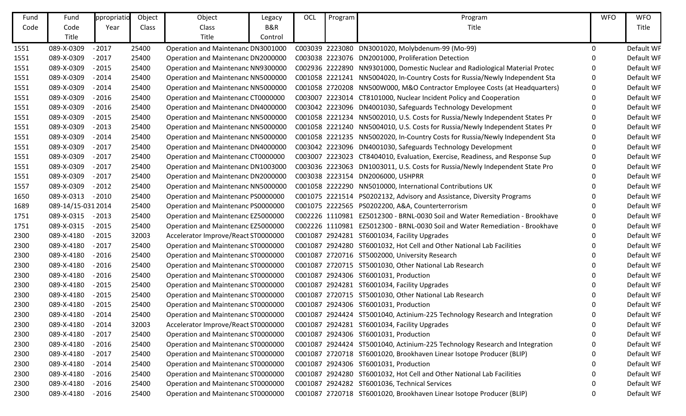| Fund | Fund               | ppropriatio | Object | Object                              | Legacy  | OCL | Program | Program                                                                      | <b>WFO</b> | <b>WFO</b> |
|------|--------------------|-------------|--------|-------------------------------------|---------|-----|---------|------------------------------------------------------------------------------|------------|------------|
| Code | Code               | Year        | Class  | Class                               | B&R     |     |         | Title                                                                        |            | Title      |
|      | Title              |             |        | Title                               | Control |     |         |                                                                              |            |            |
| 1551 | 089-X-0309         | $-2017$     | 25400  | Operation and Maintenanc DN3001000  |         |     |         | C003039 2223080 DN3001020, Molybdenum-99 (Mo-99)                             | 0          | Default WF |
| 1551 | 089-X-0309         | $-2017$     | 25400  | Operation and Maintenanc DN2000000  |         |     |         | C003038 2223076 DN2001000, Proliferation Detection                           | ∩          | Default WF |
| 1551 | 089-X-0309         | $-2015$     | 25400  | Operation and Maintenanc NN9300000  |         |     |         | C002936 2222890 NN9301000, Domestic Nuclear and Radiological Material Protec |            | Default WF |
| 1551 | 089-X-0309         | $-2014$     | 25400  | Operation and Maintenanc NN5000000  |         |     |         | C001058 2221241 NN5004020, In-Country Costs for Russia/Newly Independent Sta | 0          | Default WF |
| 1551 | 089-X-0309         | $-2014$     | 25400  | Operation and Maintenanc NN5000000  |         |     |         | C001058 2720208 NN500W000, M&O Contractor Employee Costs (at Headquarters)   | 0          | Default WF |
| 1551 | 089-X-0309         | $-2016$     | 25400  | Operation and Maintenanc CT0000000  |         |     |         | C003007 2223014 CT8101000, Nuclear Incident Policy and Cooperation           | 0          | Default WF |
| 1551 | 089-X-0309         | $-2016$     | 25400  | Operation and Maintenanc DN4000000  |         |     |         | C003042 2223096 DN4001030, Safeguards Technology Development                 | 0          | Default WF |
| 1551 | 089-X-0309         | $-2015$     | 25400  | Operation and Maintenanc NN5000000  |         |     |         | C001058 2221234 NN5002010, U.S. Costs for Russia/Newly Independent States Pr |            | Default WF |
| 1551 | 089-X-0309         | $-2013$     | 25400  | Operation and Maintenanc NN5000000  |         |     |         | C001058 2221240 NN5004010, U.S. Costs for Russia/Newly Independent States Pr | 0          | Default WF |
| 1551 | 089-X-0309         | $-2014$     | 25400  | Operation and Maintenanc NN5000000  |         |     |         | C001058 2221235 NN5002020, In-Country Costs for Russia/Newly Independent Sta | 0          | Default WF |
| 1551 | 089-X-0309         | $-2017$     | 25400  | Operation and Maintenanc DN4000000  |         |     |         | C003042 2223096 DN4001030, Safeguards Technology Development                 | 0          | Default WF |
| 1551 | 089-X-0309         | $-2017$     | 25400  | Operation and Maintenanc CT0000000  |         |     |         | C003007 2223023 CT8404010, Evaluation, Exercise, Readiness, and Response Sup | 0          | Default WF |
| 1551 | 089-X-0309         | $-2017$     | 25400  | Operation and Maintenanc DN1003000  |         |     |         | C003036 2223063 DN1003011, U.S. Costs for Russia/Newly Independent State Pro | 0          | Default WF |
| 1551 | 089-X-0309         | $-2017$     | 25400  | Operation and Maintenanc DN2000000  |         |     |         | C003038 2223154 DN2006000, USHPRR                                            | O          | Default WF |
| 1557 | 089-X-0309         | $-2012$     | 25400  | Operation and Maintenanc NN5000000  |         |     |         | C001058 2222290 NN5010000, International Contributions UK                    |            | Default WF |
| 1650 | 089-X-0313         | $-2010$     | 25400  | Operation and Maintenanc PS0000000  |         |     |         | C001075 2221514 PS0202132, Advisory and Assistance, Diversity Programs       | 0          | Default WF |
| 1689 | 089-14/15-031 2014 |             | 25400  | Operation and Maintenanc PS0000000  |         |     |         | C001075 2222565 PS0202200, A&A, Counterterrorism                             | O          | Default WF |
| 1751 | 089-X-0315         | $-2013$     | 25400  | Operation and Maintenanc EZ5000000  |         |     |         | C002226 1110981 EZ5012300 - BRNL-0030 Soil and Water Remediation - Brookhave | 0          | Default WF |
| 1751 | 089-X-0315         | $-2015$     | 25400  | Operation and Maintenanc EZ5000000  |         |     |         | C002226 1110981 EZ5012300 - BRNL-0030 Soil and Water Remediation - Brookhave | 0          | Default WF |
| 2300 | 089-X-4180         | $-2015$     | 32003  | Accelerator Improve/React ST0000000 |         |     |         | C001087 2924281 ST6001034, Facility Upgrades                                 | 0          | Default WF |
| 2300 | 089-X-4180         | $-2017$     | 25400  | Operation and Maintenanc ST0000000  |         |     |         | C001087 2924280 ST6001032, Hot Cell and Other National Lab Facilities        | O          | Default WF |
| 2300 | 089-X-4180         | $-2016$     | 25400  | Operation and Maintenanc ST0000000  |         |     |         | C001087 2720716 ST5002000, University Research                               |            | Default WF |
| 2300 | 089-X-4180         | $-2016$     | 25400  | Operation and Maintenanc ST0000000  |         |     |         | C001087 2720715 ST5001030, Other National Lab Research                       | 0          | Default WF |
| 2300 | 089-X-4180         | $-2016$     | 25400  | Operation and Maintenanc ST0000000  |         |     |         | C001087 2924306 ST6001031, Production                                        |            | Default WF |
| 2300 | 089-X-4180         | $-2015$     | 25400  | Operation and Maintenanc ST0000000  |         |     |         | C001087 2924281 ST6001034, Facility Upgrades                                 |            | Default WF |
| 2300 | 089-X-4180         | $-2015$     | 25400  | Operation and Maintenanc ST0000000  |         |     |         | C001087 2720715 ST5001030, Other National Lab Research                       | 0          | Default WF |
| 2300 | 089-X-4180         | $-2015$     | 25400  | Operation and Maintenanc ST0000000  |         |     |         | C001087 2924306 ST6001031, Production                                        |            | Default WF |
| 2300 | 089-X-4180         | $-2014$     | 25400  | Operation and Maintenanc ST0000000  |         |     |         | C001087 2924424 ST5001040, Actinium-225 Technology Research and Integration  | O          | Default WF |
| 2300 | 089-X-4180         | $-2014$     | 32003  | Accelerator Improve/React ST0000000 |         |     |         | C001087 2924281 ST6001034, Facility Upgrades                                 | 0          | Default WF |
| 2300 | 089-X-4180         | $-2017$     | 25400  | Operation and Maintenanc ST0000000  |         |     |         | C001087 2924306 ST6001031, Production                                        | 0          | Default WF |
| 2300 | 089-X-4180         | $-2016$     | 25400  | Operation and Maintenanc ST0000000  |         |     |         | C001087 2924424 ST5001040, Actinium-225 Technology Research and Integration  |            | Default WF |
| 2300 | 089-X-4180         | $-2017$     | 25400  | Operation and Maintenanc ST0000000  |         |     |         | C001087 2720718 ST6001020, Brookhaven Linear Isotope Producer (BLIP)         |            | Default WF |
| 2300 | 089-X-4180         | $-2014$     | 25400  | Operation and Maintenanc ST0000000  |         |     |         | C001087 2924306 ST6001031, Production                                        |            | Default WF |
| 2300 | 089-X-4180         | $-2016$     | 25400  | Operation and Maintenanc ST0000000  |         |     |         | C001087 2924280 ST6001032, Hot Cell and Other National Lab Facilities        |            | Default WF |
| 2300 | 089-X-4180         | $-2016$     | 25400  | Operation and Maintenanc ST0000000  |         |     |         | C001087 2924282 ST6001036, Technical Services                                | 0          | Default WF |
| 2300 | 089-X-4180         | $-2016$     | 25400  | Operation and Maintenanc ST0000000  |         |     |         | C001087 2720718 ST6001020, Brookhaven Linear Isotope Producer (BLIP)         | 0          | Default WF |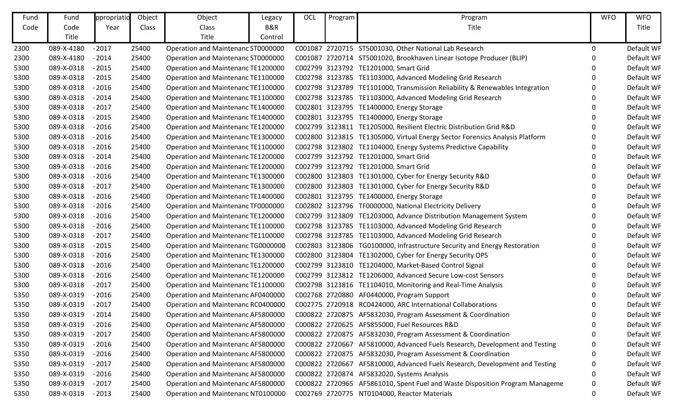| Fund | Fund       | ppropriatio | Object | Object                             | Legacy  | OCL | Program | Program                                                                      | <b>WFO</b> | <b>WFO</b> |
|------|------------|-------------|--------|------------------------------------|---------|-----|---------|------------------------------------------------------------------------------|------------|------------|
| Code | Code       | Year        | Class  | Class                              | B&R     |     |         | Title                                                                        |            | Title      |
|      | Title      |             |        | Title                              | Control |     |         |                                                                              |            |            |
| 2300 | 089-X-4180 | $-2017$     | 25400  | Operation and Maintenanc ST0000000 |         |     |         | C001087 2720715 ST5001030, Other National Lab Research                       | 0          | Default WF |
| 2300 | 089-X-4180 | $-2014$     | 25400  | Operation and Maintenanc ST0000000 |         |     |         | C001087 2720714 ST5001020, Brookhaven Linear Isotope Producer (BLIP)         | 0          | Default WF |
| 5300 | 089-X-0318 | $-2015$     | 25400  | Operation and Maintenanc TE1200000 |         |     |         | C002799 3123792 TE1201000, Smart Grid                                        |            | Default WF |
| 5300 | 089-X-0318 | $-2015$     | 25400  | Operation and Maintenanc TE1100000 |         |     |         | C002798 3123785 TE1103000, Advanced Modeling Grid Research                   | 0          | Default WF |
| 5300 | 089-X-0318 | $-2016$     | 25400  | Operation and Maintenanc TE1100000 |         |     |         | C002798 3123789 TE1101000, Transmission Reliability & Renewables Integration |            | Default WF |
| 5300 | 089-X-0318 | $-2014$     | 25400  | Operation and Maintenanc TE1100000 |         |     |         | C002798 3123785 TE1103000, Advanced Modeling Grid Research                   |            | Default WF |
| 5300 | 089-X-0318 | $-2017$     | 25400  | Operation and Maintenanc TE1400000 |         |     |         | C002801 3123795 TE1400000, Energy Storage                                    | 0          | Default WF |
| 5300 | 089-X-0318 | $-2015$     | 25400  | Operation and Maintenanc TE1400000 |         |     |         | C002801 3123795 TE1400000, Energy Storage                                    | 0          | Default WF |
| 5300 | 089-X-0318 | $-2016$     | 25400  | Operation and Maintenanc TE1200000 |         |     |         | C002799 3123811 TE1205000, Resilient Electric Distribution Grid R&D          | 0          | Default WF |
| 5300 | 089-X-0318 | $-2016$     | 25400  | Operation and Maintenanc TE1300000 |         |     |         | C002800 3123815 TE1305000, Virtual Energy Sector Forensics Analysis Platform |            | Default WF |
| 5300 | 089-X-0318 | $-2016$     | 25400  | Operation and Maintenanc TE1100000 |         |     |         | C002798 3123802 TE1104000, Energy Systems Predictive Capability              | 0          | Default WF |
| 5300 | 089-X-0318 | $-2014$     | 25400  | Operation and Maintenanc TE1200000 |         |     |         | C002799 3123792 TE1201000, Smart Grid                                        | 0          | Default WF |
| 5300 | 089-X-0318 | $-2016$     | 25400  | Operation and Maintenanc TE1200000 |         |     |         | C002799 3123792 TE1201000, Smart Grid                                        |            | Default WF |
| 5300 | 089-X-0318 | $-2016$     | 25400  | Operation and Maintenanc TE1300000 |         |     |         | C002800 3123803 TE1301000, Cyber for Energy Security R&D                     | 0          | Default WF |
| 5300 | 089-X-0318 | $-2017$     | 25400  | Operation and Maintenanc TE1300000 |         |     |         | C002800 3123803 TE1301000, Cyber for Energy Security R&D                     | 0          | Default WF |
| 5300 | 089-X-0318 | $-2016$     | 25400  | Operation and Maintenanc TE1400000 |         |     |         | C002801 3123795 TE1400000, Energy Storage                                    | 0          | Default WF |
| 5300 | 089-X-0318 | $-2016$     | 25400  | Operation and Maintenanc TF0000000 |         |     |         | C002802 3123796 TF0000000, National Electricity Delivery                     | O          | Default WF |
| 5300 | 089-X-0318 | $-2016$     | 25400  | Operation and Maintenanc TE1200000 |         |     |         | C002799 3123809 TE1203000, Advance Distribution Management System            | 0          | Default WF |
| 5300 | 089-X-0318 | $-2016$     | 25400  | Operation and Maintenanc TE1100000 |         |     |         | C002798 3123785 TE1103000, Advanced Modeling Grid Research                   | 0          | Default WF |
| 5300 | 089-X-0318 | $-2017$     | 25400  | Operation and Maintenanc TE1100000 |         |     |         | C002798 3123785 TE1103000, Advanced Modeling Grid Research                   |            | Default WF |
| 5300 | 089-X-0318 | $-2015$     | 25400  | Operation and Maintenanc TG0000000 |         |     |         | C002803 3123806 TG0100000, Infrastructure Security and Energy Restoration    | 0          | Default WF |
| 5300 | 089-X-0318 | $-2016$     | 25400  | Operation and Maintenanc TE1300000 |         |     |         | C002800 3123804 TE1302000, Cyber for Energy Security OPS                     | O          | Default WF |
| 5300 | 089-X-0318 | $-2016$     | 25400  | Operation and Maintenanc TE1200000 |         |     |         | C002799 3123810 TE1204000, Market-Based Control Signal                       | 0          | Default WF |
| 5300 | 089-X-0318 | $-2016$     | 25400  | Operation and Maintenanc TE1200000 |         |     |         | C002799 3123812 TE1206000, Advanced Secure Low-cost Sensors                  | 0          | Default WF |
| 5300 | 089-X-0318 | $-2017$     | 25400  | Operation and Maintenanc TE1100000 |         |     |         | C002798 3123816 TE1104010, Monitoring and Real-Time Analysis                 |            | Default WF |
| 5350 | 089-X-0319 | $-2016$     | 25400  | Operation and Maintenanc AF0400000 |         |     |         | C002768 2720880 AF0440000, Program Support                                   | 0          | Default WF |
| 5350 | 089-X-0319 | $-2017$     | 25400  | Operation and Maintenanc RC0400000 |         |     |         | C002775 2720918 RC0424000, ARC International Collaborations                  |            | Default WF |
| 5350 | 089-X-0319 | $-2014$     | 25400  | Operation and Maintenanc AF5800000 |         |     |         | C000822 2720875 AF5832030, Program Assessment & Coordination                 | 0          | Default WF |
| 5350 | 089-X-0319 | $-2016$     | 25400  | Operation and Maintenanc AF5800000 |         |     |         | C000822 2720625 AF5855000, Fuel Resources R&D                                | 0          | Default WF |
| 5350 | 089-X-0319 | $-2017$     | 25400  | Operation and Maintenanc AF5800000 |         |     |         | C000822 2720875 AF5832030, Program Assessment & Coordination                 | 0          | Default WF |
| 5350 | 089-X-0319 | $-2016$     | 25400  | Operation and Maintenanc AF5800000 |         |     |         | C000822 2720667 AF5810000, Advanced Fuels Research, Development and Testing  | 0          | Default WF |
| 5350 | 089-X-0319 | $-2016$     | 25400  | Operation and Maintenanc AF5800000 |         |     |         | C000822 2720875 AF5832030, Program Assessment & Coordination                 |            | Default WF |
| 5350 | 089-X-0319 | $-2017$     | 25400  | Operation and Maintenanc AF5800000 |         |     |         | C000822 2720667 AF5810000, Advanced Fuels Research, Development and Testing  | 0          | Default WF |
| 5350 | 089-X-0319 | $-2016$     | 25400  | Operation and Maintenanc AF5800000 |         |     |         | C000822 2720874 AF5832020, Systems Analysis                                  | 0          | Default WF |
| 5350 | 089-X-0319 | $-2017$     | 25400  | Operation and Maintenanc AF5800000 |         |     |         | C000822 2720965 AF5861010, Spent Fuel and Waste Disposition Program Manageme | 0          | Default WF |
| 5350 | 089-X-0319 | $-2013$     | 25400  | Operation and Maintenanc NT0100000 |         |     |         | C002769 2720775 NT0104000, Reactor Materials                                 | 0          | Default WF |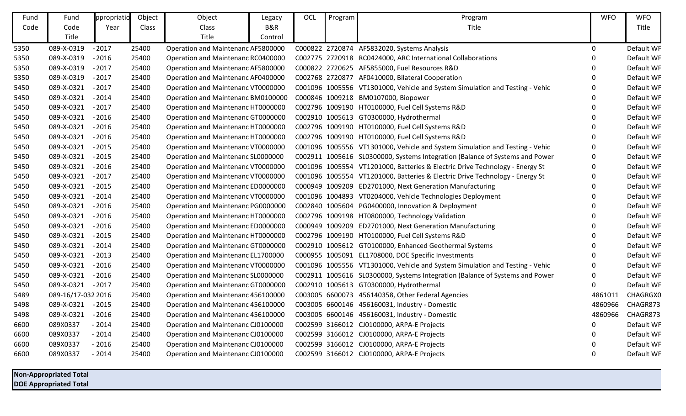| Fund | Fund               | ppropriatio | Object | Object                             | Legacy  | OCL | Program | Program                                                                      | <b>WFO</b>     | <b>WFO</b> |
|------|--------------------|-------------|--------|------------------------------------|---------|-----|---------|------------------------------------------------------------------------------|----------------|------------|
| Code | Code               | Year        | Class  | Class                              | B&R     |     |         | Title                                                                        |                | Title      |
|      | Title              |             |        | Title                              | Control |     |         |                                                                              |                |            |
| 5350 | 089-X-0319         | $-2017$     | 25400  | Operation and Maintenanc AF5800000 |         |     |         | C000822 2720874 AF5832020, Systems Analysis                                  | $\mathbf 0$    | Default WF |
| 5350 | 089-X-0319         | $-2016$     | 25400  | Operation and Maintenanc RC0400000 |         |     |         | C002775 2720918 RC0424000, ARC International Collaborations                  | $\Omega$       | Default WF |
| 5350 | 089-X-0319         | $-2017$     | 25400  | Operation and Maintenanc AF5800000 |         |     |         | C000822 2720625 AF5855000, Fuel Resources R&D                                | 0              | Default WF |
| 5350 | 089-X-0319         | $-2017$     | 25400  | Operation and Maintenanc AF0400000 |         |     |         | C002768 2720877 AF0410000, Bilateral Cooperation                             | 0              | Default WF |
| 5450 | 089-X-0321         | $-2017$     | 25400  | Operation and Maintenanc VT0000000 |         |     |         | C001096 1005556 VT1301000, Vehicle and System Simulation and Testing - Vehic | 0              | Default WF |
| 5450 | 089-X-0321         | $-2014$     | 25400  | Operation and Maintenanc BM0100000 |         |     |         | C000846 1009218 BM0107000, Biopower                                          | $\Omega$       | Default WF |
| 5450 | 089-X-0321         | $-2017$     | 25400  | Operation and Maintenanc HT0000000 |         |     |         | C002796 1009190 HT0100000, Fuel Cell Systems R&D                             | $\overline{0}$ | Default WF |
| 5450 | 089-X-0321         | $-2016$     | 25400  | Operation and Maintenanc GT0000000 |         |     |         | C002910 1005613 GT0300000, Hydrothermal                                      | $\Omega$       | Default WF |
| 5450 | 089-X-0321         | $-2016$     | 25400  | Operation and Maintenanc HT0000000 |         |     |         | C002796 1009190 HT0100000, Fuel Cell Systems R&D                             | $\Omega$       | Default WF |
| 5450 | 089-X-0321         | $-2016$     | 25400  | Operation and Maintenanc HT0000000 |         |     |         | C002796 1009190 HT0100000, Fuel Cell Systems R&D                             | $\Omega$       | Default WF |
| 5450 | 089-X-0321         | $-2015$     | 25400  | Operation and Maintenanc VT0000000 |         |     |         | C001096 1005556 VT1301000, Vehicle and System Simulation and Testing - Vehic | $\mathbf{0}$   | Default WF |
| 5450 | 089-X-0321         | $-2015$     | 25400  | Operation and Maintenanc SL0000000 |         |     |         | C002911 1005616 SL0300000, Systems Integration (Balance of Systems and Power | $\mathbf 0$    | Default WF |
| 5450 | 089-X-0321         | $-2016$     | 25400  | Operation and Maintenanc VT0000000 |         |     |         | C001096 1005554 VT1201000, Batteries & Electric Drive Technology - Energy St | 0              | Default WF |
| 5450 | 089-X-0321         | $-2017$     | 25400  | Operation and Maintenanc VT0000000 |         |     |         | C001096 1005554 VT1201000, Batteries & Electric Drive Technology - Energy St | 0              | Default WF |
| 5450 | 089-X-0321         | $-2015$     | 25400  | Operation and Maintenanc ED0000000 |         |     |         | C000949 1009209 ED2701000, Next Generation Manufacturing                     | $\Omega$       | Default WF |
| 5450 | 089-X-0321         | $-2014$     | 25400  | Operation and Maintenanc VT0000000 |         |     |         | C001096 1004893 VT0204000, Vehicle Technologies Deployment                   | $\Omega$       | Default WF |
| 5450 | 089-X-0321         | $-2016$     | 25400  | Operation and Maintenanc PG0000000 |         |     |         | C002840 1005604 PG0400000, Innovation & Deployment                           | $\Omega$       | Default WF |
| 5450 | 089-X-0321         | $-2016$     | 25400  | Operation and Maintenanc HT0000000 |         |     |         | C002796 1009198 HT0800000, Technology Validation                             | $\Omega$       | Default WF |
| 5450 | 089-X-0321         | $-2016$     | 25400  | Operation and Maintenanc ED0000000 |         |     |         | C000949 1009209 ED2701000, Next Generation Manufacturing                     | 0              | Default WF |
| 5450 | 089-X-0321         | $-2015$     | 25400  | Operation and Maintenanc HT0000000 |         |     |         | C002796 1009190 HT0100000, Fuel Cell Systems R&D                             | $\overline{0}$ | Default WF |
| 5450 | 089-X-0321         | $-2014$     | 25400  | Operation and Maintenanc GT0000000 |         |     |         | C002910 1005612 GT0100000, Enhanced Geothermal Systems                       | 0              | Default WF |
| 5450 | 089-X-0321         | $-2013$     | 25400  | Operation and Maintenanc EL1700000 |         |     |         | C000955 1005091 EL1708000, DOE Specific Investments                          | $\Omega$       | Default WF |
| 5450 | 089-X-0321         | $-2016$     | 25400  | Operation and Maintenanc VT0000000 |         |     |         | C001096 1005556 VT1301000, Vehicle and System Simulation and Testing - Vehic | $\mathbf{0}$   | Default WF |
| 5450 | 089-X-0321         | $-2016$     | 25400  | Operation and Maintenanc SL0000000 |         |     |         | C002911 1005616 SL0300000, Systems Integration (Balance of Systems and Power | 0              | Default WF |
| 5450 | 089-X-0321         | $-2017$     | 25400  | Operation and Maintenanc GT0000000 |         |     |         | C002910 1005613 GT0300000, Hydrothermal                                      | $\mathbf 0$    | Default WF |
| 5489 | 089-16/17-032 2016 |             | 25400  | Operation and Maintenanc 456100000 |         |     |         | C003005 6600073 456140358, Other Federal Agencies                            | 4861011        | CHAGRGX0   |
| 5498 | 089-X-0321         | $-2015$     | 25400  | Operation and Maintenanc 456100000 |         |     |         | C003005 6600146 456160031, Industry - Domestic                               | 4860966        | CHAGR873   |
| 5498 | 089-X-0321         | $-2016$     | 25400  | Operation and Maintenanc 456100000 |         |     |         | C003005 6600146 456160031, Industry - Domestic                               | 4860966        | CHAGR873   |
| 6600 | 089X0337           | $-2014$     | 25400  | Operation and Maintenanc CJ0100000 |         |     |         | C002599 3166012 CJ0100000, ARPA-E Projects                                   | $\Omega$       | Default WF |
| 6600 | 089X0337           | $-2014$     | 25400  | Operation and Maintenanc CJ0100000 |         |     |         | C002599 3166012 CJ0100000, ARPA-E Projects                                   | 0              | Default WF |
| 6600 | 089X0337           | $-2016$     | 25400  | Operation and Maintenanc CJ0100000 |         |     |         | C002599 3166012 CJ0100000, ARPA-E Projects                                   | $\Omega$       | Default WF |
| 6600 | 089X0337           | $-2014$     | 25400  | Operation and Maintenanc CJ0100000 |         |     |         | C002599 3166012 CJ0100000, ARPA-E Projects                                   | $\Omega$       | Default WF |
|      |                    |             |        |                                    |         |     |         |                                                                              |                |            |

**Non-Appropriated Total DOE Appropriated Total**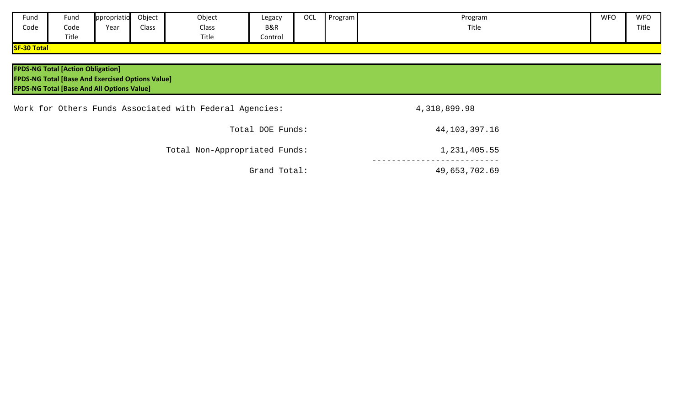| Fund               | Fund  | ppropriatio | Object | Object | Legacy  | OCL | Program | Program | <b>WFO</b> | <b>WFO</b> |
|--------------------|-------|-------------|--------|--------|---------|-----|---------|---------|------------|------------|
| Code               | Code  | Year        | Class  | Class  | B&R     |     |         | Title   |            | Title      |
|                    | Title |             |        | Title  | Control |     |         |         |            |            |
| <b>SF-30 Total</b> |       |             |        |        |         |     |         |         |            |            |

| <b>FPDS-NG Total [Action Obligation]</b><br><b>FPDS-NG Total [Base And Exercised Options Value]</b><br><b>FPDS-NG Total [Base And All Options Value]</b> |                  |  |
|----------------------------------------------------------------------------------------------------------------------------------------------------------|------------------|--|
| Work for Others Funds Associated with Federal Agencies:                                                                                                  | 4,318,899.98     |  |
| Total DOE Funds:                                                                                                                                         | 44, 103, 397. 16 |  |
| Total Non-Appropriated Funds:                                                                                                                            | 1,231,405.55     |  |
| Grand Total:                                                                                                                                             | 49,653,702.69    |  |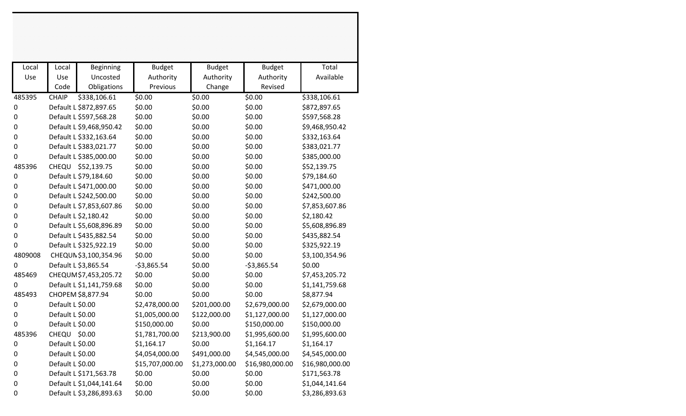| Local<br>Use     | Local<br>Use<br>Code | Beginning<br>Uncosted<br>Obligations | <b>Budget</b><br>Authority<br>Previous | <b>Budget</b><br>Authority<br>Change | <b>Budget</b><br>Authority<br>Revised | Total<br>Available |
|------------------|----------------------|--------------------------------------|----------------------------------------|--------------------------------------|---------------------------------------|--------------------|
| 485395           | <b>CHAIP</b>         | \$338,106.61                         | \$0.00                                 | \$0.00                               | \$0.00                                | \$338,106.61       |
| $\boldsymbol{0}$ |                      | Default L \$872,897.65               | \$0.00                                 | \$0.00                               | \$0.00                                | \$872,897.65       |
| $\boldsymbol{0}$ |                      | Default L \$597,568.28               | \$0.00                                 | \$0.00                               | \$0.00                                | \$597,568.28       |
| $\boldsymbol{0}$ |                      | Default L \$9,468,950.42             | \$0.00                                 | \$0.00                               | \$0.00                                | \$9,468,950.42     |
| $\boldsymbol{0}$ |                      | Default L \$332,163.64               | \$0.00                                 | \$0.00                               | \$0.00                                | \$332,163.64       |
| $\mathbf 0$      |                      | Default L \$383,021.77               | \$0.00                                 | \$0.00                               | \$0.00                                | \$383,021.77       |
| $\boldsymbol{0}$ |                      | Default L \$385,000.00               | \$0.00                                 | \$0.00                               | \$0.00                                | \$385,000.00       |
| 485396           |                      | CHEQU \$52,139.75                    | \$0.00                                 | \$0.00                               | \$0.00                                | \$52,139.75        |
| $\pmb{0}$        |                      | Default L \$79,184.60                | \$0.00                                 | \$0.00                               | \$0.00                                | \$79,184.60        |
| $\pmb{0}$        |                      | Default L \$471,000.00               | \$0.00                                 | \$0.00                               | \$0.00                                | \$471,000.00       |
| $\boldsymbol{0}$ |                      | Default L \$242,500.00               | \$0.00                                 | \$0.00                               | \$0.00                                | \$242,500.00       |
| $\boldsymbol{0}$ |                      | Default L \$7,853,607.86             | \$0.00                                 | \$0.00                               | \$0.00                                | \$7,853,607.86     |
| 0                |                      | Default L \$2,180.42                 | \$0.00                                 | \$0.00                               | \$0.00                                | \$2,180.42         |
| $\boldsymbol{0}$ |                      | Default L \$5,608,896.89             | \$0.00                                 | \$0.00                               | \$0.00                                | \$5,608,896.89     |
| $\boldsymbol{0}$ |                      | Default L \$435,882.54               | \$0.00                                 | \$0.00                               | \$0.00                                | \$435,882.54       |
| 0                |                      | Default L \$325,922.19               | \$0.00                                 | \$0.00                               | \$0.00                                | \$325,922.19       |
| 4809008          |                      | CHEQUN \$3,100,354.96                | \$0.00                                 | \$0.00                               | \$0.00                                | \$3,100,354.96     |
| 0                |                      | Default L \$3,865.54                 | $-$3,865.54$                           | \$0.00                               | $-53,865.54$                          | \$0.00             |
| 485469           |                      | CHEQUM \$7,453,205.72                | \$0.00                                 | \$0.00                               | \$0.00                                | \$7,453,205.72     |
| 0                |                      | Default L \$1,141,759.68             | \$0.00                                 | \$0.00                               | \$0.00                                | \$1,141,759.68     |
| 485493           |                      | CHOPEM \$8,877.94                    | \$0.00                                 | \$0.00                               | \$0.00                                | \$8,877.94         |
| 0                | Default L \$0.00     |                                      | \$2,478,000.00                         | \$201,000.00                         | \$2,679,000.00                        | \$2,679,000.00     |
| 0                | Default L \$0.00     |                                      | \$1,005,000.00                         | \$122,000.00                         | \$1,127,000.00                        | \$1,127,000.00     |
| $\mathbf 0$      | Default L \$0.00     |                                      | \$150,000.00                           | \$0.00                               | \$150,000.00                          | \$150,000.00       |
| 485396           | CHEQU \$0.00         |                                      | \$1,781,700.00                         | \$213,900.00                         | \$1,995,600.00                        | \$1,995,600.00     |
| $\boldsymbol{0}$ | Default L \$0.00     |                                      | \$1,164.17                             | \$0.00                               | \$1,164.17                            | \$1,164.17         |
| $\boldsymbol{0}$ | Default L \$0.00     |                                      | \$4,054,000.00                         | \$491,000.00                         | \$4,545,000.00                        | \$4,545,000.00     |
| 0                | Default L \$0.00     |                                      | \$15,707,000.00                        | \$1,273,000.00                       | \$16,980,000.00                       | \$16,980,000.00    |
| 0                |                      | Default L \$171,563.78               | \$0.00                                 | \$0.00                               | \$0.00                                | \$171,563.78       |
| 0                |                      | Default L \$1,044,141.64             | \$0.00                                 | \$0.00                               | \$0.00                                | \$1,044,141.64     |
| $\boldsymbol{0}$ |                      | Default L \$3,286,893.63             | \$0.00                                 | \$0.00                               | \$0.00                                | \$3,286,893.63     |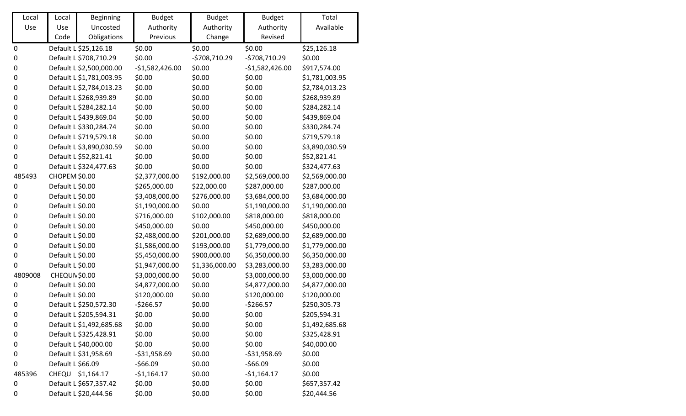| Local     | Local             | <b>Beginning</b>         | <b>Budget</b>    | <b>Budget</b>  | <b>Budget</b>    | Total          |
|-----------|-------------------|--------------------------|------------------|----------------|------------------|----------------|
| Use       | Use               | Uncosted                 | Authority        | Authority      | Authority        | Available      |
|           | Code              | Obligations              | Previous         | Change         | Revised          |                |
| $\pmb{0}$ |                   | Default L \$25,126.18    | \$0.00           | \$0.00         | \$0.00           | \$25,126.18    |
| 0         |                   | Default L \$708,710.29   | \$0.00           | $-5708,710.29$ | $-5708,710.29$   | \$0.00         |
| 0         |                   | Default L \$2,500,000.00 | $-$1,582,426.00$ | \$0.00         | $-51,582,426.00$ | \$917,574.00   |
| 0         |                   | Default L \$1,781,003.95 | \$0.00           | \$0.00         | \$0.00           | \$1,781,003.95 |
| 0         |                   | Default L \$2,784,013.23 | \$0.00           | \$0.00         | \$0.00           | \$2,784,013.23 |
| 0         |                   | Default L \$268,939.89   | \$0.00           | \$0.00         | \$0.00           | \$268,939.89   |
| 0         |                   | Default L \$284,282.14   | \$0.00           | \$0.00         | \$0.00           | \$284,282.14   |
| 0         |                   | Default L \$439,869.04   | \$0.00           | \$0.00         | \$0.00           | \$439,869.04   |
| 0         |                   | Default L \$330,284.74   | \$0.00           | \$0.00         | \$0.00           | \$330,284.74   |
| 0         |                   | Default L \$719,579.18   | \$0.00           | \$0.00         | \$0.00           | \$719,579.18   |
| 0         |                   | Default L \$3,890,030.59 | \$0.00           | \$0.00         | \$0.00           | \$3,890,030.59 |
| 0         |                   | Default L \$52,821.41    | \$0.00           | \$0.00         | \$0.00           | \$52,821.41    |
| 0         |                   | Default L \$324,477.63   | \$0.00           | \$0.00         | \$0.00           | \$324,477.63   |
| 485493    | CHOPEM \$0.00     |                          | \$2,377,000.00   | \$192,000.00   | \$2,569,000.00   | \$2,569,000.00 |
| 0         | Default L \$0.00  |                          | \$265,000.00     | \$22,000.00    | \$287,000.00     | \$287,000.00   |
| 0         | Default L \$0.00  |                          | \$3,408,000.00   | \$276,000.00   | \$3,684,000.00   | \$3,684,000.00 |
| 0         | Default L \$0.00  |                          | \$1,190,000.00   | \$0.00         | \$1,190,000.00   | \$1,190,000.00 |
| 0         | Default L \$0.00  |                          | \$716,000.00     | \$102,000.00   | \$818,000.00     | \$818,000.00   |
| 0         | Default L \$0.00  |                          | \$450,000.00     | \$0.00         | \$450,000.00     | \$450,000.00   |
| 0         | Default L \$0.00  |                          | \$2,488,000.00   | \$201,000.00   | \$2,689,000.00   | \$2,689,000.00 |
| 0         | Default L \$0.00  |                          | \$1,586,000.00   | \$193,000.00   | \$1,779,000.00   | \$1,779,000.00 |
| 0         | Default L \$0.00  |                          | \$5,450,000.00   | \$900,000.00   | \$6,350,000.00   | \$6,350,000.00 |
| 0         | Default L \$0.00  |                          | \$1,947,000.00   | \$1,336,000.00 | \$3,283,000.00   | \$3,283,000.00 |
| 4809008   | CHEQUN \$0.00     |                          | \$3,000,000.00   | \$0.00         | \$3,000,000.00   | \$3,000,000.00 |
| 0         | Default L \$0.00  |                          | \$4,877,000.00   | \$0.00         | \$4,877,000.00   | \$4,877,000.00 |
| 0         | Default L \$0.00  |                          | \$120,000.00     | \$0.00         | \$120,000.00     | \$120,000.00   |
| 0         |                   | Default L \$250,572.30   | $-$266.57$       | \$0.00         | $-5266.57$       | \$250,305.73   |
| 0         |                   | Default L \$205,594.31   | \$0.00           | \$0.00         | \$0.00           | \$205,594.31   |
| 0         |                   | Default L \$1,492,685.68 | \$0.00           | \$0.00         | \$0.00           | \$1,492,685.68 |
| 0         |                   | Default L \$325,428.91   | \$0.00           | \$0.00         | \$0.00           | \$325,428.91   |
| 0         |                   | Default L \$40,000.00    | \$0.00           | \$0.00         | \$0.00           | \$40,000.00    |
| 0         |                   | Default L \$31,958.69    | $-531,958.69$    | \$0.00         | $-$31,958.69$    | \$0.00         |
| 0         | Default L \$66.09 |                          | $-566.09$        | \$0.00         | $-566.09$        | \$0.00         |
| 485396    |                   | CHEQU \$1,164.17         | $-$1,164.17$     | \$0.00         | $-51,164.17$     | \$0.00         |
| 0         |                   | Default L \$657,357.42   | \$0.00           | \$0.00         | \$0.00           | \$657,357.42   |
| 0         |                   | Default L \$20,444.56    | \$0.00           | \$0.00         | \$0.00           | \$20,444.56    |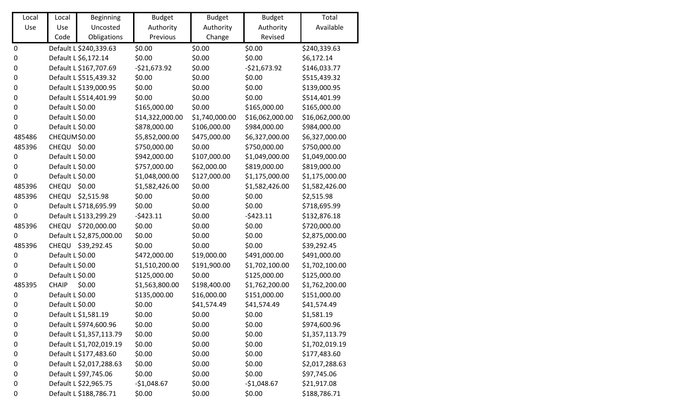| Local            | Local            | Beginning                | <b>Budget</b>   | <b>Budget</b>  | <b>Budget</b>   | Total           |
|------------------|------------------|--------------------------|-----------------|----------------|-----------------|-----------------|
| Use              | Use              | Uncosted                 | Authority       | Authority      | Authority       | Available       |
|                  | Code             | Obligations              | Previous        | Change         | Revised         |                 |
| $\pmb{0}$        |                  | Default L \$240,339.63   | \$0.00          | \$0.00         | \$0.00          | \$240,339.63    |
| $\boldsymbol{0}$ |                  | Default L \$6,172.14     | \$0.00          | \$0.00         | \$0.00          | \$6,172.14      |
| 0                |                  | Default L \$167,707.69   | $-$21,673.92$   | \$0.00         | $-$21,673.92$   | \$146,033.77    |
| $\pmb{0}$        |                  | Default L \$515,439.32   | \$0.00          | \$0.00         | \$0.00          | \$515,439.32    |
| $\pmb{0}$        |                  | Default L \$139,000.95   | \$0.00          | \$0.00         | \$0.00          | \$139,000.95    |
| 0                |                  | Default L \$514,401.99   | \$0.00          | \$0.00         | \$0.00          | \$514,401.99    |
| $\boldsymbol{0}$ | Default L \$0.00 |                          | \$165,000.00    | \$0.00         | \$165,000.00    | \$165,000.00    |
| $\pmb{0}$        | Default L \$0.00 |                          | \$14,322,000.00 | \$1,740,000.00 | \$16,062,000.00 | \$16,062,000.00 |
| 0                | Default L \$0.00 |                          | \$878,000.00    | \$106,000.00   | \$984,000.00    | \$984,000.00    |
| 485486           | CHEQUM\$0.00     |                          | \$5,852,000.00  | \$475,000.00   | \$6,327,000.00  | \$6,327,000.00  |
| 485396           | CHEQU \$0.00     |                          | \$750,000.00    | \$0.00         | \$750,000.00    | \$750,000.00    |
| $\pmb{0}$        | Default L \$0.00 |                          | \$942,000.00    | \$107,000.00   | \$1,049,000.00  | \$1,049,000.00  |
| 0                | Default L \$0.00 |                          | \$757,000.00    | \$62,000.00    | \$819,000.00    | \$819,000.00    |
| 0                | Default L \$0.00 |                          | \$1,048,000.00  | \$127,000.00   | \$1,175,000.00  | \$1,175,000.00  |
| 485396           | CHEQU            | \$0.00                   | \$1,582,426.00  | \$0.00         | \$1,582,426.00  | \$1,582,426.00  |
| 485396           | CHEQU            | \$2,515.98               | \$0.00          | \$0.00         | \$0.00          | \$2,515.98      |
| $\pmb{0}$        |                  | Default L \$718,695.99   | \$0.00          | \$0.00         | \$0.00          | \$718,695.99    |
| 0                |                  | Default L \$133,299.29   | $-5423.11$      | \$0.00         | $-5423.11$      | \$132,876.18    |
| 485396           |                  | CHEQU \$720,000.00       | \$0.00          | \$0.00         | \$0.00          | \$720,000.00    |
| $\pmb{0}$        |                  | Default L \$2,875,000.00 | \$0.00          | \$0.00         | \$0.00          | \$2,875,000.00  |
| 485396           | CHEQU            | \$39,292.45              | \$0.00          | \$0.00         | \$0.00          | \$39,292.45     |
| 0                | Default L \$0.00 |                          | \$472,000.00    | \$19,000.00    | \$491,000.00    | \$491,000.00    |
| 0                | Default L \$0.00 |                          | \$1,510,200.00  | \$191,900.00   | \$1,702,100.00  | \$1,702,100.00  |
| 0                | Default L \$0.00 |                          | \$125,000.00    | \$0.00         | \$125,000.00    | \$125,000.00    |
| 485395           | <b>CHAIP</b>     | \$0.00                   | \$1,563,800.00  | \$198,400.00   | \$1,762,200.00  | \$1,762,200.00  |
| $\pmb{0}$        | Default L \$0.00 |                          | \$135,000.00    | \$16,000.00    | \$151,000.00    | \$151,000.00    |
| 0                | Default L \$0.00 |                          | \$0.00          | \$41,574.49    | \$41,574.49     | \$41,574.49     |
| 0                |                  | Default L \$1,581.19     | \$0.00          | \$0.00         | \$0.00          | \$1,581.19      |
| 0                |                  | Default L \$974,600.96   | \$0.00          | \$0.00         | \$0.00          | \$974,600.96    |
| $\boldsymbol{0}$ |                  | Default L \$1,357,113.79 | \$0.00          | \$0.00         | \$0.00          | \$1,357,113.79  |
| 0                |                  | Default L \$1,702,019.19 | \$0.00          | \$0.00         | \$0.00          | \$1,702,019.19  |
| 0                |                  | Default L \$177,483.60   | \$0.00          | \$0.00         | \$0.00          | \$177,483.60    |
| 0                |                  | Default L \$2,017,288.63 | \$0.00          | \$0.00         | \$0.00          | \$2,017,288.63  |
| $\boldsymbol{0}$ |                  | Default L \$97,745.06    | \$0.00          | \$0.00         | \$0.00          | \$97,745.06     |
| 0                |                  | Default L \$22,965.75    | $-$1,048.67$    | \$0.00         | $-$1,048.67$    | \$21,917.08     |
| 0                |                  | Default L \$188,786.71   | \$0.00          | \$0.00         | \$0.00          | \$188,786.71    |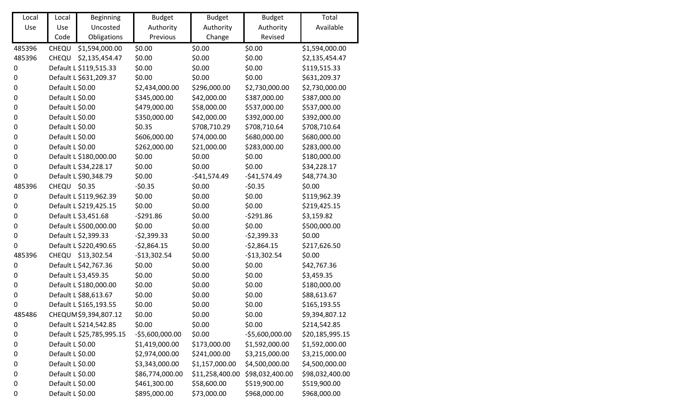| Local            | Local            | <b>Beginning</b>          | <b>Budget</b>    | <b>Budget</b>   | <b>Budget</b>    | Total           |
|------------------|------------------|---------------------------|------------------|-----------------|------------------|-----------------|
| Use              | Use              | Uncosted                  | Authority        | Authority       | Authority        | Available       |
|                  | Code             | Obligations               | Previous         | Change          | Revised          |                 |
| 485396           | CHEQU            | \$1,594,000.00            | \$0.00           | \$0.00          | \$0.00           | \$1,594,000.00  |
| 485396           | CHEQU            | \$2,135,454.47            | \$0.00           | \$0.00          | \$0.00           | \$2,135,454.47  |
| $\pmb{0}$        |                  | Default L \$119,515.33    | \$0.00           | \$0.00          | \$0.00           | \$119,515.33    |
| $\boldsymbol{0}$ |                  | Default L \$631,209.37    | \$0.00           | \$0.00          | \$0.00           | \$631,209.37    |
| $\boldsymbol{0}$ | Default L \$0.00 |                           | \$2,434,000.00   | \$296,000.00    | \$2,730,000.00   | \$2,730,000.00  |
| $\boldsymbol{0}$ | Default L \$0.00 |                           | \$345,000.00     | \$42,000.00     | \$387,000.00     | \$387,000.00    |
| $\boldsymbol{0}$ | Default L \$0.00 |                           | \$479,000.00     | \$58,000.00     | \$537,000.00     | \$537,000.00    |
| $\boldsymbol{0}$ | Default L \$0.00 |                           | \$350,000.00     | \$42,000.00     | \$392,000.00     | \$392,000.00    |
| $\boldsymbol{0}$ | Default L \$0.00 |                           | \$0.35           | \$708,710.29    | \$708,710.64     | \$708,710.64    |
| $\boldsymbol{0}$ | Default L \$0.00 |                           | \$606,000.00     | \$74,000.00     | \$680,000.00     | \$680,000.00    |
| $\boldsymbol{0}$ | Default L \$0.00 |                           | \$262,000.00     | \$21,000.00     | \$283,000.00     | \$283,000.00    |
| $\boldsymbol{0}$ |                  | Default L \$180,000.00    | \$0.00           | \$0.00          | \$0.00           | \$180,000.00    |
| $\boldsymbol{0}$ |                  | Default L \$34,228.17     | \$0.00           | \$0.00          | \$0.00           | \$34,228.17     |
| $\mathbf 0$      |                  | Default L \$90,348.79     | \$0.00           | $-$41,574.49$   | $-$41,574.49$    | \$48,774.30     |
| 485396           | CHEQU \$0.35     |                           | $-50.35$         | \$0.00          | $-50.35$         | \$0.00          |
| $\boldsymbol{0}$ |                  | Default L \$119,962.39    | \$0.00           | \$0.00          | \$0.00           | \$119,962.39    |
| $\boldsymbol{0}$ |                  | Default L \$219,425.15    | \$0.00           | \$0.00          | \$0.00           | \$219,425.15    |
| $\boldsymbol{0}$ |                  | Default L \$3,451.68      | $-5291.86$       | \$0.00          | $-5291.86$       | \$3,159.82      |
| $\boldsymbol{0}$ |                  | Default L \$500,000.00    | \$0.00           | \$0.00          | \$0.00           | \$500,000.00    |
| $\pmb{0}$        |                  | Default L \$2,399.33      | $-52,399.33$     | \$0.00          | $-$2,399.33$     | \$0.00          |
| $\boldsymbol{0}$ |                  | Default L \$220,490.65    | $-52,864.15$     | \$0.00          | $-52,864.15$     | \$217,626.50    |
| 485396           |                  | CHEQU \$13,302.54         | $-$13,302.54$    | \$0.00          | $-$13,302.54$    | \$0.00          |
| $\pmb{0}$        |                  | Default L \$42,767.36     | \$0.00           | \$0.00          | \$0.00           | \$42,767.36     |
| $\boldsymbol{0}$ |                  | Default L \$3,459.35      | \$0.00           | \$0.00          | \$0.00           | \$3,459.35      |
| $\boldsymbol{0}$ |                  | Default L \$180,000.00    | \$0.00           | \$0.00          | \$0.00           | \$180,000.00    |
| $\boldsymbol{0}$ |                  | Default L \$88,613.67     | \$0.00           | \$0.00          | \$0.00           | \$88,613.67     |
| $\mathbf 0$      |                  | Default L \$165,193.55    | \$0.00           | \$0.00          | \$0.00           | \$165,193.55    |
| 485486           |                  | CHEQUM \$9,394,807.12     | \$0.00           | \$0.00          | \$0.00           | \$9,394,807.12  |
| 0                |                  | Default L \$214,542.85    | \$0.00           | \$0.00          | \$0.00           | \$214,542.85    |
| 0                |                  | Default L \$25,785,995.15 | $-55,600,000.00$ | \$0.00          | $-55,600,000.00$ | \$20,185,995.15 |
| 0                | Default L \$0.00 |                           | \$1,419,000.00   | \$173,000.00    | \$1,592,000.00   | \$1,592,000.00  |
| 0                | Default L \$0.00 |                           | \$2,974,000.00   | \$241,000.00    | \$3,215,000.00   | \$3,215,000.00  |
| 0                | Default L \$0.00 |                           | \$3,343,000.00   | \$1,157,000.00  | \$4,500,000.00   | \$4,500,000.00  |
| 0                | Default L \$0.00 |                           | \$86,774,000.00  | \$11,258,400.00 | \$98,032,400.00  | \$98,032,400.00 |
| 0                | Default L \$0.00 |                           | \$461,300.00     | \$58,600.00     | \$519,900.00     | \$519,900.00    |
| $\boldsymbol{0}$ | Default L \$0.00 |                           | \$895,000.00     | \$73,000.00     | \$968,000.00     | \$968,000.00    |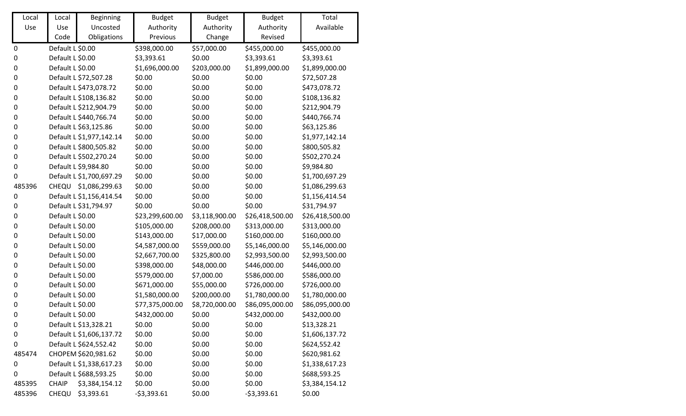| Local            | Local            | <b>Beginning</b>         | <b>Budget</b>   | <b>Budget</b>  | <b>Budget</b>   | Total           |
|------------------|------------------|--------------------------|-----------------|----------------|-----------------|-----------------|
| Use              | Use              | Uncosted                 | Authority       | Authority      | Authority       | Available       |
|                  | Code             | Obligations              | Previous        | Change         | Revised         |                 |
| $\boldsymbol{0}$ | Default L \$0.00 |                          | \$398,000.00    | \$57,000.00    | \$455,000.00    | \$455,000.00    |
| $\pmb{0}$        | Default L \$0.00 |                          | \$3,393.61      | \$0.00         | \$3,393.61      | \$3,393.61      |
| 0                | Default L \$0.00 |                          | \$1,696,000.00  | \$203,000.00   | \$1,899,000.00  | \$1,899,000.00  |
| 0                |                  | Default L \$72,507.28    | \$0.00          | \$0.00         | \$0.00          | \$72,507.28     |
| $\pmb{0}$        |                  | Default L \$473,078.72   | \$0.00          | \$0.00         | \$0.00          | \$473,078.72    |
| $\pmb{0}$        |                  | Default L \$108,136.82   | \$0.00          | \$0.00         | \$0.00          | \$108,136.82    |
| $\pmb{0}$        |                  | Default L \$212,904.79   | \$0.00          | \$0.00         | \$0.00          | \$212,904.79    |
| 0                |                  | Default L \$440,766.74   | \$0.00          | \$0.00         | \$0.00          | \$440,766.74    |
| $\pmb{0}$        |                  | Default L \$63,125.86    | \$0.00          | \$0.00         | \$0.00          | \$63,125.86     |
| $\pmb{0}$        |                  | Default L \$1,977,142.14 | \$0.00          | \$0.00         | \$0.00          | \$1,977,142.14  |
| 0                |                  | Default L \$800,505.82   | \$0.00          | \$0.00         | \$0.00          | \$800,505.82    |
| $\pmb{0}$        |                  | Default L \$502,270.24   | \$0.00          | \$0.00         | \$0.00          | \$502,270.24    |
| $\pmb{0}$        |                  | Default L \$9,984.80     | \$0.00          | \$0.00         | \$0.00          | \$9,984.80      |
| 0                |                  | Default L \$1,700,697.29 | \$0.00          | \$0.00         | \$0.00          | \$1,700,697.29  |
| 485396           |                  | CHEQU \$1,086,299.63     | \$0.00          | \$0.00         | \$0.00          | \$1,086,299.63  |
| 0                |                  | Default L \$1,156,414.54 | \$0.00          | \$0.00         | \$0.00          | \$1,156,414.54  |
| $\pmb{0}$        |                  | Default L \$31,794.97    | \$0.00          | \$0.00         | \$0.00          | \$31,794.97     |
| 0                | Default L \$0.00 |                          | \$23,299,600.00 | \$3,118,900.00 | \$26,418,500.00 | \$26,418,500.00 |
| $\pmb{0}$        | Default L \$0.00 |                          | \$105,000.00    | \$208,000.00   | \$313,000.00    | \$313,000.00    |
| 0                | Default L \$0.00 |                          | \$143,000.00    | \$17,000.00    | \$160,000.00    | \$160,000.00    |
| 0                | Default L \$0.00 |                          | \$4,587,000.00  | \$559,000.00   | \$5,146,000.00  | \$5,146,000.00  |
| 0                | Default L \$0.00 |                          | \$2,667,700.00  | \$325,800.00   | \$2,993,500.00  | \$2,993,500.00  |
| 0                | Default L \$0.00 |                          | \$398,000.00    | \$48,000.00    | \$446,000.00    | \$446,000.00    |
| $\pmb{0}$        | Default L \$0.00 |                          | \$579,000.00    | \$7,000.00     | \$586,000.00    | \$586,000.00    |
| $\pmb{0}$        | Default L \$0.00 |                          | \$671,000.00    | \$55,000.00    | \$726,000.00    | \$726,000.00    |
| $\pmb{0}$        | Default L \$0.00 |                          | \$1,580,000.00  | \$200,000.00   | \$1,780,000.00  | \$1,780,000.00  |
| $\pmb{0}$        | Default L \$0.00 |                          | \$77,375,000.00 | \$8,720,000.00 | \$86,095,000.00 | \$86,095,000.00 |
| 0                | Default L \$0.00 |                          | \$432,000.00    | \$0.00         | \$432,000.00    | \$432,000.00    |
| 0                |                  | Default L \$13,328.21    | \$0.00          | \$0.00         | \$0.00          | \$13,328.21     |
| 0                |                  | Default L \$1,606,137.72 | \$0.00          | \$0.00         | \$0.00          | \$1,606,137.72  |
| 0                |                  | Default L \$624,552.42   | \$0.00          | \$0.00         | \$0.00          | \$624,552.42    |
| 485474           |                  | CHOPEM \$620,981.62      | \$0.00          | \$0.00         | \$0.00          | \$620,981.62    |
| 0                |                  | Default L \$1,338,617.23 | \$0.00          | \$0.00         | \$0.00          | \$1,338,617.23  |
| 0                |                  | Default L \$688,593.25   | \$0.00          | \$0.00         | \$0.00          | \$688,593.25    |
| 485395           | <b>CHAIP</b>     | \$3,384,154.12           | \$0.00          | \$0.00         | \$0.00          | \$3,384,154.12  |
| 485396           | CHEQU            | \$3,393.61               | $-53,393.61$    | \$0.00         | $-53,393.61$    | \$0.00          |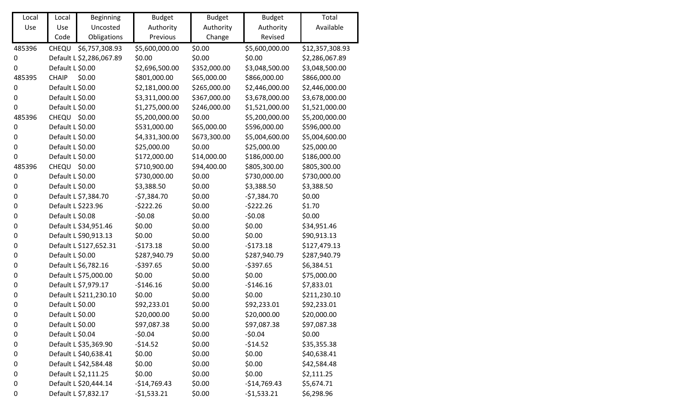| Local            | Local              | <b>Beginning</b>         | <b>Budget</b>  | <b>Budget</b> | <b>Budget</b>  | Total           |
|------------------|--------------------|--------------------------|----------------|---------------|----------------|-----------------|
| Use              | Use                | Uncosted                 | Authority      | Authority     | Authority      | Available       |
|                  | Code               | Obligations              | Previous       | Change        | Revised        |                 |
| 485396           | CHEQU              | \$6,757,308.93           | \$5,600,000.00 | \$0.00        | \$5,600,000.00 | \$12,357,308.93 |
| 0                |                    | Default L \$2,286,067.89 | \$0.00         | \$0.00        | \$0.00         | \$2,286,067.89  |
| $\pmb{0}$        | Default L \$0.00   |                          | \$2,696,500.00 | \$352,000.00  | \$3,048,500.00 | \$3,048,500.00  |
| 485395           | <b>CHAIP</b>       | \$0.00                   | \$801,000.00   | \$65,000.00   | \$866,000.00   | \$866,000.00    |
| $\boldsymbol{0}$ | Default L \$0.00   |                          | \$2,181,000.00 | \$265,000.00  | \$2,446,000.00 | \$2,446,000.00  |
| $\pmb{0}$        | Default L \$0.00   |                          | \$3,311,000.00 | \$367,000.00  | \$3,678,000.00 | \$3,678,000.00  |
| 0                | Default L \$0.00   |                          | \$1,275,000.00 | \$246,000.00  | \$1,521,000.00 | \$1,521,000.00  |
| 485396           | CHEQU \$0.00       |                          | \$5,200,000.00 | \$0.00        | \$5,200,000.00 | \$5,200,000.00  |
| $\pmb{0}$        | Default L \$0.00   |                          | \$531,000.00   | \$65,000.00   | \$596,000.00   | \$596,000.00    |
| $\boldsymbol{0}$ | Default L \$0.00   |                          | \$4,331,300.00 | \$673,300.00  | \$5,004,600.00 | \$5,004,600.00  |
| $\boldsymbol{0}$ | Default L \$0.00   |                          | \$25,000.00    | \$0.00        | \$25,000.00    | \$25,000.00     |
| 0                | Default L \$0.00   |                          | \$172,000.00   | \$14,000.00   | \$186,000.00   | \$186,000.00    |
| 485396           | <b>CHEQU</b>       | \$0.00                   | \$710,900.00   | \$94,400.00   | \$805,300.00   | \$805,300.00    |
| $\boldsymbol{0}$ | Default L \$0.00   |                          | \$730,000.00   | \$0.00        | \$730,000.00   | \$730,000.00    |
| $\pmb{0}$        | Default L \$0.00   |                          | \$3,388.50     | \$0.00        | \$3,388.50     | \$3,388.50      |
| $\boldsymbol{0}$ |                    | Default L \$7,384.70     | $-57,384.70$   | \$0.00        | $-57,384.70$   | \$0.00          |
| $\boldsymbol{0}$ | Default L \$223.96 |                          | $-5222.26$     | \$0.00        | $-5222.26$     | \$1.70          |
| $\boldsymbol{0}$ | Default L \$0.08   |                          | $-50.08$       | \$0.00        | $-50.08$       | \$0.00          |
| $\boldsymbol{0}$ |                    | Default L \$34,951.46    | \$0.00         | \$0.00        | \$0.00         | \$34,951.46     |
| $\boldsymbol{0}$ |                    | Default L \$90,913.13    | \$0.00         | \$0.00        | \$0.00         | \$90,913.13     |
| $\boldsymbol{0}$ |                    | Default L \$127,652.31   | $-5173.18$     | \$0.00        | $-5173.18$     | \$127,479.13    |
| $\boldsymbol{0}$ | Default L \$0.00   |                          | \$287,940.79   | \$0.00        | \$287,940.79   | \$287,940.79    |
| $\pmb{0}$        |                    | Default L \$6,782.16     | $-$397.65$     | \$0.00        | $-5397.65$     | \$6,384.51      |
| $\boldsymbol{0}$ |                    | Default L \$75,000.00    | \$0.00         | \$0.00        | \$0.00         | \$75,000.00     |
| $\boldsymbol{0}$ |                    | Default L \$7,979.17     | $-$146.16$     | \$0.00        | $-5146.16$     | \$7,833.01      |
| $\boldsymbol{0}$ |                    | Default L \$211,230.10   | \$0.00         | \$0.00        | \$0.00         | \$211,230.10    |
| $\boldsymbol{0}$ | Default L \$0.00   |                          | \$92,233.01    | \$0.00        | \$92,233.01    | \$92,233.01     |
| 0                | Default L \$0.00   |                          | \$20,000.00    | \$0.00        | \$20,000.00    | \$20,000.00     |
| 0                | Default L \$0.00   |                          | \$97,087.38    | \$0.00        | \$97,087.38    | \$97,087.38     |
| 0                | Default L \$0.04   |                          | $-50.04$       | \$0.00        | $-50.04$       | \$0.00          |
| 0                |                    | Default L \$35,369.90    | $-514.52$      | \$0.00        | $-514.52$      | \$35,355.38     |
| 0                |                    | Default L \$40,638.41    | \$0.00         | \$0.00        | \$0.00         | \$40,638.41     |
| 0                |                    | Default L \$42,584.48    | \$0.00         | \$0.00        | \$0.00         | \$42,584.48     |
| 0                |                    | Default L \$2,111.25     | \$0.00         | \$0.00        | \$0.00         | \$2,111.25      |
| 0                |                    | Default L \$20,444.14    | $-$14,769.43$  | \$0.00        | $-$14,769.43$  | \$5,674.71      |
| $\boldsymbol{0}$ |                    | Default L \$7,832.17     | $-51,533.21$   | \$0.00        | $-51,533.21$   | \$6,298.96      |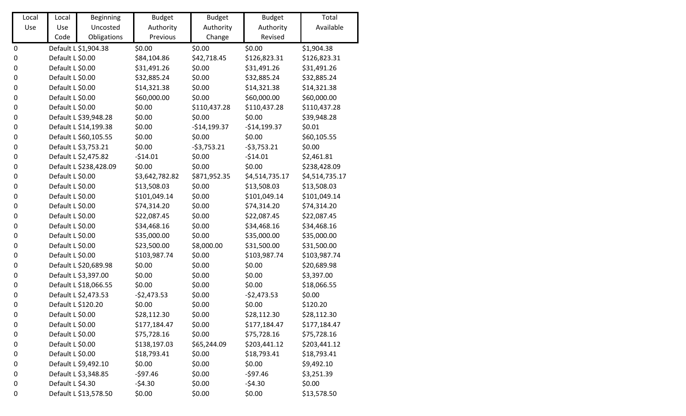| Local            | Local              | <b>Beginning</b>       | <b>Budget</b>  | <b>Budget</b> | <b>Budget</b>  | Total          |
|------------------|--------------------|------------------------|----------------|---------------|----------------|----------------|
| Use              | Use                | Uncosted               | Authority      | Authority     | Authority      | Available      |
|                  | Code               | Obligations            | Previous       | Change        | Revised        |                |
| $\pmb{0}$        |                    | Default L \$1,904.38   | \$0.00         | \$0.00        | \$0.00         | \$1,904.38     |
| $\pmb{0}$        | Default L \$0.00   |                        | \$84,104.86    | \$42,718.45   | \$126,823.31   | \$126,823.31   |
| $\pmb{0}$        | Default L \$0.00   |                        | \$31,491.26    | \$0.00        | \$31,491.26    | \$31,491.26    |
| $\boldsymbol{0}$ | Default L \$0.00   |                        | \$32,885.24    | \$0.00        | \$32,885.24    | \$32,885.24    |
| $\boldsymbol{0}$ | Default L \$0.00   |                        | \$14,321.38    | \$0.00        | \$14,321.38    | \$14,321.38    |
| 0                | Default L \$0.00   |                        | \$60,000.00    | \$0.00        | \$60,000.00    | \$60,000.00    |
| 0                | Default L \$0.00   |                        | \$0.00         | \$110,437.28  | \$110,437.28   | \$110,437.28   |
| $\pmb{0}$        |                    | Default L \$39,948.28  | \$0.00         | \$0.00        | \$0.00         | \$39,948.28    |
| $\boldsymbol{0}$ |                    | Default L \$14,199.38  | \$0.00         | $-$14,199.37$ | $-$14,199.37$  | \$0.01         |
| $\pmb{0}$        |                    | Default L \$60,105.55  | \$0.00         | \$0.00        | \$0.00         | \$60,105.55    |
| $\boldsymbol{0}$ |                    | Default L \$3,753.21   | \$0.00         | $-53,753.21$  | $-53,753.21$   | \$0.00         |
| 0                |                    | Default L \$2,475.82   | $-514.01$      | \$0.00        | $-514.01$      | \$2,461.81     |
| $\pmb{0}$        |                    | Default L \$238,428.09 | \$0.00         | \$0.00        | \$0.00         | \$238,428.09   |
| $\pmb{0}$        | Default L \$0.00   |                        | \$3,642,782.82 | \$871,952.35  | \$4,514,735.17 | \$4,514,735.17 |
| $\pmb{0}$        | Default L \$0.00   |                        | \$13,508.03    | \$0.00        | \$13,508.03    | \$13,508.03    |
| $\boldsymbol{0}$ | Default L \$0.00   |                        | \$101,049.14   | \$0.00        | \$101,049.14   | \$101,049.14   |
| $\boldsymbol{0}$ | Default L \$0.00   |                        | \$74,314.20    | \$0.00        | \$74,314.20    | \$74,314.20    |
| $\boldsymbol{0}$ | Default L \$0.00   |                        | \$22,087.45    | \$0.00        | \$22,087.45    | \$22,087.45    |
| $\boldsymbol{0}$ | Default L \$0.00   |                        | \$34,468.16    | \$0.00        | \$34,468.16    | \$34,468.16    |
| $\pmb{0}$        | Default L \$0.00   |                        | \$35,000.00    | \$0.00        | \$35,000.00    | \$35,000.00    |
| 0                | Default L \$0.00   |                        | \$23,500.00    | \$8,000.00    | \$31,500.00    | \$31,500.00    |
| $\pmb{0}$        | Default L \$0.00   |                        | \$103,987.74   | \$0.00        | \$103,987.74   | \$103,987.74   |
| $\boldsymbol{0}$ |                    | Default L \$20,689.98  | \$0.00         | \$0.00        | \$0.00         | \$20,689.98    |
| $\boldsymbol{0}$ |                    | Default L \$3,397.00   | \$0.00         | \$0.00        | \$0.00         | \$3,397.00     |
| $\boldsymbol{0}$ |                    | Default L \$18,066.55  | \$0.00         | \$0.00        | \$0.00         | \$18,066.55    |
| $\boldsymbol{0}$ |                    | Default L \$2,473.53   | $-52,473.53$   | \$0.00        | $-52,473.53$   | \$0.00         |
| $\boldsymbol{0}$ | Default L \$120.20 |                        | \$0.00         | \$0.00        | \$0.00         | \$120.20       |
| 0                | Default L \$0.00   |                        | \$28,112.30    | \$0.00        | \$28,112.30    | \$28,112.30    |
| 0                | Default L \$0.00   |                        | \$177,184.47   | \$0.00        | \$177,184.47   | \$177,184.47   |
| 0                | Default L \$0.00   |                        | \$75,728.16    | \$0.00        | \$75,728.16    | \$75,728.16    |
| 0                | Default L \$0.00   |                        | \$138,197.03   | \$65,244.09   | \$203,441.12   | \$203,441.12   |
| 0                | Default L \$0.00   |                        | \$18,793.41    | \$0.00        | \$18,793.41    | \$18,793.41    |
| 0                |                    | Default L \$9,492.10   | \$0.00         | \$0.00        | \$0.00         | \$9,492.10     |
| 0                |                    | Default L \$3,348.85   | $-597.46$      | \$0.00        | $-597.46$      | \$3,251.39     |
| 0                | Default L \$4.30   |                        | $-54.30$       | \$0.00        | $-54.30$       | \$0.00         |
| 0                |                    | Default L \$13,578.50  | \$0.00         | \$0.00        | \$0.00         | \$13,578.50    |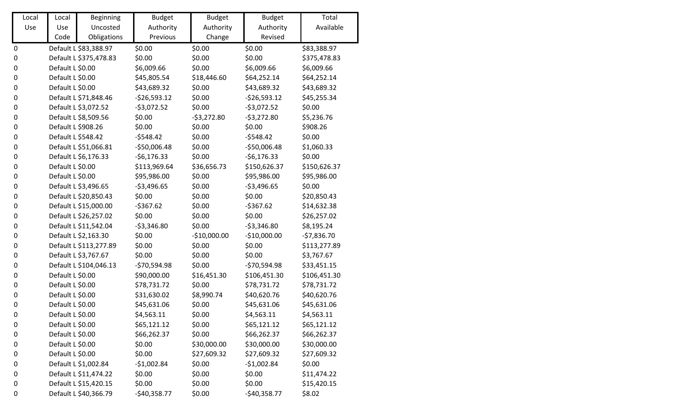| Local            | Local              | <b>Beginning</b>       | <b>Budget</b> | <b>Budget</b> | <b>Budget</b> | Total        |
|------------------|--------------------|------------------------|---------------|---------------|---------------|--------------|
| Use              | Use                | Uncosted               | Authority     | Authority     | Authority     | Available    |
|                  | Code               | Obligations            | Previous      | Change        | Revised       |              |
| $\pmb{0}$        |                    | Default L \$83,388.97  | \$0.00        | \$0.00        | \$0.00        | \$83,388.97  |
| $\boldsymbol{0}$ |                    | Default L \$375,478.83 | \$0.00        | \$0.00        | \$0.00        | \$375,478.83 |
| $\boldsymbol{0}$ | Default L \$0.00   |                        | \$6,009.66    | \$0.00        | \$6,009.66    | \$6,009.66   |
| $\boldsymbol{0}$ | Default L \$0.00   |                        | \$45,805.54   | \$18,446.60   | \$64,252.14   | \$64,252.14  |
| $\boldsymbol{0}$ | Default L \$0.00   |                        | \$43,689.32   | \$0.00        | \$43,689.32   | \$43,689.32  |
| $\pmb{0}$        |                    | Default L \$71,848.46  | $-526,593.12$ | \$0.00        | $-526,593.12$ | \$45,255.34  |
| $\pmb{0}$        |                    | Default L \$3,072.52   | $-53,072.52$  | \$0.00        | $-53,072.52$  | \$0.00       |
| $\pmb{0}$        |                    | Default L \$8,509.56   | \$0.00        | $-53,272.80$  | $-53,272.80$  | \$5,236.76   |
| $\boldsymbol{0}$ | Default L \$908.26 |                        | \$0.00        | \$0.00        | \$0.00        | \$908.26     |
| $\pmb{0}$        | Default L \$548.42 |                        | $-5548.42$    | \$0.00        | $-5548.42$    | \$0.00       |
| 0                |                    | Default L \$51,066.81  | $-$50,006.48$ | \$0.00        | $-$50,006.48$ | \$1,060.33   |
| 0                |                    | Default L \$6,176.33   | $-56,176.33$  | \$0.00        | $-56,176.33$  | \$0.00       |
| $\pmb{0}$        | Default L \$0.00   |                        | \$113,969.64  | \$36,656.73   | \$150,626.37  | \$150,626.37 |
| 0                | Default L \$0.00   |                        | \$95,986.00   | \$0.00        | \$95,986.00   | \$95,986.00  |
| $\pmb{0}$        |                    | Default L \$3,496.65   | $-$3,496.65$  | \$0.00        | $-53,496.65$  | \$0.00       |
| $\boldsymbol{0}$ |                    | Default L \$20,850.43  | \$0.00        | \$0.00        | \$0.00        | \$20,850.43  |
| 0                |                    | Default L \$15,000.00  | $-5367.62$    | \$0.00        | $-5367.62$    | \$14,632.38  |
| $\boldsymbol{0}$ |                    | Default L \$26,257.02  | \$0.00        | \$0.00        | \$0.00        | \$26,257.02  |
| $\pmb{0}$        |                    | Default L \$11,542.04  | $-53,346.80$  | \$0.00        | $-53,346.80$  | \$8,195.24   |
| $\pmb{0}$        |                    | Default L \$2,163.30   | \$0.00        | $-$10,000.00$ | $-$10,000.00$ | $-57,836.70$ |
| 0                |                    | Default L \$113,277.89 | \$0.00        | \$0.00        | \$0.00        | \$113,277.89 |
| $\pmb{0}$        |                    | Default L \$3,767.67   | \$0.00        | \$0.00        | \$0.00        | \$3,767.67   |
| $\boldsymbol{0}$ |                    | Default L \$104,046.13 | $-570,594.98$ | \$0.00        | $-570,594.98$ | \$33,451.15  |
| $\boldsymbol{0}$ | Default L \$0.00   |                        | \$90,000.00   | \$16,451.30   | \$106,451.30  | \$106,451.30 |
| 0                | Default L \$0.00   |                        | \$78,731.72   | \$0.00        | \$78,731.72   | \$78,731.72  |
| $\boldsymbol{0}$ | Default L \$0.00   |                        | \$31,630.02   | \$8,990.74    | \$40,620.76   | \$40,620.76  |
| $\boldsymbol{0}$ | Default L \$0.00   |                        | \$45,631.06   | \$0.00        | \$45,631.06   | \$45,631.06  |
| 0                | Default L \$0.00   |                        | \$4,563.11    | \$0.00        | \$4,563.11    | \$4,563.11   |
| 0                | Default L \$0.00   |                        | \$65,121.12   | \$0.00        | \$65,121.12   | \$65,121.12  |
| 0                | Default L \$0.00   |                        | \$66,262.37   | \$0.00        | \$66,262.37   | \$66,262.37  |
| 0                | Default L \$0.00   |                        | \$0.00        | \$30,000.00   | \$30,000.00   | \$30,000.00  |
| 0                | Default L \$0.00   |                        | \$0.00        | \$27,609.32   | \$27,609.32   | \$27,609.32  |
| 0                |                    | Default L \$1,002.84   | $-$1,002.84$  | \$0.00        | $-$1,002.84$  | \$0.00       |
| 0                |                    | Default L \$11,474.22  | \$0.00        | \$0.00        | \$0.00        | \$11,474.22  |
| 0                |                    | Default L \$15,420.15  | \$0.00        | \$0.00        | \$0.00        | \$15,420.15  |
| $\pmb{0}$        |                    | Default L \$40,366.79  | $-$40,358.77$ | \$0.00        | $-$40,358.77$ | \$8.02       |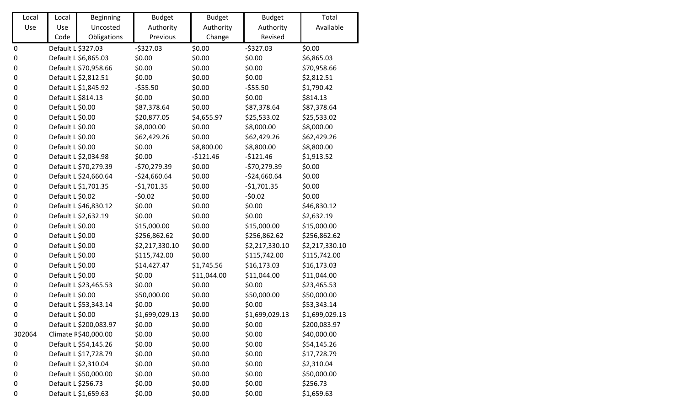| Local            | Local              | <b>Beginning</b>       | <b>Budget</b>  | <b>Budget</b> | <b>Budget</b>  | Total          |
|------------------|--------------------|------------------------|----------------|---------------|----------------|----------------|
| Use              | Use                | Uncosted               | Authority      | Authority     | Authority      | Available      |
|                  | Code               | Obligations            | Previous       | Change        | Revised        |                |
| $\pmb{0}$        | Default L \$327.03 |                        | $-5327.03$     | \$0.00        | $-5327.03$     | \$0.00         |
| $\boldsymbol{0}$ |                    | Default L \$6,865.03   | \$0.00         | \$0.00        | \$0.00         | \$6,865.03     |
| $\boldsymbol{0}$ |                    | Default L \$70,958.66  | \$0.00         | \$0.00        | \$0.00         | \$70,958.66    |
| $\boldsymbol{0}$ |                    | Default L \$2,812.51   | \$0.00         | \$0.00        | \$0.00         | \$2,812.51     |
| $\boldsymbol{0}$ |                    | Default L \$1,845.92   | $-555.50$      | \$0.00        | $-555.50$      | \$1,790.42     |
| $\boldsymbol{0}$ | Default L \$814.13 |                        | \$0.00         | \$0.00        | \$0.00         | \$814.13       |
| $\boldsymbol{0}$ | Default L \$0.00   |                        | \$87,378.64    | \$0.00        | \$87,378.64    | \$87,378.64    |
| $\pmb{0}$        | Default L \$0.00   |                        | \$20,877.05    | \$4,655.97    | \$25,533.02    | \$25,533.02    |
| $\boldsymbol{0}$ | Default L \$0.00   |                        | \$8,000.00     | \$0.00        | \$8,000.00     | \$8,000.00     |
| $\boldsymbol{0}$ | Default L \$0.00   |                        | \$62,429.26    | \$0.00        | \$62,429.26    | \$62,429.26    |
| $\boldsymbol{0}$ | Default L \$0.00   |                        | \$0.00         | \$8,800.00    | \$8,800.00     | \$8,800.00     |
| $\boldsymbol{0}$ |                    | Default L \$2,034.98   | \$0.00         | $-5121.46$    | $-$121.46$     | \$1,913.52     |
| $\pmb{0}$        |                    | Default L \$70,279.39  | $-$70,279.39$  | \$0.00        | $-570,279.39$  | \$0.00         |
| $\boldsymbol{0}$ |                    | Default L \$24,660.64  | $-$24,660.64$  | \$0.00        | $-$24,660.64$  | \$0.00         |
| $\pmb{0}$        |                    | Default L \$1,701.35   | $-$1,701.35$   | \$0.00        | $-$1,701.35$   | \$0.00         |
| $\boldsymbol{0}$ | Default L \$0.02   |                        | $-50.02$       | \$0.00        | $-50.02$       | \$0.00         |
| $\boldsymbol{0}$ |                    | Default L \$46,830.12  | \$0.00         | \$0.00        | \$0.00         | \$46,830.12    |
| $\boldsymbol{0}$ |                    | Default L \$2,632.19   | \$0.00         | \$0.00        | \$0.00         | \$2,632.19     |
| $\boldsymbol{0}$ | Default L \$0.00   |                        | \$15,000.00    | \$0.00        | \$15,000.00    | \$15,000.00    |
| $\pmb{0}$        | Default L \$0.00   |                        | \$256,862.62   | \$0.00        | \$256,862.62   | \$256,862.62   |
| $\boldsymbol{0}$ | Default L \$0.00   |                        | \$2,217,330.10 | \$0.00        | \$2,217,330.10 | \$2,217,330.10 |
| $\boldsymbol{0}$ | Default L \$0.00   |                        | \$115,742.00   | \$0.00        | \$115,742.00   | \$115,742.00   |
| $\boldsymbol{0}$ | Default L \$0.00   |                        | \$14,427.47    | \$1,745.56    | \$16,173.03    | \$16,173.03    |
| $\boldsymbol{0}$ | Default L \$0.00   |                        | \$0.00         | \$11,044.00   | \$11,044.00    | \$11,044.00    |
| $\boldsymbol{0}$ |                    | Default L \$23,465.53  | \$0.00         | \$0.00        | \$0.00         | \$23,465.53    |
| $\pmb{0}$        | Default L \$0.00   |                        | \$50,000.00    | \$0.00        | \$50,000.00    | \$50,000.00    |
| $\boldsymbol{0}$ |                    | Default L \$53,343.14  | \$0.00         | \$0.00        | \$0.00         | \$53,343.14    |
| 0                | Default L \$0.00   |                        | \$1,699,029.13 | \$0.00        | \$1,699,029.13 | \$1,699,029.13 |
| 0                |                    | Default L \$200,083.97 | \$0.00         | \$0.00        | \$0.00         | \$200,083.97   |
| 302064           |                    | Climate F \$40,000.00  | \$0.00         | \$0.00        | \$0.00         | \$40,000.00    |
| 0                |                    | Default L \$54,145.26  | \$0.00         | \$0.00        | \$0.00         | \$54,145.26    |
| 0                |                    | Default L \$17,728.79  | \$0.00         | \$0.00        | \$0.00         | \$17,728.79    |
| 0                |                    | Default L \$2,310.04   | \$0.00         | \$0.00        | \$0.00         | \$2,310.04     |
| 0                |                    | Default L \$50,000.00  | \$0.00         | \$0.00        | \$0.00         | \$50,000.00    |
| 0                | Default L \$256.73 |                        | \$0.00         | \$0.00        | \$0.00         | \$256.73       |
| $\boldsymbol{0}$ |                    | Default L \$1,659.63   | \$0.00         | \$0.00        | \$0.00         | \$1,659.63     |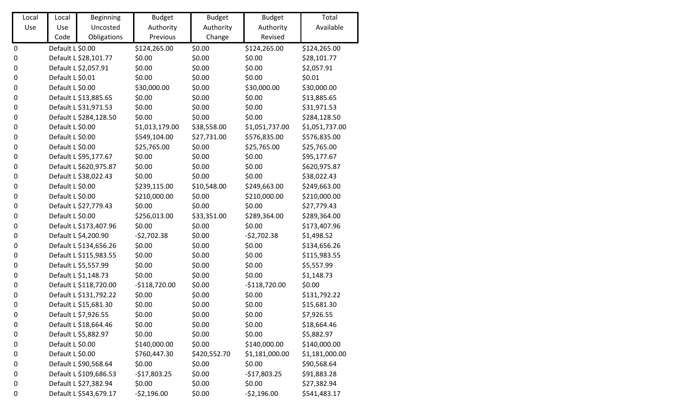| Local            | Local            | <b>Beginning</b>       | <b>Budget</b>  | <b>Budget</b> | <b>Budget</b>  | Total          |
|------------------|------------------|------------------------|----------------|---------------|----------------|----------------|
| Use              | Use              | Uncosted               | Authority      | Authority     | Authority      | Available      |
|                  | Code             | Obligations            | Previous       | Change        | Revised        |                |
| $\boldsymbol{0}$ | Default L \$0.00 |                        | \$124,265.00   | \$0.00        | \$124,265.00   | \$124,265.00   |
| $\boldsymbol{0}$ |                  | Default L \$28,101.77  | \$0.00         | \$0.00        | \$0.00         | \$28,101.77    |
| $\boldsymbol{0}$ |                  | Default L \$2,057.91   | \$0.00         | \$0.00        | \$0.00         | \$2,057.91     |
| $\boldsymbol{0}$ | Default L \$0.01 |                        | \$0.00         | \$0.00        | \$0.00         | \$0.01         |
| $\boldsymbol{0}$ | Default L \$0.00 |                        | \$30,000.00    | \$0.00        | \$30,000.00    | \$30,000.00    |
| $\boldsymbol{0}$ |                  | Default L \$13,885.65  | \$0.00         | \$0.00        | \$0.00         | \$13,885.65    |
| $\boldsymbol{0}$ |                  | Default L \$31,971.53  | \$0.00         | \$0.00        | \$0.00         | \$31,971.53    |
| $\boldsymbol{0}$ |                  | Default L \$284,128.50 | \$0.00         | \$0.00        | \$0.00         | \$284,128.50   |
| $\boldsymbol{0}$ | Default L \$0.00 |                        | \$1,013,179.00 | \$38,558.00   | \$1,051,737.00 | \$1,051,737.00 |
| $\boldsymbol{0}$ | Default L \$0.00 |                        | \$549,104.00   | \$27,731.00   | \$576,835.00   | \$576,835.00   |
| $\boldsymbol{0}$ | Default L \$0.00 |                        | \$25,765.00    | \$0.00        | \$25,765.00    | \$25,765.00    |
| $\boldsymbol{0}$ |                  | Default L \$95,177.67  | \$0.00         | \$0.00        | \$0.00         | \$95,177.67    |
| $\boldsymbol{0}$ |                  | Default L \$620,975.87 | \$0.00         | \$0.00        | \$0.00         | \$620,975.87   |
| $\pmb{0}$        |                  | Default L \$38,022.43  | \$0.00         | \$0.00        | \$0.00         | \$38,022.43    |
| $\boldsymbol{0}$ | Default L \$0.00 |                        | \$239,115.00   | \$10,548.00   | \$249,663.00   | \$249,663.00   |
| $\boldsymbol{0}$ | Default L \$0.00 |                        | \$210,000.00   | \$0.00        | \$210,000.00   | \$210,000.00   |
| $\boldsymbol{0}$ |                  | Default L \$27,779.43  | \$0.00         | \$0.00        | \$0.00         | \$27,779.43    |
| $\pmb{0}$        | Default L \$0.00 |                        | \$256,013.00   | \$33,351.00   | \$289,364.00   | \$289,364.00   |
| $\boldsymbol{0}$ |                  | Default L \$173,407.96 | \$0.00         | \$0.00        | \$0.00         | \$173,407.96   |
| $\boldsymbol{0}$ |                  | Default L \$4,200.90   | $-52,702.38$   | \$0.00        | $-52,702.38$   | \$1,498.52     |
| $\boldsymbol{0}$ |                  | Default L \$134,656.26 | \$0.00         | \$0.00        | \$0.00         | \$134,656.26   |
| $\boldsymbol{0}$ |                  | Default L \$115,983.55 | \$0.00         | \$0.00        | \$0.00         | \$115,983.55   |
| $\pmb{0}$        |                  | Default L \$5,557.99   | \$0.00         | \$0.00        | \$0.00         | \$5,557.99     |
| $\boldsymbol{0}$ |                  | Default L \$1,148.73   | \$0.00         | \$0.00        | \$0.00         | \$1,148.73     |
| $\boldsymbol{0}$ |                  | Default L \$118,720.00 | $-$118,720.00$ | \$0.00        | $-5118,720.00$ | \$0.00         |
| $\boldsymbol{0}$ |                  | Default L \$131,792.22 | \$0.00         | \$0.00        | \$0.00         | \$131,792.22   |
| $\boldsymbol{0}$ |                  | Default L \$15,681.30  | \$0.00         | \$0.00        | \$0.00         | \$15,681.30    |
| 0                |                  | Default L \$7,926.55   | \$0.00         | \$0.00        | \$0.00         | \$7,926.55     |
| 0                |                  | Default L \$18,664.46  | \$0.00         | \$0.00        | \$0.00         | \$18,664.46    |
| 0                |                  | Default L \$5,882.97   | \$0.00         | \$0.00        | \$0.00         | \$5,882.97     |
| 0                | Default L \$0.00 |                        | \$140,000.00   | \$0.00        | \$140,000.00   | \$140,000.00   |
| 0                | Default L \$0.00 |                        | \$760,447.30   | \$420,552.70  | \$1,181,000.00 | \$1,181,000.00 |
| 0                |                  | Default L \$90,568.64  | \$0.00         | \$0.00        | \$0.00         | \$90,568.64    |
| 0                |                  | Default L \$109,686.53 | $-$17,803.25$  | \$0.00        | $-$17,803.25$  | \$91,883.28    |
| 0                |                  | Default L \$27,382.94  | \$0.00         | \$0.00        | \$0.00         | \$27,382.94    |
| $\boldsymbol{0}$ |                  | Default L \$543,679.17 | $-52,196.00$   | \$0.00        | $-52,196.00$   | \$541,483.17   |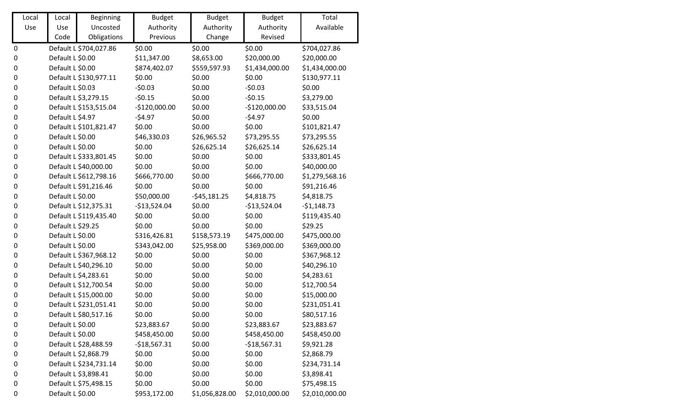| Local            | Local             | <b>Beginning</b>       | <b>Budget</b>  | <b>Budget</b>  | <b>Budget</b>  | Total          |
|------------------|-------------------|------------------------|----------------|----------------|----------------|----------------|
| Use              | Use               | Uncosted               | Authority      | Authority      | Authority      | Available      |
|                  | Code              | Obligations            | Previous       | Change         | Revised        |                |
| $\pmb{0}$        |                   | Default L \$704,027.86 | \$0.00         | \$0.00         | \$0.00         | \$704,027.86   |
| $\boldsymbol{0}$ | Default L \$0.00  |                        | \$11,347.00    | \$8,653.00     | \$20,000.00    | \$20,000.00    |
| $\pmb{0}$        | Default L \$0.00  |                        | \$874,402.07   | \$559,597.93   | \$1,434,000.00 | \$1,434,000.00 |
| 0                |                   | Default L \$130,977.11 | \$0.00         | \$0.00         | \$0.00         | \$130,977.11   |
| $\pmb{0}$        | Default L \$0.03  |                        | $-50.03$       | \$0.00         | $-50.03$       | \$0.00         |
| $\boldsymbol{0}$ |                   | Default L \$3,279.15   | $-50.15$       | \$0.00         | $-50.15$       | \$3,279.00     |
| $\boldsymbol{0}$ |                   | Default L \$153,515.04 | $-$120,000.00$ | \$0.00         | $-$120,000.00$ | \$33,515.04    |
| $\pmb{0}$        | Default L \$4.97  |                        | $-54.97$       | \$0.00         | $-54.97$       | \$0.00         |
| $\boldsymbol{0}$ |                   | Default L \$101,821.47 | \$0.00         | \$0.00         | \$0.00         | \$101,821.47   |
| $\pmb{0}$        | Default L \$0.00  |                        | \$46,330.03    | \$26,965.52    | \$73,295.55    | \$73,295.55    |
| 0                | Default L \$0.00  |                        | \$0.00         | \$26,625.14    | \$26,625.14    | \$26,625.14    |
| 0                |                   | Default L \$333,801.45 | \$0.00         | \$0.00         | \$0.00         | \$333,801.45   |
| $\pmb{0}$        |                   | Default L \$40,000.00  | \$0.00         | \$0.00         | \$0.00         | \$40,000.00    |
| 0                |                   | Default L \$612,798.16 | \$666,770.00   | \$0.00         | \$666,770.00   | \$1,279,568.16 |
| $\pmb{0}$        |                   | Default L \$91,216.46  | \$0.00         | \$0.00         | \$0.00         | \$91,216.46    |
| 0                | Default L \$0.00  |                        | \$50,000.00    | $-545,181.25$  | \$4,818.75     | \$4,818.75     |
| 0                |                   | Default L \$12,375.31  | $-$13,524.04$  | \$0.00         | $-$13,524.04$  | $-$1,148.73$   |
| $\boldsymbol{0}$ |                   | Default L \$119,435.40 | \$0.00         | \$0.00         | \$0.00         | \$119,435.40   |
| $\boldsymbol{0}$ | Default L \$29.25 |                        | \$0.00         | \$0.00         | \$0.00         | \$29.25        |
| $\pmb{0}$        | Default L \$0.00  |                        | \$316,426.81   | \$158,573.19   | \$475,000.00   | \$475,000.00   |
| 0                | Default L \$0.00  |                        | \$343,042.00   | \$25,958.00    | \$369,000.00   | \$369,000.00   |
| $\pmb{0}$        |                   | Default L \$367,968.12 | \$0.00         | \$0.00         | \$0.00         | \$367,968.12   |
| $\pmb{0}$        |                   | Default L \$40,296.10  | \$0.00         | \$0.00         | \$0.00         | \$40,296.10    |
| 0                |                   | Default L \$4,283.61   | \$0.00         | \$0.00         | \$0.00         | \$4,283.61     |
| 0                |                   | Default L \$12,700.54  | \$0.00         | \$0.00         | \$0.00         | \$12,700.54    |
| $\pmb{0}$        |                   | Default L \$15,000.00  | \$0.00         | \$0.00         | \$0.00         | \$15,000.00    |
| 0                |                   | Default L \$231,051.41 | \$0.00         | \$0.00         | \$0.00         | \$231,051.41   |
| 0                |                   | Default L \$80,517.16  | \$0.00         | \$0.00         | \$0.00         | \$80,517.16    |
| 0                | Default L \$0.00  |                        | \$23,883.67    | \$0.00         | \$23,883.67    | \$23,883.67    |
| 0                | Default L \$0.00  |                        | \$458,450.00   | \$0.00         | \$458,450.00   | \$458,450.00   |
| 0                |                   | Default L \$28,488.59  | $-$18,567.31$  | \$0.00         | $-$18,567.31$  | \$9,921.28     |
| 0                |                   | Default L \$2,868.79   | \$0.00         | \$0.00         | \$0.00         | \$2,868.79     |
| 0                |                   | Default L \$234,731.14 | \$0.00         | \$0.00         | \$0.00         | \$234,731.14   |
| 0                |                   | Default L \$3,898.41   | \$0.00         | \$0.00         | \$0.00         | \$3,898.41     |
| 0                |                   | Default L \$75,498.15  | \$0.00         | \$0.00         | \$0.00         | \$75,498.15    |
| $\boldsymbol{0}$ | Default L \$0.00  |                        | \$953,172.00   | \$1,056,828.00 | \$2,010,000.00 | \$2,010,000.00 |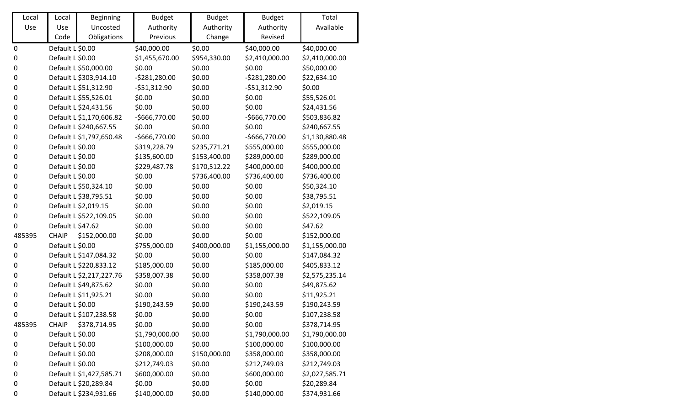| Local            | Local             | <b>Beginning</b>         | <b>Budget</b>  | <b>Budget</b> | <b>Budget</b>  | Total          |
|------------------|-------------------|--------------------------|----------------|---------------|----------------|----------------|
| Use              | Use               | Uncosted                 | Authority      | Authority     | Authority      | Available      |
|                  | Code              | Obligations              | Previous       | Change        | Revised        |                |
| $\boldsymbol{0}$ | Default L \$0.00  |                          | \$40,000.00    | \$0.00        | \$40,000.00    | \$40,000.00    |
| $\boldsymbol{0}$ | Default L \$0.00  |                          | \$1,455,670.00 | \$954,330.00  | \$2,410,000.00 | \$2,410,000.00 |
| $\boldsymbol{0}$ |                   | Default L \$50,000.00    | \$0.00         | \$0.00        | \$0.00         | \$50,000.00    |
| $\boldsymbol{0}$ |                   | Default L \$303,914.10   | $-5281,280.00$ | \$0.00        | $-5281,280.00$ | \$22,634.10    |
| $\boldsymbol{0}$ |                   | Default L \$51,312.90    | $-551,312.90$  | \$0.00        | $-551,312.90$  | \$0.00         |
| $\boldsymbol{0}$ |                   | Default L \$55,526.01    | \$0.00         | \$0.00        | \$0.00         | \$55,526.01    |
| $\boldsymbol{0}$ |                   | Default L \$24,431.56    | \$0.00         | \$0.00        | \$0.00         | \$24,431.56    |
| $\boldsymbol{0}$ |                   | Default L \$1,170,606.82 | $-$666,770.00$ | \$0.00        | $-$666,770.00$ | \$503,836.82   |
| $\boldsymbol{0}$ |                   | Default L \$240,667.55   | \$0.00         | \$0.00        | \$0.00         | \$240,667.55   |
| $\boldsymbol{0}$ |                   | Default L \$1,797,650.48 | $-$666,770.00$ | \$0.00        | $-$666,770.00$ | \$1,130,880.48 |
| $\boldsymbol{0}$ | Default L \$0.00  |                          | \$319,228.79   | \$235,771.21  | \$555,000.00   | \$555,000.00   |
| $\boldsymbol{0}$ | Default L \$0.00  |                          | \$135,600.00   | \$153,400.00  | \$289,000.00   | \$289,000.00   |
| $\boldsymbol{0}$ | Default L \$0.00  |                          | \$229,487.78   | \$170,512.22  | \$400,000.00   | \$400,000.00   |
| $\boldsymbol{0}$ | Default L \$0.00  |                          | \$0.00         | \$736,400.00  | \$736,400.00   | \$736,400.00   |
| $\boldsymbol{0}$ |                   | Default L \$50,324.10    | \$0.00         | \$0.00        | \$0.00         | \$50,324.10    |
| $\boldsymbol{0}$ |                   | Default L \$38,795.51    | \$0.00         | \$0.00        | \$0.00         | \$38,795.51    |
| $\boldsymbol{0}$ |                   | Default L \$2,019.15     | \$0.00         | \$0.00        | \$0.00         | \$2,019.15     |
| $\boldsymbol{0}$ |                   | Default L \$522,109.05   | \$0.00         | \$0.00        | \$0.00         | \$522,109.05   |
| $\mathbf 0$      | Default L \$47.62 |                          | \$0.00         | \$0.00        | \$0.00         | \$47.62        |
| 485395           | <b>CHAIP</b>      | \$152,000.00             | \$0.00         | \$0.00        | \$0.00         | \$152,000.00   |
| $\boldsymbol{0}$ | Default L \$0.00  |                          | \$755,000.00   | \$400,000.00  | \$1,155,000.00 | \$1,155,000.00 |
| $\boldsymbol{0}$ |                   | Default L \$147,084.32   | \$0.00         | \$0.00        | \$0.00         | \$147,084.32   |
| $\pmb{0}$        |                   | Default L \$220,833.12   | \$185,000.00   | \$0.00        | \$185,000.00   | \$405,833.12   |
| $\boldsymbol{0}$ |                   | Default L \$2,217,227.76 | \$358,007.38   | \$0.00        | \$358,007.38   | \$2,575,235.14 |
| $\boldsymbol{0}$ |                   | Default L \$49,875.62    | \$0.00         | \$0.00        | \$0.00         | \$49,875.62    |
| $\boldsymbol{0}$ |                   | Default L \$11,925.21    | \$0.00         | \$0.00        | \$0.00         | \$11,925.21    |
| $\boldsymbol{0}$ | Default L \$0.00  |                          | \$190,243.59   | \$0.00        | \$190,243.59   | \$190,243.59   |
| 0                |                   | Default L \$107,238.58   | \$0.00         | \$0.00        | \$0.00         | \$107,238.58   |
| 485395           | <b>CHAIP</b>      | \$378,714.95             | \$0.00         | \$0.00        | \$0.00         | \$378,714.95   |
| 0                | Default L \$0.00  |                          | \$1,790,000.00 | \$0.00        | \$1,790,000.00 | \$1,790,000.00 |
| 0                | Default L \$0.00  |                          | \$100,000.00   | \$0.00        | \$100,000.00   | \$100,000.00   |
| 0                | Default L \$0.00  |                          | \$208,000.00   | \$150,000.00  | \$358,000.00   | \$358,000.00   |
| 0                | Default L \$0.00  |                          | \$212,749.03   | \$0.00        | \$212,749.03   | \$212,749.03   |
| 0                |                   | Default L \$1,427,585.71 | \$600,000.00   | \$0.00        | \$600,000.00   | \$2,027,585.71 |
| 0                |                   | Default L \$20,289.84    | \$0.00         | \$0.00        | \$0.00         | \$20,289.84    |
| $\boldsymbol{0}$ |                   | Default L \$234,931.66   | \$140,000.00   | \$0.00        | \$140,000.00   | \$374,931.66   |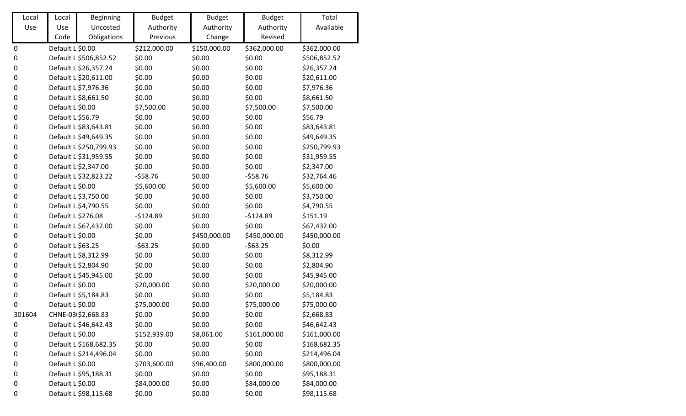| Local     | Local              | Beginning              | <b>Budget</b> | <b>Budget</b> | <b>Budget</b> | Total        |
|-----------|--------------------|------------------------|---------------|---------------|---------------|--------------|
| Use       | Use                | Uncosted               | Authority     | Authority     | Authority     | Available    |
|           | Code               | Obligations            | Previous      | Change        | Revised       |              |
| 0         | Default L \$0.00   |                        | \$212,000.00  | \$150,000.00  | \$362,000.00  | \$362,000.00 |
| $\pmb{0}$ |                    | Default L \$506,852.52 | \$0.00        | \$0.00        | \$0.00        | \$506,852.52 |
| 0         |                    | Default L \$26,357.24  | \$0.00        | \$0.00        | \$0.00        | \$26,357.24  |
| 0         |                    | Default L \$20,611.00  | \$0.00        | \$0.00        | \$0.00        | \$20,611.00  |
| 0         |                    | Default L \$7,976.36   | \$0.00        | \$0.00        | \$0.00        | \$7,976.36   |
| 0         |                    | Default L \$8,661.50   | \$0.00        | \$0.00        | \$0.00        | \$8,661.50   |
| 0         | Default L \$0.00   |                        | \$7,500.00    | \$0.00        | \$7,500.00    | \$7,500.00   |
| 0         | Default L \$56.79  |                        | \$0.00        | \$0.00        | \$0.00        | \$56.79      |
| 0         |                    | Default L \$83,643.81  | \$0.00        | \$0.00        | \$0.00        | \$83,643.81  |
| 0         |                    | Default L \$49,649.35  | \$0.00        | \$0.00        | \$0.00        | \$49,649.35  |
| 0         |                    | Default L \$250,799.93 | \$0.00        | \$0.00        | \$0.00        | \$250,799.93 |
| 0         |                    | Default L \$31,959.55  | \$0.00        | \$0.00        | \$0.00        | \$31,959.55  |
| 0         |                    | Default L \$2,347.00   | \$0.00        | \$0.00        | \$0.00        | \$2,347.00   |
| 0         |                    | Default L \$32,823.22  | $-558.76$     | \$0.00        | $-558.76$     | \$32,764.46  |
| 0         | Default L \$0.00   |                        | \$5,600.00    | \$0.00        | \$5,600.00    | \$5,600.00   |
| 0         |                    | Default L \$3,750.00   | \$0.00        | \$0.00        | \$0.00        | \$3,750.00   |
| 0         |                    | Default L \$4,790.55   | \$0.00        | \$0.00        | \$0.00        | \$4,790.55   |
| 0         | Default L \$276.08 |                        | $-$124.89$    | \$0.00        | $-$124.89$    | \$151.19     |
| 0         |                    | Default L \$67,432.00  | \$0.00        | \$0.00        | \$0.00        | \$67,432.00  |
| 0         | Default L \$0.00   |                        | \$0.00        | \$450,000.00  | \$450,000.00  | \$450,000.00 |
| 0         | Default L \$63.25  |                        | $-563.25$     | \$0.00        | $-563.25$     | \$0.00       |
| 0         |                    | Default L \$8,312.99   | \$0.00        | \$0.00        | \$0.00        | \$8,312.99   |
| 0         |                    | Default L \$2,804.90   | \$0.00        | \$0.00        | \$0.00        | \$2,804.90   |
| 0         |                    | Default L \$45,945.00  | \$0.00        | \$0.00        | \$0.00        | \$45,945.00  |
| 0         | Default L \$0.00   |                        | \$20,000.00   | \$0.00        | \$20,000.00   | \$20,000.00  |
| 0         |                    | Default L \$5,184.83   | \$0.00        | \$0.00        | \$0.00        | \$5,184.83   |
| 0         | Default L \$0.00   |                        | \$75,000.00   | \$0.00        | \$75,000.00   | \$75,000.00  |
| 301604    |                    | CHNE-03 \$2,668.83     | \$0.00        | \$0.00        | \$0.00        | \$2,668.83   |
| 0         |                    | Default L \$46,642.43  | \$0.00        | \$0.00        | \$0.00        | \$46,642.43  |
| 0         | Default L \$0.00   |                        | \$152,939.00  | \$8,061.00    | \$161,000.00  | \$161,000.00 |
| 0         |                    | Default L \$168,682.35 | \$0.00        | \$0.00        | \$0.00        | \$168,682.35 |
| 0         |                    | Default L \$214,496.04 | \$0.00        | \$0.00        | \$0.00        | \$214,496.04 |
| 0         | Default L \$0.00   |                        | \$703,600.00  | \$96,400.00   | \$800,000.00  | \$800,000.00 |
| 0         |                    | Default L \$95,188.31  | \$0.00        | \$0.00        | \$0.00        | \$95,188.31  |
| 0         | Default L \$0.00   |                        | \$84,000.00   | \$0.00        | \$84,000.00   | \$84,000.00  |
| 0         |                    | Default L \$98,115.68  | \$0.00        | \$0.00        | \$0.00        | \$98,115.68  |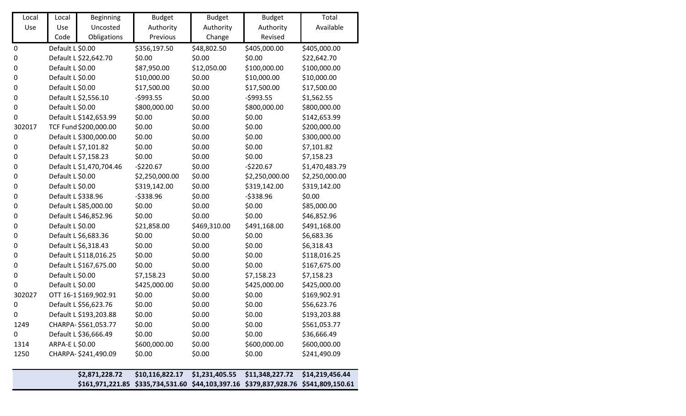|                  |                    | \$2,871,228.72           | \$10,116,822.17<br>\$161,971,221.85 \$335,734,531.60 \$44,103,397.16 \$379,837,928.76 \$541,809,150.61 | \$1,231,405.55 | \$11,348,227.72 | \$14,219,456.44 |
|------------------|--------------------|--------------------------|--------------------------------------------------------------------------------------------------------|----------------|-----------------|-----------------|
|                  |                    |                          |                                                                                                        |                |                 |                 |
| 1250             |                    | CHARPA-\$241,490.09      | \$0.00                                                                                                 | \$0.00         | \$0.00          | \$241,490.09    |
| 1314             | ARPA-E L \$0.00    |                          | \$600,000.00                                                                                           | \$0.00         | \$600,000.00    | \$600,000.00    |
| 0                |                    | Default L \$36,666.49    | \$0.00                                                                                                 | \$0.00         | \$0.00          | \$36,666.49     |
| 1249             |                    | CHARPA-\$561,053.77      | \$0.00                                                                                                 | \$0.00         | \$0.00          | \$561,053.77    |
| 0                |                    | Default L \$193,203.88   | \$0.00                                                                                                 | \$0.00         | \$0.00          | \$193,203.88    |
| $\boldsymbol{0}$ |                    | Default L \$56,623.76    | \$0.00                                                                                                 | \$0.00         | \$0.00          | \$56,623.76     |
| 302027           |                    | OTT 16-1 \$169,902.91    | \$0.00                                                                                                 | \$0.00         | \$0.00          | \$169,902.91    |
| $\boldsymbol{0}$ | Default L \$0.00   |                          | \$425,000.00                                                                                           | \$0.00         | \$425,000.00    | \$425,000.00    |
| $\pmb{0}$        | Default L \$0.00   |                          | \$7,158.23                                                                                             | \$0.00         | \$7,158.23      | \$7,158.23      |
| 0                |                    | Default L \$167,675.00   | \$0.00                                                                                                 | \$0.00         | \$0.00          | \$167,675.00    |
| 0                |                    | Default L \$118,016.25   | \$0.00                                                                                                 | \$0.00         | \$0.00          | \$118,016.25    |
| $\pmb{0}$        |                    | Default L \$6,318.43     | \$0.00                                                                                                 | \$0.00         | \$0.00          | \$6,318.43      |
| 0                |                    | Default L \$6,683.36     | \$0.00                                                                                                 | \$0.00         | \$0.00          | \$6,683.36      |
| 0                | Default L \$0.00   |                          | \$21,858.00                                                                                            | \$469,310.00   | \$491,168.00    | \$491,168.00    |
| $\pmb{0}$        |                    | Default L \$46,852.96    | \$0.00                                                                                                 | \$0.00         | \$0.00          | \$46,852.96     |
| 0                |                    | Default L \$85,000.00    | \$0.00                                                                                                 | \$0.00         | \$0.00          | \$85,000.00     |
| 0                | Default L \$338.96 |                          | $-5338.96$                                                                                             | \$0.00         | $-5338.96$      | \$0.00          |
| 0                | Default L \$0.00   |                          | \$319,142.00                                                                                           | \$0.00         | \$319,142.00    | \$319,142.00    |
| 0                | Default L \$0.00   |                          | \$2,250,000.00                                                                                         | \$0.00         | \$2,250,000.00  | \$2,250,000.00  |
| 0                |                    | Default L \$1,470,704.46 | $-5220.67$                                                                                             | \$0.00         | $-5220.67$      | \$1,470,483.79  |
| 0                |                    | Default L \$7,158.23     | \$0.00                                                                                                 | \$0.00         | \$0.00          | \$7,158.23      |
| $\pmb{0}$        |                    | Default L \$7,101.82     | \$0.00                                                                                                 | \$0.00         | \$0.00          | \$7,101.82      |
| $\boldsymbol{0}$ |                    | Default L \$300,000.00   | \$0.00                                                                                                 | \$0.00         | \$0.00          | \$300,000.00    |
| 302017           |                    | TCF Fund \$200,000.00    | \$0.00                                                                                                 | \$0.00         | \$0.00          | \$200,000.00    |
| 0                |                    | Default L \$142,653.99   | \$0.00                                                                                                 | \$0.00         | \$0.00          | \$142,653.99    |
| $\pmb{0}$        | Default L \$0.00   |                          | \$800,000.00                                                                                           | \$0.00         | \$800,000.00    | \$800,000.00    |
| 0                |                    | Default L \$2,556.10     | $-5993.55$                                                                                             | \$0.00         | $-5993.55$      | \$1,562.55      |
| $\pmb{0}$        | Default L \$0.00   |                          | \$17,500.00                                                                                            | \$0.00         | \$17,500.00     | \$17,500.00     |
| 0                | Default L \$0.00   |                          | \$10,000.00                                                                                            | \$0.00         | \$10,000.00     | \$10,000.00     |
| $\pmb{0}$        | Default L \$0.00   |                          | \$87,950.00                                                                                            | \$12,050.00    | \$100,000.00    | \$100,000.00    |
| 0                |                    | Default L \$22,642.70    | \$0.00                                                                                                 | \$0.00         | \$0.00          | \$22,642.70     |
| $\mathbf 0$      | Default L \$0.00   |                          | \$356,197.50                                                                                           | \$48,802.50    | \$405,000.00    | \$405,000.00    |
|                  | Code               | Obligations              | Previous                                                                                               | Change         | Revised         |                 |
| Use              | Use                | Uncosted                 | Authority                                                                                              | Authority      | Authority       | Available       |
| Local            | Local              | Beginning                | <b>Budget</b>                                                                                          | <b>Budget</b>  | <b>Budget</b>   | Total           |